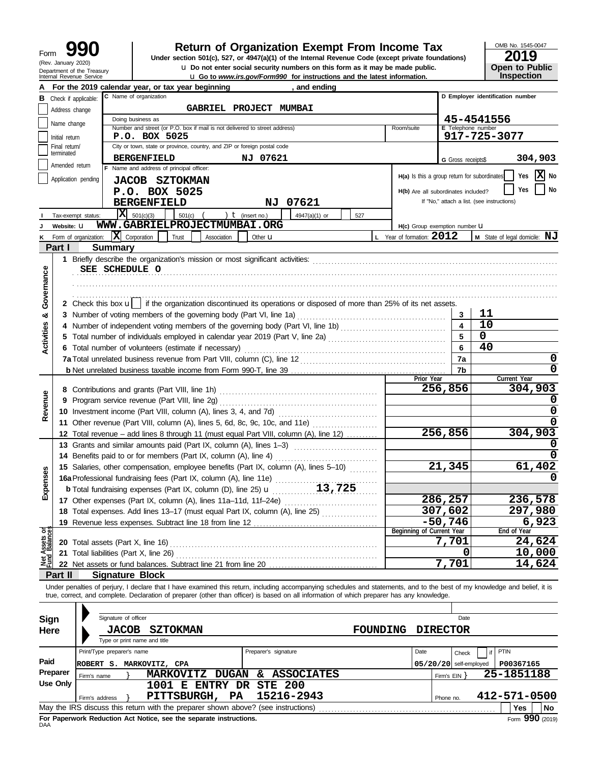| 190<br>Form                                            |
|--------------------------------------------------------|
| (Rev. January 2020)                                    |
| Department of the Treasury<br>Internal Revenue Service |

## **990 1 2020 2019 2019 2019 Dependent Organization Exempt From Income Tax 2019 2019**

**u** Do not enter social security numbers on this form as it may be made public.

**u** Go to *www.irs.gov/Form990* for instructions and the latest information.

OMB No. 1545-0047 **Open to Public<br>Inspection** 

|                   |                                                                                                                             | For the 2019 calendar year, or tax year beginning                                                                                                                                         | and ending           |                                              |                         |                                            |  |  |  |  |  |
|-------------------|-----------------------------------------------------------------------------------------------------------------------------|-------------------------------------------------------------------------------------------------------------------------------------------------------------------------------------------|----------------------|----------------------------------------------|-------------------------|--------------------------------------------|--|--|--|--|--|
| в                 | Check if applicable:                                                                                                        | C Name of organization                                                                                                                                                                    |                      |                                              |                         | D Employer identification number           |  |  |  |  |  |
|                   | Address change                                                                                                              | <b>GABRIEL PROJECT MUMBAI</b>                                                                                                                                                             |                      |                                              |                         |                                            |  |  |  |  |  |
|                   | Name change                                                                                                                 | Doing business as                                                                                                                                                                         |                      |                                              |                         | 45-4541556                                 |  |  |  |  |  |
|                   |                                                                                                                             | Number and street (or P.O. box if mail is not delivered to street address)<br>P.O. BOX 5025                                                                                               |                      | Room/suite                                   | E Telephone number      |                                            |  |  |  |  |  |
|                   | 917-725-3077<br>Initial return<br>City or town, state or province, country, and ZIP or foreign postal code<br>Final return/ |                                                                                                                                                                                           |                      |                                              |                         |                                            |  |  |  |  |  |
|                   | terminated<br><b>BERGENFIELD</b><br>NJ 07621                                                                                |                                                                                                                                                                                           |                      |                                              |                         |                                            |  |  |  |  |  |
|                   | 304,903<br>G Gross receipts\$<br>Amended return<br>F Name and address of principal officer:                                 |                                                                                                                                                                                           |                      |                                              |                         |                                            |  |  |  |  |  |
|                   | Application pending                                                                                                         |                                                                                                                                                                                           |                      | H(a) Is this a group return for subordinates |                         | X No<br>Yes                                |  |  |  |  |  |
|                   |                                                                                                                             | <b>JACOB SZTOKMAN</b>                                                                                                                                                                     |                      |                                              |                         | No<br>Yes                                  |  |  |  |  |  |
|                   |                                                                                                                             | P.O. BOX 5025                                                                                                                                                                             |                      | H(b) Are all subordinates included?          |                         | If "No," attach a list. (see instructions) |  |  |  |  |  |
|                   |                                                                                                                             | <b>BERGENFIELD</b>                                                                                                                                                                        | NJ 07621             |                                              |                         |                                            |  |  |  |  |  |
|                   | Tax-exempt status:                                                                                                          | $ \mathbf{X} $ 501(c)(3)<br>501(c)<br>) $t$ (insert no.)                                                                                                                                  | 4947(a)(1) or<br>527 |                                              |                         |                                            |  |  |  |  |  |
|                   | Website: U                                                                                                                  | WWW.GABRIELPROJECTMUMBAI.ORG                                                                                                                                                              |                      | H(c) Group exemption number LI               |                         |                                            |  |  |  |  |  |
| κ                 | Form of organization:                                                                                                       | $ \mathbf{X} $ Corporation<br>Trust<br>Association<br>Other <b>u</b>                                                                                                                      |                      | L Year of formation: 2012                    |                         | M State of legal domicile: NJ              |  |  |  |  |  |
|                   | Part I                                                                                                                      | <b>Summary</b>                                                                                                                                                                            |                      |                                              |                         |                                            |  |  |  |  |  |
|                   |                                                                                                                             |                                                                                                                                                                                           |                      |                                              |                         |                                            |  |  |  |  |  |
|                   |                                                                                                                             | SEE SCHEDULE O                                                                                                                                                                            |                      |                                              |                         |                                            |  |  |  |  |  |
|                   |                                                                                                                             |                                                                                                                                                                                           |                      |                                              |                         |                                            |  |  |  |  |  |
| Governance        |                                                                                                                             |                                                                                                                                                                                           |                      |                                              |                         |                                            |  |  |  |  |  |
|                   |                                                                                                                             | 2 Check this box u   if the organization discontinued its operations or disposed of more than 25% of its net assets.                                                                      |                      |                                              |                         |                                            |  |  |  |  |  |
| ೲ                 |                                                                                                                             | 3 Number of voting members of the governing body (Part VI, line 1a)                                                                                                                       |                      |                                              | 3                       | 11                                         |  |  |  |  |  |
|                   |                                                                                                                             |                                                                                                                                                                                           |                      |                                              | $\overline{\mathbf{4}}$ | 10                                         |  |  |  |  |  |
| <b>Activities</b> |                                                                                                                             | 5 Total number of individuals employed in calendar year 2019 (Part V, line 2a) [11] [11] [11] [11] [11] [11] Total number of individuals employed in calendar year 2019 (Part V, line 2a) |                      |                                              | 5                       | $\mathbf 0$                                |  |  |  |  |  |
|                   |                                                                                                                             | 6 Total number of volunteers (estimate if necessary)                                                                                                                                      |                      |                                              | 6                       | 40                                         |  |  |  |  |  |
|                   |                                                                                                                             |                                                                                                                                                                                           |                      |                                              | 7a                      | 0                                          |  |  |  |  |  |
|                   |                                                                                                                             |                                                                                                                                                                                           |                      |                                              | 7b                      | 0                                          |  |  |  |  |  |
|                   |                                                                                                                             |                                                                                                                                                                                           |                      | Prior Year                                   |                         | Current Year                               |  |  |  |  |  |
|                   |                                                                                                                             |                                                                                                                                                                                           |                      |                                              | 256,856                 | 304,903                                    |  |  |  |  |  |
| Revenue           | 9                                                                                                                           |                                                                                                                                                                                           |                      |                                              |                         |                                            |  |  |  |  |  |
|                   |                                                                                                                             |                                                                                                                                                                                           |                      |                                              |                         | 0                                          |  |  |  |  |  |
|                   |                                                                                                                             | 11 Other revenue (Part VIII, column (A), lines 5, 6d, 8c, 9c, 10c, and 11e)                                                                                                               |                      |                                              |                         | 304,903                                    |  |  |  |  |  |
|                   |                                                                                                                             | 12 Total revenue - add lines 8 through 11 (must equal Part VIII, column (A), line 12)                                                                                                     |                      |                                              | 256,856                 |                                            |  |  |  |  |  |
|                   |                                                                                                                             | 13 Grants and similar amounts paid (Part IX, column (A), lines 1-3)<br>14 Benefits paid to or for members (Part IX, column (A), line 4)                                                   |                      |                                              |                         |                                            |  |  |  |  |  |
|                   |                                                                                                                             | 15 Salaries, other compensation, employee benefits (Part IX, column (A), lines 5-10)                                                                                                      |                      |                                              | 21,345                  | 61,402                                     |  |  |  |  |  |
| xpenses           |                                                                                                                             | 15 Salaries, other compensation, stripley of the A), line 11e)<br>16a Professional fundraising fees (Part IX, column (A), line 11e)<br>25 m                                               |                      |                                              |                         |                                            |  |  |  |  |  |
|                   |                                                                                                                             |                                                                                                                                                                                           |                      |                                              |                         |                                            |  |  |  |  |  |
|                   |                                                                                                                             | 17 Other expenses (Part IX, column (A), lines 11a-11d, 11f-24e)                                                                                                                           |                      |                                              | 286,257                 |                                            |  |  |  |  |  |
|                   |                                                                                                                             | 18 Total expenses. Add lines 13-17 (must equal Part IX, column (A), line 25)                                                                                                              |                      |                                              | 307,602                 | 236,578<br>297,980                         |  |  |  |  |  |
|                   |                                                                                                                             |                                                                                                                                                                                           |                      |                                              | $-50,746$               | 6,923                                      |  |  |  |  |  |
|                   |                                                                                                                             |                                                                                                                                                                                           |                      | Beginning of Current Year                    |                         | End of Year                                |  |  |  |  |  |
| Net Assets or     |                                                                                                                             | <b>20</b> Total assets (Part X, line 16)                                                                                                                                                  |                      |                                              | 7,701                   | 24,624                                     |  |  |  |  |  |
|                   |                                                                                                                             | 21 Total liabilities (Part X, line 26)                                                                                                                                                    |                      |                                              | 0                       | 10,000                                     |  |  |  |  |  |
|                   |                                                                                                                             |                                                                                                                                                                                           |                      |                                              | 7,701                   | 14,624                                     |  |  |  |  |  |
|                   | Part II                                                                                                                     | <b>Signature Block</b>                                                                                                                                                                    |                      |                                              |                         |                                            |  |  |  |  |  |
|                   |                                                                                                                             | Under penalties of perjury, I declare that I have examined this return, including accompanying schedules and statements, and to the best of my knowledge and belief, it is                |                      |                                              |                         |                                            |  |  |  |  |  |
|                   |                                                                                                                             | true, correct, and complete. Declaration of preparer (other than officer) is based on all information of which preparer has any knowledge.                                                |                      |                                              |                         |                                            |  |  |  |  |  |
|                   |                                                                                                                             |                                                                                                                                                                                           |                      |                                              |                         |                                            |  |  |  |  |  |
| <b>Sign</b>       |                                                                                                                             | Signature of officer                                                                                                                                                                      |                      |                                              | Date                    |                                            |  |  |  |  |  |
| <b>Here</b>       |                                                                                                                             | <b>SZTOKMAN</b><br><b>JACOB</b>                                                                                                                                                           |                      | FOUNDING                                     | <b>DIRECTOR</b>         |                                            |  |  |  |  |  |
|                   |                                                                                                                             | Type or print name and title                                                                                                                                                              |                      |                                              |                         |                                            |  |  |  |  |  |
|                   |                                                                                                                             | Print/Type preparer's name<br>Preparer's signature                                                                                                                                        |                      | Date                                         | Check                   | <b>PTIN</b>                                |  |  |  |  |  |
| Paid              |                                                                                                                             | ROBERT S. MARKOVITZ, CPA                                                                                                                                                                  |                      |                                              | 05/20/20 self-employed  | P00367165                                  |  |  |  |  |  |
|                   | Preparer<br>Firm's name                                                                                                     | <b>MARKOVITZ</b><br><b>DUGAN</b>                                                                                                                                                          | & ASSOCIATES         |                                              | Firm's EIN              | 25-1851188                                 |  |  |  |  |  |
|                   | <b>Use Only</b>                                                                                                             | <b>STE 200</b><br>1001 E ENTRY DR                                                                                                                                                         |                      |                                              |                         |                                            |  |  |  |  |  |
|                   | Firm's address                                                                                                              | PITTSBURGH, PA                                                                                                                                                                            | 15216-2943           |                                              | Phone no.               | 412-571-0500                               |  |  |  |  |  |
|                   |                                                                                                                             | May the IRS discuss this return with the preparer shown above? (see instructions)                                                                                                         |                      |                                              |                         | <b>Yes</b><br>  No                         |  |  |  |  |  |

| raid.    | ROBERT S. MARKOVITZ, CPA                                                                         |  |  |  |  |  |                              |  |  |                | 05/20/20 self-employed 1 P00367165 |              |  |  |
|----------|--------------------------------------------------------------------------------------------------|--|--|--|--|--|------------------------------|--|--|----------------|------------------------------------|--------------|--|--|
| Preparer | Firm's name                                                                                      |  |  |  |  |  | MARKOVITZ DUGAN & ASSOCIATES |  |  | Firm's $EIN$ } |                                    | 25-1851188   |  |  |
| Use Only |                                                                                                  |  |  |  |  |  | 1001 E ENTRY DR STE 200      |  |  |                |                                    |              |  |  |
|          | Firm's address                                                                                   |  |  |  |  |  | PITTSBURGH, PA 15216-2943    |  |  | Phone no.      |                                    | 412-571-0500 |  |  |
|          | May the IRS discuss this return with the preparer shown above? (see instructions)<br>l No<br>Yes |  |  |  |  |  |                              |  |  |                |                                    |              |  |  |
| DAA      | Form 990 (2019)<br>For Paperwork Reduction Act Notice, see the separate instructions.            |  |  |  |  |  |                              |  |  |                |                                    |              |  |  |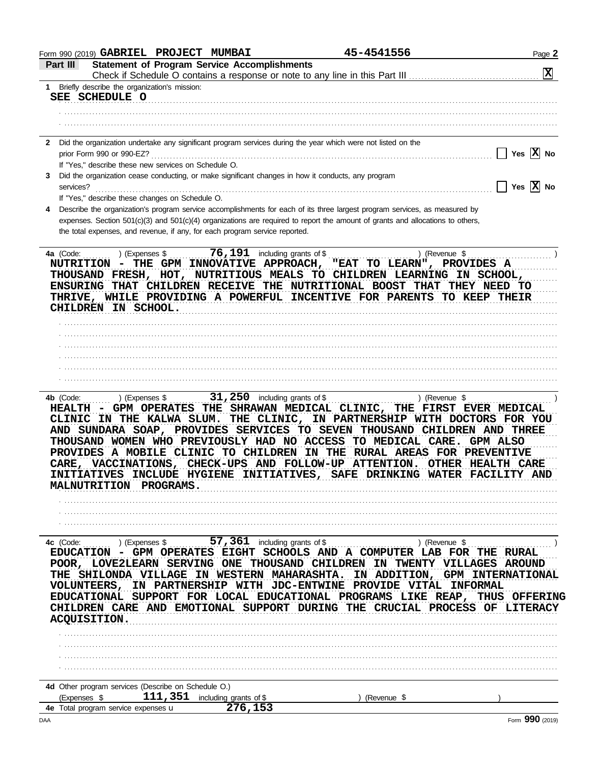| Form 990 (2019) GABRIEL PROJECT MUMBAI                                                                                                                                                                                                                                                                                                                                                                                                                                                                                                                                                                     | 45-4541556    | Page 2                                |
|------------------------------------------------------------------------------------------------------------------------------------------------------------------------------------------------------------------------------------------------------------------------------------------------------------------------------------------------------------------------------------------------------------------------------------------------------------------------------------------------------------------------------------------------------------------------------------------------------------|---------------|---------------------------------------|
| <b>Statement of Program Service Accomplishments</b><br>Part III                                                                                                                                                                                                                                                                                                                                                                                                                                                                                                                                            |               | $\mathbf{x}$                          |
| 1 Briefly describe the organization's mission:<br>SEE SCHEDULE O                                                                                                                                                                                                                                                                                                                                                                                                                                                                                                                                           |               |                                       |
|                                                                                                                                                                                                                                                                                                                                                                                                                                                                                                                                                                                                            |               |                                       |
|                                                                                                                                                                                                                                                                                                                                                                                                                                                                                                                                                                                                            |               |                                       |
| Did the organization undertake any significant program services during the year which were not listed on the<br>$\mathbf{2}$                                                                                                                                                                                                                                                                                                                                                                                                                                                                               |               |                                       |
| prior Form 990 or 990-EZ?                                                                                                                                                                                                                                                                                                                                                                                                                                                                                                                                                                                  |               | Yes $X$ No                            |
| If "Yes," describe these new services on Schedule O.                                                                                                                                                                                                                                                                                                                                                                                                                                                                                                                                                       |               |                                       |
| Did the organization cease conducting, or make significant changes in how it conducts, any program<br>services?                                                                                                                                                                                                                                                                                                                                                                                                                                                                                            |               | $\Box$ Yes $\overline{\mathrm{X}}$ No |
| If "Yes," describe these changes on Schedule O.                                                                                                                                                                                                                                                                                                                                                                                                                                                                                                                                                            |               |                                       |
| Describe the organization's program service accomplishments for each of its three largest program services, as measured by<br>expenses. Section 501(c)(3) and 501(c)(4) organizations are required to report the amount of grants and allocations to others,<br>the total expenses, and revenue, if any, for each program service reported.                                                                                                                                                                                                                                                                |               |                                       |
| 76, 191 including grants of \$<br>4a (Code:<br>) (Expenses \$<br>NUTRITION - THE GPM INNOVATIVE APPROACH, "EAT TO LEARN", PROVIDES A<br>THOUSAND FRESH, HOT, NUTRITIOUS MEALS TO CHILDREN LEARNING IN SCHOOL,<br>ENSURING THAT CHILDREN RECEIVE THE NUTRITIONAL BOOST THAT THEY NEED TO<br>THRIVE, WHILE PROVIDING A POWERFUL INCENTIVE FOR PARENTS TO KEEP THEIR<br>CHILDREN IN SCHOOL.                                                                                                                                                                                                                   | ) (Revenue \$ |                                       |
|                                                                                                                                                                                                                                                                                                                                                                                                                                                                                                                                                                                                            |               |                                       |
|                                                                                                                                                                                                                                                                                                                                                                                                                                                                                                                                                                                                            |               |                                       |
|                                                                                                                                                                                                                                                                                                                                                                                                                                                                                                                                                                                                            |               |                                       |
|                                                                                                                                                                                                                                                                                                                                                                                                                                                                                                                                                                                                            |               |                                       |
|                                                                                                                                                                                                                                                                                                                                                                                                                                                                                                                                                                                                            |               |                                       |
| $31,250$ including grants of \$<br>HEALTH - GPM OPERATES THE SHRAWAN MEDICAL CLINIC, THE FIRST EVER MEDICAL<br>CLINIC IN THE KALWA SLUM. THE CLINIC, IN PARTNERSHIP WITH DOCTORS FOR YOU<br>AND SUNDARA SOAP, PROVIDES SERVICES TO SEVEN THOUSAND CHILDREN AND THREE<br>THOUSAND WOMEN WHO PREVIOUSLY HAD NO ACCESS TO MEDICAL CARE. GPM ALSO<br>PROVIDES A MOBILE CLINIC TO CHILDREN IN THE RURAL AREAS FOR PREVENTIVE<br>CARE, VACCINATIONS, CHECK-UPS AND FOLLOW-UP ATTENTION. OTHER HEALTH CARE<br>INITIATIVES INCLUDE HYGIENE INITIATIVES, SAFE DRINKING WATER FACILITY AND<br>MALNUTRITION PROGRAMS. |               |                                       |
|                                                                                                                                                                                                                                                                                                                                                                                                                                                                                                                                                                                                            |               |                                       |
|                                                                                                                                                                                                                                                                                                                                                                                                                                                                                                                                                                                                            |               |                                       |
|                                                                                                                                                                                                                                                                                                                                                                                                                                                                                                                                                                                                            |               |                                       |
| EDUCATION - GPM OPERATES EIGHT SCHOOLS AND A COMPUTER LAB FOR THE RURAL<br>POOR, LOVE2LEARN SERVING ONE THOUSAND CHILDREN IN TWENTY VILLAGES AROUND<br>THE SHILONDA VILLAGE IN WESTERN MAHARASHTA. IN ADDITION, GPM INTERNATIONAL<br>VOLUNTEERS, IN PARTNERSHIP WITH JDC-ENTWINE PROVIDE VITAL INFORMAL                                                                                                                                                                                                                                                                                                    |               |                                       |
| EDUCATIONAL SUPPORT FOR LOCAL EDUCATIONAL PROGRAMS LIKE REAP, THUS OFFERING<br>CHILDREN CARE AND EMOTIONAL SUPPORT DURING THE CRUCIAL PROCESS OF LITERACY<br>ACQUISITION.                                                                                                                                                                                                                                                                                                                                                                                                                                  |               |                                       |
|                                                                                                                                                                                                                                                                                                                                                                                                                                                                                                                                                                                                            |               |                                       |
|                                                                                                                                                                                                                                                                                                                                                                                                                                                                                                                                                                                                            |               |                                       |
|                                                                                                                                                                                                                                                                                                                                                                                                                                                                                                                                                                                                            |               |                                       |
| 4d Other program services (Describe on Schedule O.)                                                                                                                                                                                                                                                                                                                                                                                                                                                                                                                                                        |               |                                       |
| 111, 351 including grants of \$<br>(Expenses \$                                                                                                                                                                                                                                                                                                                                                                                                                                                                                                                                                            | ) (Revenue \$ |                                       |
| 276,153<br>4e Total program service expenses u                                                                                                                                                                                                                                                                                                                                                                                                                                                                                                                                                             |               |                                       |
|                                                                                                                                                                                                                                                                                                                                                                                                                                                                                                                                                                                                            |               | Form 990 (2019)                       |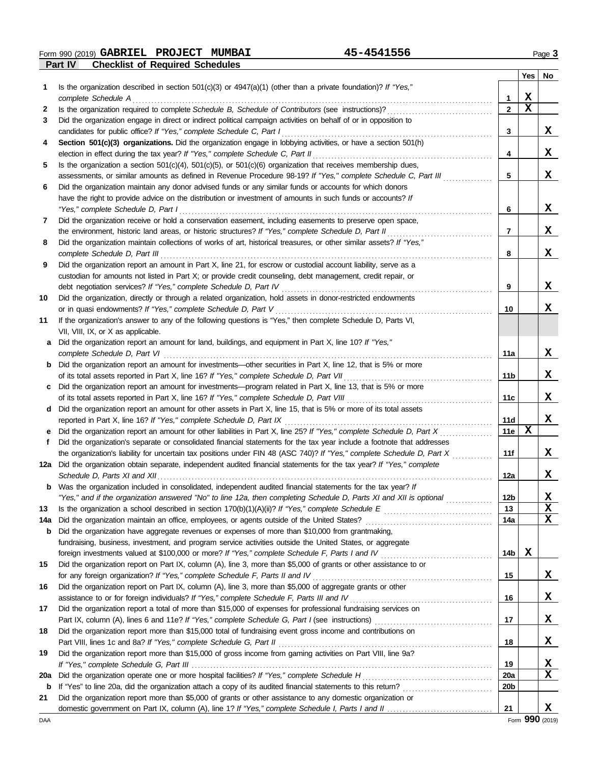**Part IV Checklist of Required Schedules Form 990 (2019) GABRIEL PROJECT MUMBAI 45-4541556** Page 3

|          |                                                                                                                                                                                                 |                 | Yes         | No |
|----------|-------------------------------------------------------------------------------------------------------------------------------------------------------------------------------------------------|-----------------|-------------|----|
| 1        | Is the organization described in section $501(c)(3)$ or $4947(a)(1)$ (other than a private foundation)? If "Yes,"                                                                               |                 |             |    |
|          | complete Schedule A                                                                                                                                                                             | 1               | X           |    |
| 2        | Is the organization required to complete Schedule B, Schedule of Contributors (see instructions)?                                                                                               | $\mathbf{2}$    | $\mathbf x$ |    |
| 3        | Did the organization engage in direct or indirect political campaign activities on behalf of or in opposition to                                                                                |                 |             |    |
|          | candidates for public office? If "Yes," complete Schedule C, Part I                                                                                                                             | 3               |             | X  |
| 4        | Section 501(c)(3) organizations. Did the organization engage in lobbying activities, or have a section 501(h)<br>election in effect during the tax year? If "Yes," complete Schedule C, Part II | 4               |             | X  |
| 5        | Is the organization a section $501(c)(4)$ , $501(c)(5)$ , or $501(c)(6)$ organization that receives membership dues,                                                                            |                 |             |    |
|          | assessments, or similar amounts as defined in Revenue Procedure 98-19? If "Yes," complete Schedule C, Part III                                                                                  | 5               |             | X  |
| 6        | Did the organization maintain any donor advised funds or any similar funds or accounts for which donors                                                                                         |                 |             |    |
|          | have the right to provide advice on the distribution or investment of amounts in such funds or accounts? If                                                                                     |                 |             |    |
|          | "Yes," complete Schedule D, Part I                                                                                                                                                              | 6               |             | X  |
| 7        | Did the organization receive or hold a conservation easement, including easements to preserve open space,                                                                                       |                 |             |    |
|          | the environment, historic land areas, or historic structures? If "Yes," complete Schedule D, Part II                                                                                            | 7               |             | X  |
| 8        | Did the organization maintain collections of works of art, historical treasures, or other similar assets? If "Yes,"                                                                             |                 |             |    |
|          | complete Schedule D, Part III                                                                                                                                                                   | 8               |             | X  |
| 9        | Did the organization report an amount in Part X, line 21, for escrow or custodial account liability, serve as a                                                                                 |                 |             |    |
|          | custodian for amounts not listed in Part X; or provide credit counseling, debt management, credit repair, or                                                                                    |                 |             |    |
|          | debt negotiation services? If "Yes," complete Schedule D, Part IV                                                                                                                               | 9               |             | X  |
| 10       | Did the organization, directly or through a related organization, hold assets in donor-restricted endowments                                                                                    |                 |             |    |
|          | or in quasi endowments? If "Yes," complete Schedule D, Part V                                                                                                                                   | 10              |             | X  |
| 11       | If the organization's answer to any of the following questions is "Yes," then complete Schedule D, Parts VI,                                                                                    |                 |             |    |
|          | VII, VIII, IX, or X as applicable.                                                                                                                                                              |                 |             |    |
| a        | Did the organization report an amount for land, buildings, and equipment in Part X, line 10? If "Yes,"                                                                                          |                 |             |    |
|          | complete Schedule D, Part VI                                                                                                                                                                    | 11a             |             | X  |
| b        | Did the organization report an amount for investments—other securities in Part X, line 12, that is 5% or more                                                                                   |                 |             |    |
|          | of its total assets reported in Part X, line 16? If "Yes," complete Schedule D, Part VII                                                                                                        | 11b             |             | X  |
| c        | Did the organization report an amount for investments—program related in Part X, line 13, that is 5% or more                                                                                    |                 |             | X  |
|          | of its total assets reported in Part X, line 16? If "Yes," complete Schedule D, Part VIII                                                                                                       | 11c             |             |    |
| d        | Did the organization report an amount for other assets in Part X, line 15, that is 5% or more of its total assets                                                                               |                 |             | X  |
|          | reported in Part X, line 16? If "Yes," complete Schedule D, Part IX<br>Did the organization report an amount for other liabilities in Part X, line 25? If "Yes," complete Schedule D, Part X    | 11d<br>11e      | $\mathbf x$ |    |
| е<br>f   | Did the organization's separate or consolidated financial statements for the tax year include a footnote that addresses                                                                         |                 |             |    |
|          | the organization's liability for uncertain tax positions under FIN 48 (ASC 740)? If "Yes," complete Schedule D, Part X                                                                          | 11f             |             | x  |
|          | 12a Did the organization obtain separate, independent audited financial statements for the tax year? If "Yes," complete                                                                         |                 |             |    |
|          | Schedule D, Parts XI and XII                                                                                                                                                                    | 12a             |             | X  |
|          | Was the organization included in consolidated, independent audited financial statements for the tax year? If                                                                                    |                 |             |    |
|          | "Yes," and if the organization answered "No" to line 12a, then completing Schedule D, Parts XI and XII is optional                                                                              | 12 <sub>b</sub> |             | x  |
| 13       |                                                                                                                                                                                                 | 13              |             | X  |
| 14a      | Did the organization maintain an office, employees, or agents outside of the United States?                                                                                                     | 14a             |             | X  |
| b        | Did the organization have aggregate revenues or expenses of more than \$10,000 from grantmaking,                                                                                                |                 |             |    |
|          | fundraising, business, investment, and program service activities outside the United States, or aggregate                                                                                       |                 |             |    |
|          |                                                                                                                                                                                                 | 14 <sub>b</sub> | X           |    |
| 15       | Did the organization report on Part IX, column (A), line 3, more than \$5,000 of grants or other assistance to or                                                                               |                 |             |    |
|          | for any foreign organization? If "Yes," complete Schedule F, Parts II and IV                                                                                                                    | 15              |             | X  |
| 16       | Did the organization report on Part IX, column (A), line 3, more than \$5,000 of aggregate grants or other                                                                                      |                 |             |    |
|          | assistance to or for foreign individuals? If "Yes," complete Schedule F, Parts III and IV [[[[[[[[[[[[[[[[[[[                                                                                   | 16              |             | х  |
| 17       | Did the organization report a total of more than \$15,000 of expenses for professional fundraising services on                                                                                  |                 |             |    |
|          |                                                                                                                                                                                                 | 17              |             | х  |
| 18       | Did the organization report more than \$15,000 total of fundraising event gross income and contributions on                                                                                     |                 |             |    |
|          | Part VIII, lines 1c and 8a? If "Yes," complete Schedule G, Part II                                                                                                                              | 18              |             | х  |
| 19       | Did the organization report more than \$15,000 of gross income from gaming activities on Part VIII, line 9a?                                                                                    |                 |             | X  |
|          |                                                                                                                                                                                                 | 19<br>20a       |             | X  |
| 20a<br>b | If "Yes" to line 20a, did the organization attach a copy of its audited financial statements to this return?                                                                                    | 20 <sub>b</sub> |             |    |
| 21       | Did the organization report more than \$5,000 of grants or other assistance to any domestic organization or                                                                                     |                 |             |    |
|          |                                                                                                                                                                                                 | 21              |             | x  |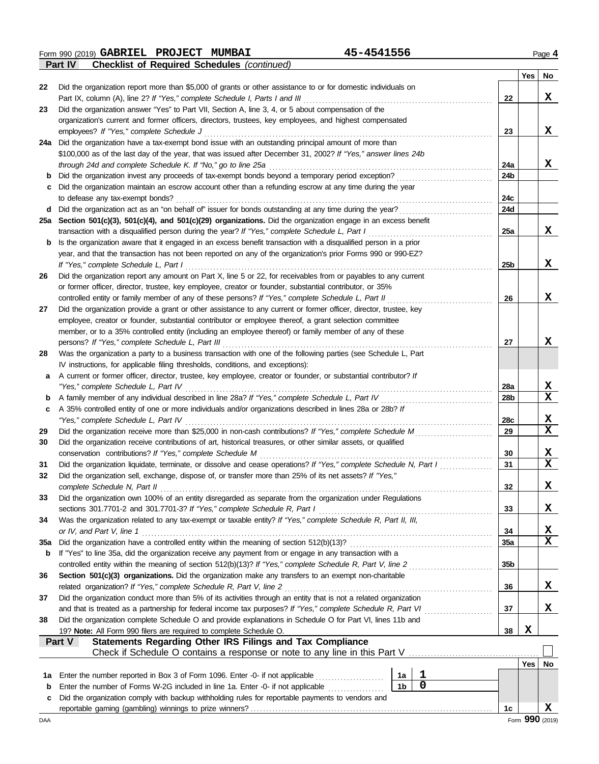|            | Part IV<br><b>Checklist of Required Schedules (continued)</b>                                                                |                 |     |                         |  |  |  |  |
|------------|------------------------------------------------------------------------------------------------------------------------------|-----------------|-----|-------------------------|--|--|--|--|
|            |                                                                                                                              |                 | Yes | No                      |  |  |  |  |
| 22         | Did the organization report more than \$5,000 of grants or other assistance to or for domestic individuals on                |                 |     |                         |  |  |  |  |
|            | Part IX, column (A), line 2? If "Yes," complete Schedule I, Parts I and III                                                  | 22              |     | X                       |  |  |  |  |
| 23         | Did the organization answer "Yes" to Part VII, Section A, line 3, 4, or 5 about compensation of the                          |                 |     |                         |  |  |  |  |
|            | organization's current and former officers, directors, trustees, key employees, and highest compensated                      |                 |     |                         |  |  |  |  |
|            | employees? If "Yes," complete Schedule J                                                                                     | 23              |     | X                       |  |  |  |  |
|            | 24a Did the organization have a tax-exempt bond issue with an outstanding principal amount of more than                      |                 |     |                         |  |  |  |  |
|            | \$100,000 as of the last day of the year, that was issued after December 31, 2002? If "Yes," answer lines 24b                |                 |     |                         |  |  |  |  |
|            | through 24d and complete Schedule K. If "No," go to line 25a                                                                 | 24a             |     | X                       |  |  |  |  |
|            | Did the organization invest any proceeds of tax-exempt bonds beyond a temporary period exception?                            | 24 <sub>b</sub> |     |                         |  |  |  |  |
|            | Did the organization maintain an escrow account other than a refunding escrow at any time during the year                    |                 |     |                         |  |  |  |  |
|            | to defease any tax-exempt bonds?                                                                                             | 24c             |     |                         |  |  |  |  |
| d          | Did the organization act as an "on behalf of" issuer for bonds outstanding at any time during the year?                      | 24d             |     |                         |  |  |  |  |
|            |                                                                                                                              |                 |     |                         |  |  |  |  |
|            | 25a Section 501(c)(3), 501(c)(4), and 501(c)(29) organizations. Did the organization engage in an excess benefit             |                 |     |                         |  |  |  |  |
|            | transaction with a disqualified person during the year? If "Yes," complete Schedule L, Part I                                | 25a             |     | X                       |  |  |  |  |
| b          | Is the organization aware that it engaged in an excess benefit transaction with a disqualified person in a prior             |                 |     |                         |  |  |  |  |
|            | year, and that the transaction has not been reported on any of the organization's prior Forms 990 or 990-EZ?                 |                 |     |                         |  |  |  |  |
|            | If "Yes," complete Schedule L, Part I                                                                                        | 25b             |     | X                       |  |  |  |  |
| 26         | Did the organization report any amount on Part X, line 5 or 22, for receivables from or payables to any current              |                 |     |                         |  |  |  |  |
|            | or former officer, director, trustee, key employee, creator or founder, substantial contributor, or 35%                      |                 |     |                         |  |  |  |  |
|            | controlled entity or family member of any of these persons? If "Yes," complete Schedule L, Part II                           | 26              |     | X                       |  |  |  |  |
| 27         | Did the organization provide a grant or other assistance to any current or former officer, director, trustee, key            |                 |     |                         |  |  |  |  |
|            | employee, creator or founder, substantial contributor or employee thereof, a grant selection committee                       |                 |     |                         |  |  |  |  |
|            | member, or to a 35% controlled entity (including an employee thereof) or family member of any of these                       |                 |     | x                       |  |  |  |  |
|            | persons? If "Yes," complete Schedule L, Part III                                                                             |                 |     |                         |  |  |  |  |
| 28         | Was the organization a party to a business transaction with one of the following parties (see Schedule L, Part               |                 |     |                         |  |  |  |  |
|            | IV instructions, for applicable filing thresholds, conditions, and exceptions):                                              |                 |     |                         |  |  |  |  |
| a          | A current or former officer, director, trustee, key employee, creator or founder, or substantial contributor? If             |                 |     |                         |  |  |  |  |
|            | "Yes," complete Schedule L, Part IV                                                                                          | 28a             |     | X                       |  |  |  |  |
| b          | A family member of any individual described in line 28a? If "Yes," complete Schedule L, Part IV                              | 28 <sub>b</sub> |     | $\overline{\mathbf{x}}$ |  |  |  |  |
| c          | A 35% controlled entity of one or more individuals and/or organizations described in lines 28a or 28b? If                    |                 |     |                         |  |  |  |  |
|            | "Yes," complete Schedule L, Part IV                                                                                          | 28c             |     | X                       |  |  |  |  |
| 29         | Did the organization receive more than \$25,000 in non-cash contributions? If "Yes," complete Schedule M                     | 29              |     | $\overline{\mathbf{x}}$ |  |  |  |  |
| 30         | Did the organization receive contributions of art, historical treasures, or other similar assets, or qualified               |                 |     |                         |  |  |  |  |
|            | conservation contributions? If "Yes," complete Schedule M                                                                    | 30              |     | X                       |  |  |  |  |
| 31         | Did the organization liquidate, terminate, or dissolve and cease operations? If "Yes," complete Schedule N, Part I           | 31              |     | $\overline{\mathbf{x}}$ |  |  |  |  |
| 32         | Did the organization sell, exchange, dispose of, or transfer more than 25% of its net assets? If "Yes,"                      |                 |     |                         |  |  |  |  |
|            | complete Schedule N, Part II                                                                                                 | 32              |     | X                       |  |  |  |  |
| 33         | Did the organization own 100% of an entity disregarded as separate from the organization under Regulations                   |                 |     |                         |  |  |  |  |
|            | sections 301.7701-2 and 301.7701-3? If "Yes," complete Schedule R, Part I                                                    | 33              |     | X                       |  |  |  |  |
| 34         | Was the organization related to any tax-exempt or taxable entity? If "Yes," complete Schedule R, Part II, III,               |                 |     |                         |  |  |  |  |
|            | or IV, and Part V, line 1                                                                                                    | 34              |     | X                       |  |  |  |  |
| <b>35a</b> |                                                                                                                              | 35a             |     | $\mathbf x$             |  |  |  |  |
| b          | If "Yes" to line 35a, did the organization receive any payment from or engage in any transaction with a                      |                 |     |                         |  |  |  |  |
|            |                                                                                                                              | 35 <sub>b</sub> |     |                         |  |  |  |  |
| 36         | Section 501(c)(3) organizations. Did the organization make any transfers to an exempt non-charitable                         |                 |     |                         |  |  |  |  |
|            | related organization? If "Yes," complete Schedule R, Part V, line 2                                                          | 36              |     | X                       |  |  |  |  |
| 37         | Did the organization conduct more than 5% of its activities through an entity that is not a related organization             |                 |     |                         |  |  |  |  |
|            | and that is treated as a partnership for federal income tax purposes? If "Yes," complete Schedule R, Part VI                 | 37              |     | x                       |  |  |  |  |
| 38         | Did the organization complete Schedule O and provide explanations in Schedule O for Part VI, lines 11b and                   |                 |     |                         |  |  |  |  |
|            | 19? Note: All Form 990 filers are required to complete Schedule O.                                                           | 38              | X   |                         |  |  |  |  |
|            | Statements Regarding Other IRS Filings and Tax Compliance<br>Part V                                                          |                 |     |                         |  |  |  |  |
|            | Check if Schedule O contains a response or note to any line in this Part V                                                   |                 |     |                         |  |  |  |  |
|            |                                                                                                                              |                 | Yes | No                      |  |  |  |  |
| 1a         | 1<br>Enter the number reported in Box 3 of Form 1096. Enter -0- if not applicable<br>1a<br>.                                 |                 |     |                         |  |  |  |  |
| b          | $\overline{\mathbf{0}}$<br>1 <sub>b</sub><br>Enter the number of Forms W-2G included in line 1a. Enter -0- if not applicable |                 |     |                         |  |  |  |  |
| c          | Did the organization comply with backup withholding rules for reportable payments to vendors and                             |                 |     |                         |  |  |  |  |
|            |                                                                                                                              | 1c              |     | x                       |  |  |  |  |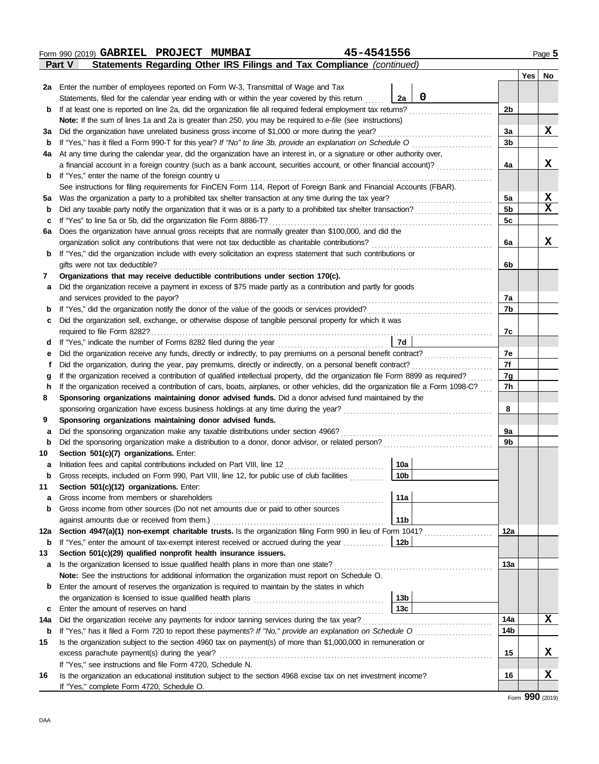|     | 45-4541556<br>Form 990 (2019) GABRIEL PROJECT MUMBAI                                                                                                                                                                                       |                 |             |                |     | Page 5 |  |  |  |  |
|-----|--------------------------------------------------------------------------------------------------------------------------------------------------------------------------------------------------------------------------------------------|-----------------|-------------|----------------|-----|--------|--|--|--|--|
|     | Statements Regarding Other IRS Filings and Tax Compliance (continued)<br>Part V                                                                                                                                                            |                 |             |                |     |        |  |  |  |  |
|     |                                                                                                                                                                                                                                            |                 |             |                | Yes | No     |  |  |  |  |
|     | 2a Enter the number of employees reported on Form W-3, Transmittal of Wage and Tax                                                                                                                                                         |                 |             |                |     |        |  |  |  |  |
|     | Statements, filed for the calendar year ending with or within the year covered by this return                                                                                                                                              | 2a              | $\mathbf 0$ |                |     |        |  |  |  |  |
| b   | If at least one is reported on line 2a, did the organization file all required federal employment tax returns?<br>2b                                                                                                                       |                 |             |                |     |        |  |  |  |  |
|     | Note: If the sum of lines 1a and 2a is greater than 250, you may be required to e-file (see instructions)                                                                                                                                  |                 |             |                |     | X      |  |  |  |  |
| За  | Did the organization have unrelated business gross income of \$1,000 or more during the year?<br>3a                                                                                                                                        |                 |             |                |     |        |  |  |  |  |
| b   | If "Yes," has it filed a Form 990-T for this year? If "No" to line 3b, provide an explanation on Schedule O                                                                                                                                |                 |             | 3 <sub>b</sub> |     |        |  |  |  |  |
| 4a  | At any time during the calendar year, did the organization have an interest in, or a signature or other authority over,                                                                                                                    |                 |             |                |     |        |  |  |  |  |
|     | a financial account in a foreign country (such as a bank account, securities account, or other financial account)?                                                                                                                         |                 |             | 4a             |     | X      |  |  |  |  |
| b   | If "Yes," enter the name of the foreign country <b>u</b>                                                                                                                                                                                   |                 |             |                |     |        |  |  |  |  |
|     | See instructions for filing requirements for FinCEN Form 114, Report of Foreign Bank and Financial Accounts (FBAR).                                                                                                                        |                 |             |                |     |        |  |  |  |  |
| 5а  | Was the organization a party to a prohibited tax shelter transaction at any time during the tax year?                                                                                                                                      |                 |             | 5a             |     | х      |  |  |  |  |
| b   | Did any taxable party notify the organization that it was or is a party to a prohibited tax shelter transaction?                                                                                                                           |                 |             | 5b             |     | X      |  |  |  |  |
| c   | If "Yes" to line 5a or 5b, did the organization file Form 8886-T?                                                                                                                                                                          |                 |             | 5c             |     |        |  |  |  |  |
| 6a  | Does the organization have annual gross receipts that are normally greater than \$100,000, and did the                                                                                                                                     |                 |             |                |     |        |  |  |  |  |
|     | organization solicit any contributions that were not tax deductible as charitable contributions?                                                                                                                                           |                 |             | 6a             |     | X      |  |  |  |  |
| b   | If "Yes," did the organization include with every solicitation an express statement that such contributions or                                                                                                                             |                 |             |                |     |        |  |  |  |  |
|     | gifts were not tax deductible?                                                                                                                                                                                                             |                 |             | 6b             |     |        |  |  |  |  |
| 7   | Organizations that may receive deductible contributions under section 170(c).                                                                                                                                                              |                 |             |                |     |        |  |  |  |  |
| a   | Did the organization receive a payment in excess of \$75 made partly as a contribution and partly for goods                                                                                                                                |                 |             |                |     |        |  |  |  |  |
|     | and services provided to the payor?                                                                                                                                                                                                        |                 |             | 7a             |     |        |  |  |  |  |
| b   | If "Yes," did the organization notify the donor of the value of the goods or services provided?                                                                                                                                            |                 |             | 7b             |     |        |  |  |  |  |
| с   | Did the organization sell, exchange, or otherwise dispose of tangible personal property for which it was                                                                                                                                   |                 |             |                |     |        |  |  |  |  |
|     | required to file Form 8282?                                                                                                                                                                                                                |                 |             | 7c             |     |        |  |  |  |  |
| d   | If "Yes," indicate the number of Forms 8282 filed during the year                                                                                                                                                                          | 7d              |             |                |     |        |  |  |  |  |
| е   | Did the organization receive any funds, directly or indirectly, to pay premiums on a personal benefit contract?                                                                                                                            |                 |             | 7e<br>7f       |     |        |  |  |  |  |
| t   | Did the organization, during the year, pay premiums, directly or indirectly, on a personal benefit contract?                                                                                                                               |                 |             | 7g             |     |        |  |  |  |  |
| g   | If the organization received a contribution of qualified intellectual property, did the organization file Form 8899 as required?                                                                                                           |                 |             | 7h             |     |        |  |  |  |  |
| h   | If the organization received a contribution of cars, boats, airplanes, or other vehicles, did the organization file a Form 1098-C?<br>Sponsoring organizations maintaining donor advised funds. Did a donor advised fund maintained by the |                 |             |                |     |        |  |  |  |  |
| 8   | sponsoring organization have excess business holdings at any time during the year?                                                                                                                                                         |                 |             | 8              |     |        |  |  |  |  |
| 9   | Sponsoring organizations maintaining donor advised funds.                                                                                                                                                                                  |                 |             |                |     |        |  |  |  |  |
| a   | Did the sponsoring organization make any taxable distributions under section 4966?                                                                                                                                                         |                 |             | 9a             |     |        |  |  |  |  |
| b   | Did the sponsoring organization make a distribution to a donor, donor advisor, or related person?                                                                                                                                          |                 |             | 9b             |     |        |  |  |  |  |
| 10  | Section 501(c)(7) organizations. Enter:                                                                                                                                                                                                    |                 |             |                |     |        |  |  |  |  |
|     |                                                                                                                                                                                                                                            | 10a             |             |                |     |        |  |  |  |  |
| b   | Gross receipts, included on Form 990, Part VIII, line 12, for public use of club facilities                                                                                                                                                | 10 <sub>b</sub> |             |                |     |        |  |  |  |  |
| 11  | Section 501(c)(12) organizations. Enter:                                                                                                                                                                                                   |                 |             |                |     |        |  |  |  |  |
| a   | Gross income from members or shareholders                                                                                                                                                                                                  | 11a             |             |                |     |        |  |  |  |  |
| b   | Gross income from other sources (Do not net amounts due or paid to other sources                                                                                                                                                           |                 |             |                |     |        |  |  |  |  |
|     | against amounts due or received from them.)                                                                                                                                                                                                | 11 <sub>b</sub> |             |                |     |        |  |  |  |  |
| 12a | Section 4947(a)(1) non-exempt charitable trusts. Is the organization filing Form 990 in lieu of Form 1041?                                                                                                                                 |                 |             | 12a            |     |        |  |  |  |  |
| b   | If "Yes," enter the amount of tax-exempt interest received or accrued during the year                                                                                                                                                      | 12 <sub>b</sub> |             |                |     |        |  |  |  |  |
| 13  | Section 501(c)(29) qualified nonprofit health insurance issuers.                                                                                                                                                                           |                 |             |                |     |        |  |  |  |  |
| a   | Is the organization licensed to issue qualified health plans in more than one state?                                                                                                                                                       |                 |             | 13а            |     |        |  |  |  |  |
|     | Note: See the instructions for additional information the organization must report on Schedule O.                                                                                                                                          |                 |             |                |     |        |  |  |  |  |
| b   | Enter the amount of reserves the organization is required to maintain by the states in which                                                                                                                                               |                 |             |                |     |        |  |  |  |  |
|     |                                                                                                                                                                                                                                            | 13 <sub>b</sub> |             |                |     |        |  |  |  |  |
| c   | Enter the amount of reserves on hand                                                                                                                                                                                                       | 13c             |             |                |     |        |  |  |  |  |
| 14a | Did the organization receive any payments for indoor tanning services during the tax year?                                                                                                                                                 |                 |             | 14a            |     | x      |  |  |  |  |
| b   | If "Yes," has it filed a Form 720 to report these payments? If "No," provide an explanation on Schedule O                                                                                                                                  |                 |             | 14b            |     |        |  |  |  |  |
| 15  | Is the organization subject to the section 4960 tax on payment(s) of more than \$1,000,000 in remuneration or                                                                                                                              |                 |             |                |     |        |  |  |  |  |
|     | excess parachute payment(s) during the year?                                                                                                                                                                                               |                 |             | 15             |     | X      |  |  |  |  |
|     | If "Yes," see instructions and file Form 4720, Schedule N.                                                                                                                                                                                 |                 |             |                |     |        |  |  |  |  |
| 16  | Is the organization an educational institution subject to the section 4968 excise tax on net investment income?                                                                                                                            |                 |             | 16             |     | X      |  |  |  |  |
|     | If "Yes," complete Form 4720, Schedule O.                                                                                                                                                                                                  |                 |             |                |     |        |  |  |  |  |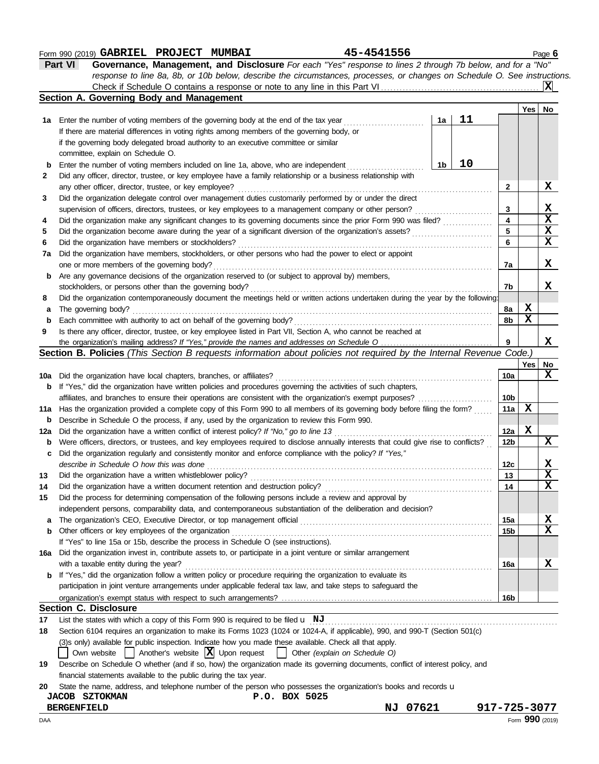| <b>Part VI</b> | <b>Governance, Management, and Disclosure</b> For each "Yes" response to lines 2 through 7b below, and for a "No"         |
|----------------|---------------------------------------------------------------------------------------------------------------------------|
|                | response to line 8a, 8b, or 10b below, describe the circumstances, processes, or changes on Schedule O. See instructions. |
|                |                                                                                                                           |
|                |                                                                                                                           |

|     |                                                                                                                                                                    |    |            |                 | Yes | No          |
|-----|--------------------------------------------------------------------------------------------------------------------------------------------------------------------|----|------------|-----------------|-----|-------------|
| 1а  | Enter the number of voting members of the governing body at the end of the tax year                                                                                | 1a | <u> 11</u> |                 |     |             |
|     | If there are material differences in voting rights among members of the governing body, or                                                                         |    |            |                 |     |             |
|     | if the governing body delegated broad authority to an executive committee or similar                                                                               |    |            |                 |     |             |
|     | committee, explain on Schedule O.                                                                                                                                  |    |            |                 |     |             |
| b   | Enter the number of voting members included on line 1a, above, who are independent                                                                                 | 1b | 10         |                 |     |             |
| 2   | Did any officer, director, trustee, or key employee have a family relationship or a business relationship with                                                     |    |            |                 |     |             |
|     | any other officer, director, trustee, or key employee?                                                                                                             |    |            | $\mathbf{2}$    |     | X           |
| 3   | Did the organization delegate control over management duties customarily performed by or under the direct                                                          |    |            |                 |     |             |
|     | supervision of officers, directors, trustees, or key employees to a management company or other person?                                                            |    |            | 3               |     | X           |
| 4   | Did the organization make any significant changes to its governing documents since the prior Form 990 was filed?                                                   |    |            | 4               |     | $\mathbf x$ |
| 5   | Did the organization become aware during the year of a significant diversion of the organization's assets?                                                         |    |            | 5               |     | $\mathbf x$ |
| 6   | Did the organization have members or stockholders?                                                                                                                 |    |            | 6               |     | X           |
| 7a  | Did the organization have members, stockholders, or other persons who had the power to elect or appoint                                                            |    |            |                 |     |             |
|     | one or more members of the governing body?                                                                                                                         |    |            | 7a              |     | x           |
| b   | Are any governance decisions of the organization reserved to (or subject to approval by) members,                                                                  |    |            |                 |     |             |
|     | stockholders, or persons other than the governing body?                                                                                                            |    |            | 7b              |     | x           |
| 8   | Did the organization contemporaneously document the meetings held or written actions undertaken during the year by the following:                                  |    |            |                 |     |             |
| а   | The governing body?                                                                                                                                                |    |            | 8a              | x   |             |
| b   | Each committee with authority to act on behalf of the governing body?                                                                                              |    |            | 8b              | X   |             |
| 9   | Is there any officer, director, trustee, or key employee listed in Part VII, Section A, who cannot be reached at                                                   |    |            |                 |     |             |
|     |                                                                                                                                                                    |    |            | 9               |     | x           |
|     | Section B. Policies (This Section B requests information about policies not required by the Internal Revenue Code.)                                                |    |            |                 |     |             |
|     |                                                                                                                                                                    |    |            |                 | Yes | No          |
| 10a | Did the organization have local chapters, branches, or affiliates?                                                                                                 |    |            | 10a             |     | X           |
| b   | If "Yes," did the organization have written policies and procedures governing the activities of such chapters,                                                     |    |            |                 |     |             |
|     | affiliates, and branches to ensure their operations are consistent with the organization's exempt purposes?                                                        |    |            | 10b             |     |             |
| 11a | Has the organization provided a complete copy of this Form 990 to all members of its governing body before filing the form?                                        |    |            | 11a             | X   |             |
| b   | Describe in Schedule O the process, if any, used by the organization to review this Form 990.                                                                      |    |            |                 |     |             |
| 12a | Did the organization have a written conflict of interest policy? If "No," go to line 13                                                                            |    |            | 12a             | х   |             |
| b   | Were officers, directors, or trustees, and key employees required to disclose annually interests that could give rise to conflicts?                                |    |            | 12b             |     | X           |
| c   | Did the organization regularly and consistently monitor and enforce compliance with the policy? If "Yes,"                                                          |    |            |                 |     |             |
|     | describe in Schedule O how this was done                                                                                                                           |    |            | 12c             |     | x           |
| 13  | Did the organization have a written whistleblower policy?                                                                                                          |    |            | 13              |     | X           |
| 14  | Did the organization have a written document retention and destruction policy?                                                                                     |    |            | 14              |     | X           |
| 15  | Did the process for determining compensation of the following persons include a review and approval by                                                             |    |            |                 |     |             |
|     | independent persons, comparability data, and contemporaneous substantiation of the deliberation and decision?                                                      |    |            |                 |     |             |
| a   |                                                                                                                                                                    |    |            | 15a             |     | X           |
| b   | Other officers or key employees of the organization                                                                                                                |    |            | 15 <sub>b</sub> |     | X           |
|     | If "Yes" to line 15a or 15b, describe the process in Schedule O (see instructions).                                                                                |    |            |                 |     |             |
| 16a | Did the organization invest in, contribute assets to, or participate in a joint venture or similar arrangement                                                     |    |            |                 |     |             |
|     | with a taxable entity during the year?                                                                                                                             |    |            | 16a             |     | х           |
| b   | If "Yes," did the organization follow a written policy or procedure requiring the organization to evaluate its                                                     |    |            |                 |     |             |
|     | participation in joint venture arrangements under applicable federal tax law, and take steps to safeguard the                                                      |    |            |                 |     |             |
|     |                                                                                                                                                                    |    |            | 16b             |     |             |
|     | <b>Section C. Disclosure</b>                                                                                                                                       |    |            |                 |     |             |
| 17  | List the states with which a copy of this Form 990 is required to be filed $\mathbf u$ NJ                                                                          |    |            |                 |     |             |
| 18  | Section 6104 requires an organization to make its Forms 1023 (1024 or 1024-A, if applicable), 990, and 990-T (Section 501(c)                                       |    |            |                 |     |             |
|     | (3)s only) available for public inspection. Indicate how you made these available. Check all that apply.<br>$\vert$ Another's website $\vert X \vert$ Upon request |    |            |                 |     |             |
|     | Other (explain on Schedule O)<br>Own website                                                                                                                       |    |            |                 |     |             |
| 19  | Describe on Schedule O whether (and if so, how) the organization made its governing documents, conflict of interest policy, and                                    |    |            |                 |     |             |
| חר  | financial statements available to the public during the tax year.<br>name address and tolenhone number of the person who persessed the examination's               |    |            |                 |     |             |

|  |  |  |  |  |  |  | 20 State the name, address, and telephone number of the person who possesses the organization's books and records u |  |  |
|--|--|--|--|--|--|--|---------------------------------------------------------------------------------------------------------------------|--|--|
|--|--|--|--|--|--|--|---------------------------------------------------------------------------------------------------------------------|--|--|

| DAA                             |                     |          | Form 990 (2019) |
|---------------------------------|---------------------|----------|-----------------|
| <b>BERGENFIELD</b>              |                     | NJ 07621 | 917-725-3077    |
| <b>JACOB</b><br><b>SZTOKMAN</b> | 5025<br>BOX<br>P.O. |          |                 |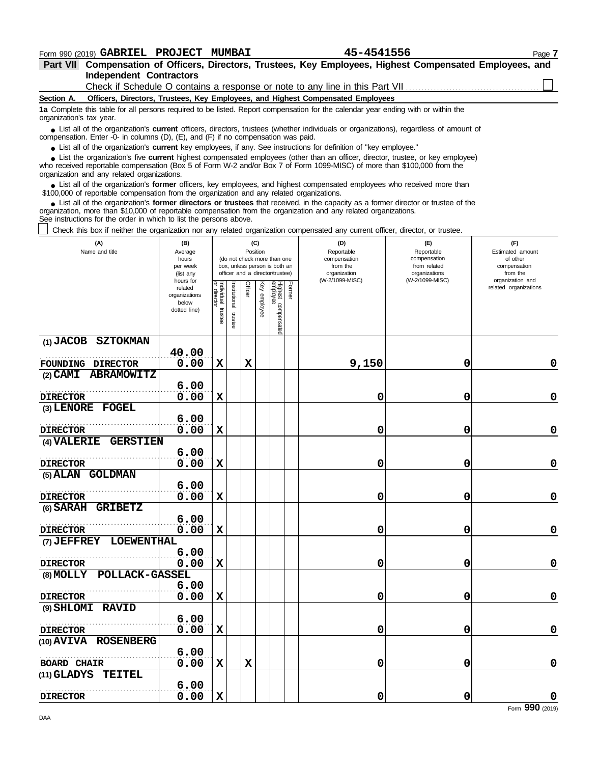**Independent Contractors Part VII Compensation of Officers, Directors, Trustees, Key Employees, Highest Compensated Employees, and** Check if Schedule O contains a response or note to any line in this Part VII.

**Section A. Officers, Directors, Trustees, Key Employees, and Highest Compensated Employees**

**1a** Complete this table for all persons required to be listed. Report compensation for the calendar year ending with or within the organization's tax year.

■ List all of the organization's **current** officers, directors, trustees (whether individuals or organizations), regardless of amount of the organization and the organization was paid compensation. Enter -0- in columns (D), (E), and (F) if no compensation was paid.

● List all of the organization's **current** key employees, if any. See instructions for definition of "key employee."

who received reportable compensation (Box 5 of Form W-2 and/or Box 7 of Form 1099-MISC) of more than \$100,000 from the organization and any related organizations. ■ List the organization's five **current** highest compensated employees (other than an officer, director, trustee, or key employee)<br> **•** Peceived reportable compensation (Box 5 of Form W-2 and/or Box 7 of Form 1000-MISC) o

■ List all of the organization's **former** officers, key employees, and highest compensated employees who received more than<br>00,000 of reportable compensation from the organization and any related organizations \$100,000 of reportable compensation from the organization and any related organizations.

■ List all of the organization's **former directors or trustees** that received, in the capacity as a former director or trustee of the prization more than \$10,000 of reportable compensation from the organization and any re organization, more than \$10,000 of reportable compensation from the organization and any related organizations. See instructions for the order in which to list the persons above.

Check this box if neither the organization nor any related organization compensated any current officer, director, or trustee.

| (A)<br>Name and title              | (B)<br>Average<br>hours<br>per week<br>(list any               |                                      | (C)<br>Position<br>(do not check more than one<br>box, unless person is both an<br>officer and a director/trustee) |             |              |                                           | (D)<br>Reportable<br>compensation<br>from the<br>organization | (E)<br>Reportable<br>compensation<br>from related<br>organizations<br>(W-2/1099-MISC) | (F)<br>Estimated amount<br>of other<br>compensation<br>from the<br>organization and |
|------------------------------------|----------------------------------------------------------------|--------------------------------------|--------------------------------------------------------------------------------------------------------------------|-------------|--------------|-------------------------------------------|---------------------------------------------------------------|---------------------------------------------------------------------------------------|-------------------------------------------------------------------------------------|
|                                    | hours for<br>related<br>organizations<br>below<br>dotted line) | Individual<br>or director<br>trustee | nstitutional<br>trustee                                                                                            | Officer     | Key employee | Highest compensated<br>employee<br>Former | (W-2/1099-MISC)                                               |                                                                                       | related organizations                                                               |
| (1) JACOB SZTOKMAN                 |                                                                |                                      |                                                                                                                    |             |              |                                           |                                                               |                                                                                       |                                                                                     |
| FOUNDING DIRECTOR                  | 40.00<br>0.00                                                  | $\mathbf x$                          |                                                                                                                    | $\mathbf x$ |              |                                           | 9,150                                                         | 0                                                                                     | 0                                                                                   |
| <b>ABRAMOWITZ</b><br>$(2)$ CAMI    |                                                                |                                      |                                                                                                                    |             |              |                                           |                                                               |                                                                                       |                                                                                     |
|                                    | 6.00                                                           |                                      |                                                                                                                    |             |              |                                           |                                                               |                                                                                       |                                                                                     |
| <b>DIRECTOR</b>                    | 0.00                                                           | $\mathbf x$                          |                                                                                                                    |             |              |                                           | 0                                                             | 0                                                                                     | 0                                                                                   |
| (3) LENORE FOGEL                   |                                                                |                                      |                                                                                                                    |             |              |                                           |                                                               |                                                                                       |                                                                                     |
|                                    | 6.00                                                           |                                      |                                                                                                                    |             |              |                                           |                                                               |                                                                                       |                                                                                     |
| <b>DIRECTOR</b>                    | 0.00                                                           | $\mathbf x$                          |                                                                                                                    |             |              |                                           | 0                                                             | 0                                                                                     | $\pmb{0}$                                                                           |
| (4) VALERIE<br><b>GERSTIEN</b>     |                                                                |                                      |                                                                                                                    |             |              |                                           |                                                               |                                                                                       |                                                                                     |
|                                    | 6.00                                                           |                                      |                                                                                                                    |             |              |                                           |                                                               |                                                                                       |                                                                                     |
| <b>DIRECTOR</b>                    | 0.00                                                           | $\mathbf x$                          |                                                                                                                    |             |              |                                           | 0                                                             | 0                                                                                     | $\mathbf 0$                                                                         |
| (5) ALAN GOLDMAN                   | 6.00                                                           |                                      |                                                                                                                    |             |              |                                           |                                                               |                                                                                       |                                                                                     |
| <b>DIRECTOR</b>                    | 0.00                                                           | $\mathbf x$                          |                                                                                                                    |             |              |                                           | 0                                                             | 0                                                                                     | $\pmb{0}$                                                                           |
| (6) SARAH GRIBETZ                  |                                                                |                                      |                                                                                                                    |             |              |                                           |                                                               |                                                                                       |                                                                                     |
|                                    | 6.00                                                           |                                      |                                                                                                                    |             |              |                                           |                                                               |                                                                                       |                                                                                     |
| <b>DIRECTOR</b>                    | 0.00                                                           | X                                    |                                                                                                                    |             |              |                                           | 0                                                             | 0                                                                                     | $\mathbf 0$                                                                         |
| LOEWENTHAL<br>(7) JEFFREY          |                                                                |                                      |                                                                                                                    |             |              |                                           |                                                               |                                                                                       |                                                                                     |
|                                    | 6.00                                                           |                                      |                                                                                                                    |             |              |                                           |                                                               |                                                                                       |                                                                                     |
| <b>DIRECTOR</b>                    | 0.00                                                           | $\mathbf x$                          |                                                                                                                    |             |              |                                           | 0                                                             | 0                                                                                     | $\mathbf 0$                                                                         |
| <b>POLLACK-GASSEL</b><br>(8) MOLLY |                                                                |                                      |                                                                                                                    |             |              |                                           |                                                               |                                                                                       |                                                                                     |
|                                    | 6.00                                                           |                                      |                                                                                                                    |             |              |                                           |                                                               |                                                                                       |                                                                                     |
| <b>DIRECTOR</b>                    | 0.00                                                           | $\mathbf x$                          |                                                                                                                    |             |              |                                           | 0                                                             | 0                                                                                     | $\pmb{0}$                                                                           |
| (9) SHLOMI RAVID                   |                                                                |                                      |                                                                                                                    |             |              |                                           |                                                               |                                                                                       |                                                                                     |
|                                    | 6.00                                                           |                                      |                                                                                                                    |             |              |                                           |                                                               |                                                                                       |                                                                                     |
| <b>DIRECTOR</b>                    | 0.00                                                           | X                                    |                                                                                                                    |             |              |                                           | 0                                                             | 0                                                                                     | $\pmb{0}$                                                                           |
| (10) AVIVA ROSENBERG               | 6.00                                                           |                                      |                                                                                                                    |             |              |                                           |                                                               |                                                                                       |                                                                                     |
| <b>BOARD CHAIR</b>                 | 0.00                                                           | X                                    |                                                                                                                    | $\mathbf x$ |              |                                           | 0                                                             | 0                                                                                     | $\mathbf 0$                                                                         |
| (11) GLADYS<br><b>TEITEL</b>       |                                                                |                                      |                                                                                                                    |             |              |                                           |                                                               |                                                                                       |                                                                                     |
|                                    | 6.00                                                           |                                      |                                                                                                                    |             |              |                                           |                                                               |                                                                                       |                                                                                     |
| <b>DIRECTOR</b>                    | 0.00                                                           | X                                    |                                                                                                                    |             |              |                                           | 0                                                             | 0                                                                                     | $\pmb{0}$                                                                           |

Form **990** (2019)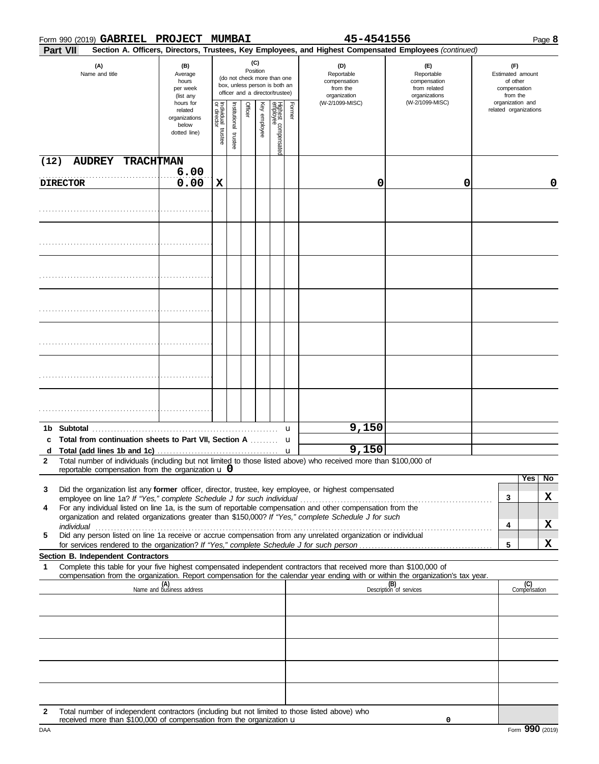| Part VII              |                                                                                                                                                                                       |                                                                |                                   |                       |                                                                                                 |                 |                                 |        | Section A. Officers, Directors, Trustees, Key Employees, and Highest Compensated Employees (continued) |                                                                    |                                                                 |                     |
|-----------------------|---------------------------------------------------------------------------------------------------------------------------------------------------------------------------------------|----------------------------------------------------------------|-----------------------------------|-----------------------|-------------------------------------------------------------------------------------------------|-----------------|---------------------------------|--------|--------------------------------------------------------------------------------------------------------|--------------------------------------------------------------------|-----------------------------------------------------------------|---------------------|
| (A)<br>Name and title |                                                                                                                                                                                       | (B)<br>Average<br>hours<br>per week<br>(list any               |                                   |                       | (do not check more than one<br>box, unless person is both an<br>officer and a director/trustee) | (C)<br>Position |                                 |        | (D)<br>Reportable<br>compensation<br>from the<br>organization                                          | (F)<br>Reportable<br>compensation<br>from related<br>organizations | (F)<br>Estimated amount<br>of other<br>compensation<br>from the |                     |
|                       |                                                                                                                                                                                       | hours for<br>related<br>organizations<br>below<br>dotted line) | Individual trustee<br>or director | Institutional trustee | Officer                                                                                         | Key employee    | Highest compensated<br>employee | Former | (W-2/1099-MISC)                                                                                        | (W-2/1099-MISC)                                                    | organization and<br>related organizations                       |                     |
| (12)                  | <b>AUDREY TRACHTMAN</b><br><b>DIRECTOR</b>                                                                                                                                            | 6.00<br>0.00                                                   | X                                 |                       |                                                                                                 |                 |                                 |        | 0                                                                                                      | 0                                                                  |                                                                 | $\mathbf 0$         |
|                       |                                                                                                                                                                                       |                                                                |                                   |                       |                                                                                                 |                 |                                 |        |                                                                                                        |                                                                    |                                                                 |                     |
|                       |                                                                                                                                                                                       |                                                                |                                   |                       |                                                                                                 |                 |                                 |        |                                                                                                        |                                                                    |                                                                 |                     |
|                       |                                                                                                                                                                                       |                                                                |                                   |                       |                                                                                                 |                 |                                 |        |                                                                                                        |                                                                    |                                                                 |                     |
|                       |                                                                                                                                                                                       |                                                                |                                   |                       |                                                                                                 |                 |                                 |        |                                                                                                        |                                                                    |                                                                 |                     |
|                       |                                                                                                                                                                                       |                                                                |                                   |                       |                                                                                                 |                 |                                 |        |                                                                                                        |                                                                    |                                                                 |                     |
|                       |                                                                                                                                                                                       |                                                                |                                   |                       |                                                                                                 |                 |                                 |        |                                                                                                        |                                                                    |                                                                 |                     |
|                       |                                                                                                                                                                                       |                                                                |                                   |                       |                                                                                                 |                 |                                 |        |                                                                                                        |                                                                    |                                                                 |                     |
| 1b                    | Total from continuation sheets to Part VII, Section A                                                                                                                                 |                                                                |                                   |                       |                                                                                                 |                 |                                 | u<br>u | 9,150                                                                                                  |                                                                    |                                                                 |                     |
|                       | Total number of individuals (including but not limited to those listed above) who received more than \$100,000 of<br>reportable compensation from the organization $\bf{u}$ 0         |                                                                |                                   |                       |                                                                                                 |                 |                                 | u      | 9,150                                                                                                  |                                                                    |                                                                 |                     |
| 3                     | Did the organization list any former officer, director, trustee, key employee, or highest compensated                                                                                 |                                                                |                                   |                       |                                                                                                 |                 |                                 |        |                                                                                                        |                                                                    |                                                                 | Yes<br>No           |
| 4                     | employee on line 1a? If "Yes," complete Schedule J for such individual<br>For any individual listed on line 1a, is the sum of reportable compensation and other compensation from the |                                                                |                                   |                       |                                                                                                 |                 |                                 |        |                                                                                                        |                                                                    | 3                                                               | X                   |
|                       | organization and related organizations greater than \$150,000? If "Yes," complete Schedule J for such                                                                                 |                                                                |                                   |                       |                                                                                                 |                 |                                 |        |                                                                                                        |                                                                    | 4                                                               | x                   |
| 5                     | Did any person listed on line 1a receive or accrue compensation from any unrelated organization or individual                                                                         |                                                                |                                   |                       |                                                                                                 |                 |                                 |        |                                                                                                        |                                                                    | 5                                                               | X                   |
| 1                     | Section B. Independent Contractors<br>Complete this table for your five highest compensated independent contractors that received more than \$100,000 of                              |                                                                |                                   |                       |                                                                                                 |                 |                                 |        |                                                                                                        |                                                                    |                                                                 |                     |
|                       | compensation from the organization. Report compensation for the calendar year ending with or within the organization's tax year.                                                      | (A)<br>Name and business address                               |                                   |                       |                                                                                                 |                 |                                 |        |                                                                                                        | (B)<br>Description of services                                     |                                                                 | (C)<br>Compensation |
|                       |                                                                                                                                                                                       |                                                                |                                   |                       |                                                                                                 |                 |                                 |        |                                                                                                        |                                                                    |                                                                 |                     |
|                       |                                                                                                                                                                                       |                                                                |                                   |                       |                                                                                                 |                 |                                 |        |                                                                                                        |                                                                    |                                                                 |                     |
|                       |                                                                                                                                                                                       |                                                                |                                   |                       |                                                                                                 |                 |                                 |        |                                                                                                        |                                                                    |                                                                 |                     |
|                       |                                                                                                                                                                                       |                                                                |                                   |                       |                                                                                                 |                 |                                 |        |                                                                                                        |                                                                    |                                                                 |                     |
|                       |                                                                                                                                                                                       |                                                                |                                   |                       |                                                                                                 |                 |                                 |        |                                                                                                        |                                                                    |                                                                 |                     |
| 2                     | Total number of independent contractors (including but not limited to those listed above) who                                                                                         |                                                                |                                   |                       |                                                                                                 |                 |                                 |        |                                                                                                        |                                                                    |                                                                 |                     |

DAA Form **990** (2019) received more than \$100,000 of compensation from the organization u **0**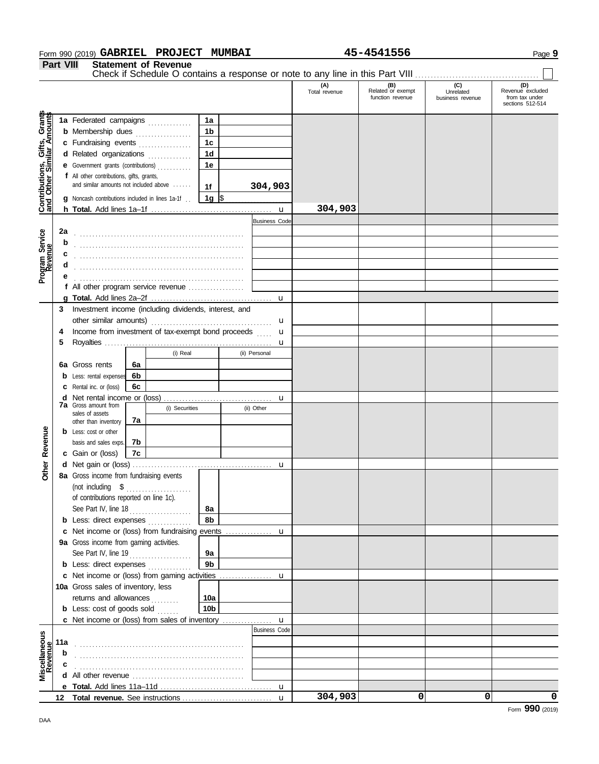#### Form 990 (2019) Page **9 GABRIEL PROJECT MUMBAI 45-4541556**

**Part VIII Statement of Revenue**

|                                                                  | <b>Fail VIII</b> |                                                         |    | Statement of Revenue |                 |                      |              |                      |                                              |                                      |                                                               |
|------------------------------------------------------------------|------------------|---------------------------------------------------------|----|----------------------|-----------------|----------------------|--------------|----------------------|----------------------------------------------|--------------------------------------|---------------------------------------------------------------|
|                                                                  |                  |                                                         |    |                      |                 |                      |              | (A)<br>Total revenue | (B)<br>Related or exempt<br>function revenue | (C)<br>Unrelated<br>business revenue | (D)<br>Revenue excluded<br>from tax under<br>sections 512-514 |
|                                                                  |                  | 1a Federated campaigns                                  |    |                      | 1a              |                      |              |                      |                                              |                                      |                                                               |
|                                                                  |                  | <b>b</b> Membership dues                                |    |                      | 1 <sub>b</sub>  |                      |              |                      |                                              |                                      |                                                               |
|                                                                  |                  | c Fundraising events                                    |    |                      | 1 <sub>c</sub>  |                      |              |                      |                                              |                                      |                                                               |
|                                                                  |                  | d Related organizations                                 |    | .                    | 1 <sub>d</sub>  |                      |              |                      |                                              |                                      |                                                               |
| <b>Contributions, Gifts, Grants</b><br>and Other Similar Amounts |                  | e Government grants (contributions)                     |    |                      | 1e              |                      |              |                      |                                              |                                      |                                                               |
|                                                                  |                  | f All other contributions, gifts, grants,               |    |                      |                 |                      |              |                      |                                              |                                      |                                                               |
|                                                                  |                  | and similar amounts not included above                  |    |                      | 1f              | 304,903              |              |                      |                                              |                                      |                                                               |
|                                                                  |                  | g Noncash contributions included in lines 1a-1f         |    |                      | 1g $\vert$ \$   |                      |              |                      |                                              |                                      |                                                               |
|                                                                  |                  |                                                         |    |                      |                 |                      | $\mathbf{u}$ | 304,903              |                                              |                                      |                                                               |
|                                                                  |                  |                                                         |    |                      |                 | <b>Business Code</b> |              |                      |                                              |                                      |                                                               |
|                                                                  | 2a               |                                                         |    |                      |                 |                      |              |                      |                                              |                                      |                                                               |
|                                                                  | b                |                                                         |    |                      |                 |                      |              |                      |                                              |                                      |                                                               |
| Program Service<br>Revenue                                       | с                |                                                         |    |                      |                 |                      |              |                      |                                              |                                      |                                                               |
|                                                                  |                  |                                                         |    |                      |                 |                      |              |                      |                                              |                                      |                                                               |
|                                                                  |                  |                                                         |    |                      |                 |                      |              |                      |                                              |                                      |                                                               |
|                                                                  |                  | f All other program service revenue                     |    |                      |                 |                      |              |                      |                                              |                                      |                                                               |
|                                                                  |                  |                                                         |    |                      |                 |                      |              |                      |                                              |                                      |                                                               |
|                                                                  |                  | 3 Investment income (including dividends, interest, and |    |                      |                 |                      |              |                      |                                              |                                      |                                                               |
|                                                                  |                  | other similar amounts)                                  |    |                      |                 |                      | u            |                      |                                              |                                      |                                                               |
|                                                                  | 4                | Income from investment of tax-exempt bond proceeds      |    |                      |                 | .                    | u            |                      |                                              |                                      |                                                               |
|                                                                  | 5                |                                                         |    |                      |                 |                      | u            |                      |                                              |                                      |                                                               |
|                                                                  |                  |                                                         |    | (i) Real             |                 | (ii) Personal        |              |                      |                                              |                                      |                                                               |
|                                                                  | 6а               | Gross rents                                             | 6a |                      |                 |                      |              |                      |                                              |                                      |                                                               |
|                                                                  | b                | Less: rental expenses                                   | 6b |                      |                 |                      |              |                      |                                              |                                      |                                                               |
|                                                                  |                  | Rental inc. or (loss)                                   | 6с |                      |                 |                      |              |                      |                                              |                                      |                                                               |
|                                                                  | d                |                                                         |    |                      |                 |                      | u            |                      |                                              |                                      |                                                               |
|                                                                  |                  | <b>7a</b> Gross amount from<br>sales of assets          |    | (i) Securities       |                 | (ii) Other           |              |                      |                                              |                                      |                                                               |
|                                                                  |                  | other than inventory                                    | 7a |                      |                 |                      |              |                      |                                              |                                      |                                                               |
|                                                                  |                  | <b>b</b> Less: cost or other                            |    |                      |                 |                      |              |                      |                                              |                                      |                                                               |
|                                                                  |                  | basis and sales exps.                                   | 7b |                      |                 |                      |              |                      |                                              |                                      |                                                               |
|                                                                  |                  | c Gain or (loss)                                        | 7c |                      |                 |                      |              |                      |                                              |                                      |                                                               |
| <b>Other Revenue</b>                                             |                  |                                                         |    |                      |                 |                      | u            |                      |                                              |                                      |                                                               |
|                                                                  |                  | 8a Gross income from fundraising events                 |    |                      |                 |                      |              |                      |                                              |                                      |                                                               |
|                                                                  |                  |                                                         |    |                      |                 |                      |              |                      |                                              |                                      |                                                               |
|                                                                  |                  | of contributions reported on line 1c).                  |    |                      |                 |                      |              |                      |                                              |                                      |                                                               |
|                                                                  |                  | See Part IV, line 18                                    |    | .                    | 8a              |                      |              |                      |                                              |                                      |                                                               |
|                                                                  |                  | <b>b</b> Less: direct expenses                          |    |                      | 8b              |                      |              |                      |                                              |                                      |                                                               |
|                                                                  | c.               | Net income or (loss) from fundraising events            |    |                      |                 |                      | u            |                      |                                              |                                      |                                                               |
|                                                                  |                  | 9a Gross income from gaming activities.                 |    |                      |                 |                      |              |                      |                                              |                                      |                                                               |
|                                                                  |                  | See Part IV, line 19                                    |    |                      | 9a              |                      |              |                      |                                              |                                      |                                                               |
|                                                                  |                  | <b>b</b> Less: direct expenses                          |    |                      | 9 <sub>b</sub>  |                      |              |                      |                                              |                                      |                                                               |
|                                                                  |                  | c Net income or (loss) from gaming activities           |    |                      |                 |                      | u            |                      |                                              |                                      |                                                               |
|                                                                  |                  | 10a Gross sales of inventory, less                      |    |                      |                 |                      |              |                      |                                              |                                      |                                                               |
|                                                                  |                  | returns and allowances                                  |    |                      | 10a             |                      |              |                      |                                              |                                      |                                                               |
|                                                                  |                  | <b>b</b> Less: $cost$ of goods $sold$                   |    |                      | 10 <sub>b</sub> |                      |              |                      |                                              |                                      |                                                               |
|                                                                  |                  | c Net income or (loss) from sales of inventory          |    |                      |                 |                      | u            |                      |                                              |                                      |                                                               |
|                                                                  |                  |                                                         |    |                      |                 | <b>Business Code</b> |              |                      |                                              |                                      |                                                               |
|                                                                  | 11a              |                                                         |    |                      |                 |                      |              |                      |                                              |                                      |                                                               |
| Miscellaneous<br>Revenue                                         | $\mathbf b$      |                                                         |    |                      |                 |                      |              |                      |                                              |                                      |                                                               |
|                                                                  |                  |                                                         |    |                      |                 |                      |              |                      |                                              |                                      |                                                               |
|                                                                  | d                |                                                         |    |                      |                 |                      |              |                      |                                              |                                      |                                                               |
|                                                                  |                  |                                                         |    |                      |                 |                      |              |                      |                                              |                                      |                                                               |
|                                                                  |                  |                                                         |    |                      |                 |                      | $\mathbf{u}$ | 304,903              | 0                                            | 0                                    | O                                                             |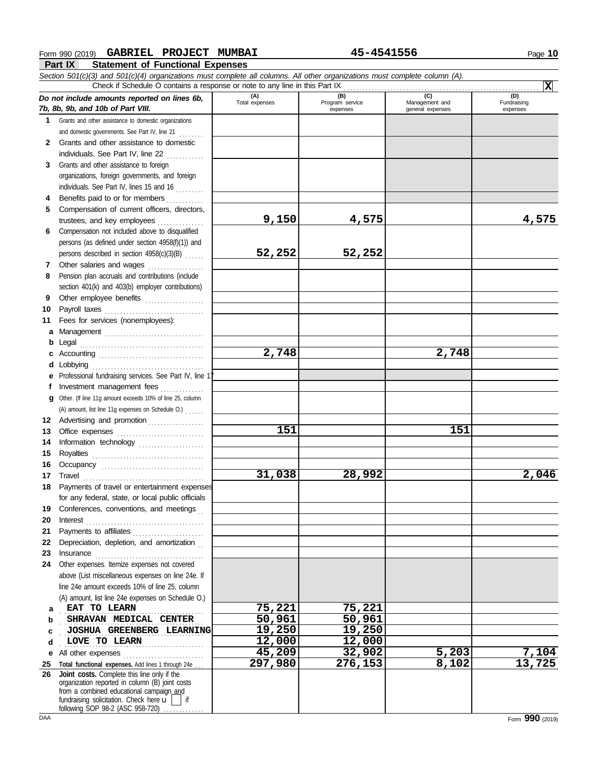**Part IX Statement of Functional Expenses**

|              | Section 501(c)(3) and 501(c)(4) organizations must complete all columns. All other organizations must complete column (A).<br>Check if Schedule O contains a response or note to any line in this Part IX                                                                                                                                                                                     |                       |                                  |                       | Ixl                |
|--------------|-----------------------------------------------------------------------------------------------------------------------------------------------------------------------------------------------------------------------------------------------------------------------------------------------------------------------------------------------------------------------------------------------|-----------------------|----------------------------------|-----------------------|--------------------|
|              | Do not include amounts reported on lines 6b,                                                                                                                                                                                                                                                                                                                                                  | (A)<br>Total expenses | (B)<br>Program service           | (C)<br>Management and | (D)<br>Fundraising |
|              | 7b, 8b, 9b, and 10b of Part VIII.                                                                                                                                                                                                                                                                                                                                                             |                       | expenses                         | general expenses      | expenses           |
| 1.           | Grants and other assistance to domestic organizations                                                                                                                                                                                                                                                                                                                                         |                       |                                  |                       |                    |
|              | and domestic governments. See Part IV, line 21                                                                                                                                                                                                                                                                                                                                                |                       |                                  |                       |                    |
| $\mathbf{2}$ | Grants and other assistance to domestic                                                                                                                                                                                                                                                                                                                                                       |                       |                                  |                       |                    |
|              | individuals. See Part IV, line 22                                                                                                                                                                                                                                                                                                                                                             |                       |                                  |                       |                    |
| 3            | Grants and other assistance to foreign                                                                                                                                                                                                                                                                                                                                                        |                       |                                  |                       |                    |
|              | organizations, foreign governments, and foreign                                                                                                                                                                                                                                                                                                                                               |                       |                                  |                       |                    |
|              | individuals. See Part IV, lines 15 and 16                                                                                                                                                                                                                                                                                                                                                     |                       |                                  |                       |                    |
| 4            | Benefits paid to or for members                                                                                                                                                                                                                                                                                                                                                               |                       |                                  |                       |                    |
| 5            | Compensation of current officers, directors,                                                                                                                                                                                                                                                                                                                                                  |                       |                                  |                       |                    |
|              |                                                                                                                                                                                                                                                                                                                                                                                               | 9,150                 | 4,575                            |                       | 4,575              |
| 6            | Compensation not included above to disqualified                                                                                                                                                                                                                                                                                                                                               |                       |                                  |                       |                    |
|              | persons (as defined under section 4958(f)(1)) and                                                                                                                                                                                                                                                                                                                                             |                       |                                  |                       |                    |
|              | persons described in section 4958(c)(3)(B)                                                                                                                                                                                                                                                                                                                                                    | 52,252                | 52,252                           |                       |                    |
| 7            | Other salaries and wages                                                                                                                                                                                                                                                                                                                                                                      |                       |                                  |                       |                    |
| 8            | Pension plan accruals and contributions (include                                                                                                                                                                                                                                                                                                                                              |                       |                                  |                       |                    |
|              | section 401(k) and 403(b) employer contributions)                                                                                                                                                                                                                                                                                                                                             |                       |                                  |                       |                    |
| 9            | Other employee benefits                                                                                                                                                                                                                                                                                                                                                                       |                       |                                  |                       |                    |
| 10           | Payroll taxes                                                                                                                                                                                                                                                                                                                                                                                 |                       |                                  |                       |                    |
| 11           | Fees for services (nonemployees):                                                                                                                                                                                                                                                                                                                                                             |                       |                                  |                       |                    |
| a            | Management                                                                                                                                                                                                                                                                                                                                                                                    |                       |                                  |                       |                    |
| b            |                                                                                                                                                                                                                                                                                                                                                                                               | 2,748                 |                                  | 2,748                 |                    |
| c            |                                                                                                                                                                                                                                                                                                                                                                                               |                       |                                  |                       |                    |
| d            | Professional fundraising services. See Part IV, line 17                                                                                                                                                                                                                                                                                                                                       |                       |                                  |                       |                    |
| е            |                                                                                                                                                                                                                                                                                                                                                                                               |                       |                                  |                       |                    |
| t.           | Investment management fees<br>g Other. (If line 11g amount exceeds 10% of line 25, column                                                                                                                                                                                                                                                                                                     |                       |                                  |                       |                    |
|              | (A) amount, list line 11g expenses on Schedule O.)                                                                                                                                                                                                                                                                                                                                            |                       |                                  |                       |                    |
|              | 12 Advertising and promotion                                                                                                                                                                                                                                                                                                                                                                  |                       |                                  |                       |                    |
| 13           |                                                                                                                                                                                                                                                                                                                                                                                               | 151                   |                                  | 151                   |                    |
| 14           | Information technology                                                                                                                                                                                                                                                                                                                                                                        |                       |                                  |                       |                    |
| 15           |                                                                                                                                                                                                                                                                                                                                                                                               |                       |                                  |                       |                    |
| 16           |                                                                                                                                                                                                                                                                                                                                                                                               |                       |                                  |                       |                    |
| 17           |                                                                                                                                                                                                                                                                                                                                                                                               | 31,038                | 28,992                           |                       | 2,046              |
| 18           | Payments of travel or entertainment expenses                                                                                                                                                                                                                                                                                                                                                  |                       |                                  |                       |                    |
|              | for any federal, state, or local public officials                                                                                                                                                                                                                                                                                                                                             |                       |                                  |                       |                    |
| 19           | Conferences, conventions, and meetings                                                                                                                                                                                                                                                                                                                                                        |                       |                                  |                       |                    |
| 20           | $\textbf{Interest} \hspace{0.05cm} \textbf{1} \hspace{0.05cm} \textbf{1} \hspace{0.05cm} \textbf{1} \hspace{0.05cm} \textbf{1} \hspace{0.05cm} \textbf{1} \hspace{0.05cm} \textbf{1} \hspace{0.05cm} \textbf{1} \hspace{0.05cm} \textbf{1} \hspace{0.05cm} \textbf{1} \hspace{0.05cm} \textbf{1} \hspace{0.05cm} \textbf{1} \hspace{0.05cm} \textbf{1} \hspace{0.05cm} \textbf{1} \hspace{0.$ |                       |                                  |                       |                    |
| 21           |                                                                                                                                                                                                                                                                                                                                                                                               |                       |                                  |                       |                    |
| 22           | Depreciation, depletion, and amortization                                                                                                                                                                                                                                                                                                                                                     |                       |                                  |                       |                    |
| 23           |                                                                                                                                                                                                                                                                                                                                                                                               |                       |                                  |                       |                    |
| 24           | Other expenses. Itemize expenses not covered                                                                                                                                                                                                                                                                                                                                                  |                       |                                  |                       |                    |
|              | above (List miscellaneous expenses on line 24e. If                                                                                                                                                                                                                                                                                                                                            |                       |                                  |                       |                    |
|              | line 24e amount exceeds 10% of line 25, column                                                                                                                                                                                                                                                                                                                                                |                       |                                  |                       |                    |
|              | (A) amount, list line 24e expenses on Schedule O.)                                                                                                                                                                                                                                                                                                                                            |                       |                                  |                       |                    |
| a            | EAT TO LEARN                                                                                                                                                                                                                                                                                                                                                                                  | 75,221                | 75,221                           |                       |                    |
| b            | SHRAVAN MEDICAL CENTER                                                                                                                                                                                                                                                                                                                                                                        | 50,961                | 50,961                           |                       |                    |
| c            | JOSHUA GREENBERG LEARNING                                                                                                                                                                                                                                                                                                                                                                     | 19,250                | 19,250                           |                       |                    |
| d            | LOVE TO LEARN                                                                                                                                                                                                                                                                                                                                                                                 | 12,000                | 12,000                           |                       |                    |
| е            | All other expenses                                                                                                                                                                                                                                                                                                                                                                            | 45,209                | 32,902<br>$\overline{276}$ , 153 | 5,203<br>8,102        | 7,104<br>13,725    |
| 25<br>26     | Total functional expenses. Add lines 1 through 24e<br>Joint costs. Complete this line only if the                                                                                                                                                                                                                                                                                             | 297,980               |                                  |                       |                    |
|              | organization reported in column (B) joint costs                                                                                                                                                                                                                                                                                                                                               |                       |                                  |                       |                    |
|              | from a combined educational campaign_and<br>fundraising solicitation. Check here $\mathbf{u}$     if                                                                                                                                                                                                                                                                                          |                       |                                  |                       |                    |
|              | following SOP 98-2 (ASC 958-720)                                                                                                                                                                                                                                                                                                                                                              |                       |                                  |                       |                    |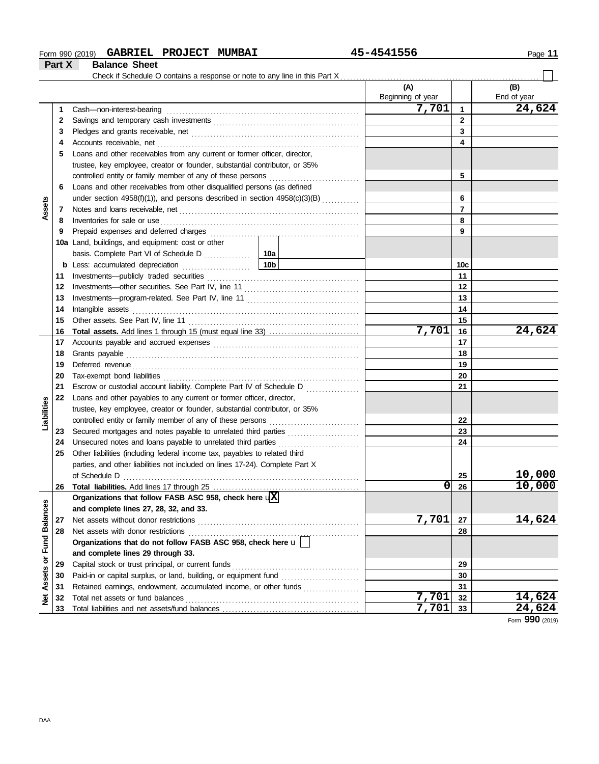#### Form 990 (2019) **GABRIEL PROJECT MUMBAI 15-4541556** Page 11 **GABRIEL PROJECT MUMBAI 45-4541556**

**Part X Balance Sheet**

|                             |    |                                                                              |       | (A)<br>Beginning of year |                | (B)<br>End of year |
|-----------------------------|----|------------------------------------------------------------------------------|-------|--------------------------|----------------|--------------------|
|                             | 1. | Cash-non-interest-bearing                                                    |       | 7,701                    | $\mathbf{1}$   | 24,624             |
|                             | 2  |                                                                              |       | $\mathbf{2}$             |                |                    |
|                             | 3  |                                                                              |       | 3                        |                |                    |
|                             | 4  | Accounts receivable, net                                                     |       | 4                        |                |                    |
|                             | 5  | Loans and other receivables from any current or former officer, director,    |       |                          |                |                    |
|                             |    | trustee, key employee, creator or founder, substantial contributor, or 35%   |       |                          |                |                    |
|                             |    | controlled entity or family member of any of these persons                   |       |                          | 5              |                    |
|                             | 6  | Loans and other receivables from other disqualified persons (as defined      |       |                          |                |                    |
|                             |    | under section 4958(f)(1)), and persons described in section $4958(c)(3)(B)$  |       |                          | 6              |                    |
| Assets                      | 7  |                                                                              |       |                          | $\overline{7}$ |                    |
|                             | 8  | Inventories for sale or use                                                  |       |                          | 8              |                    |
|                             | 9  | Prepaid expenses and deferred charges                                        |       |                          | 9              |                    |
|                             |    | 10a Land, buildings, and equipment: cost or other                            |       |                          |                |                    |
|                             |    | basis. Complete Part VI of Schedule D                                        | 10a   |                          |                |                    |
|                             |    | <b>b</b> Less: accumulated depreciation<br>.                                 | 10b   |                          | 10c            |                    |
|                             | 11 | Investments-publicly traded securities                                       |       |                          | 11             |                    |
|                             | 12 |                                                                              |       |                          | 12             |                    |
|                             | 13 |                                                                              |       |                          | 13             |                    |
|                             | 14 | Intangible assets                                                            |       |                          | 14             |                    |
|                             | 15 |                                                                              |       |                          | 15             |                    |
|                             | 16 |                                                                              |       | 7,701                    | 16             | 24,624             |
|                             | 17 |                                                                              |       |                          | 17             |                    |
|                             | 18 | Grants payable                                                               |       |                          | 18             |                    |
|                             | 19 | Deferred revenue                                                             |       |                          | 19             |                    |
|                             | 20 | Tax-exempt bond liabilities                                                  |       |                          | 20             |                    |
|                             | 21 | Escrow or custodial account liability. Complete Part IV of Schedule D        | .     |                          | 21             |                    |
|                             | 22 | Loans and other payables to any current or former officer, director,         |       |                          |                |                    |
| Liabilities                 |    | trustee, key employee, creator or founder, substantial contributor, or 35%   |       |                          |                |                    |
|                             |    | controlled entity or family member of any of these persons                   |       |                          | 22             |                    |
|                             | 23 | Secured mortgages and notes payable to unrelated third parties               |       |                          | 23             |                    |
|                             | 24 | Unsecured notes and loans payable to unrelated third parties                 |       |                          | 24             |                    |
|                             | 25 | Other liabilities (including federal income tax, payables to related third   |       |                          |                |                    |
|                             |    | parties, and other liabilities not included on lines 17-24). Complete Part X |       |                          |                |                    |
|                             |    | of Schedule D                                                                |       |                          | 25             | 10,000             |
|                             | 26 |                                                                              |       | 0                        | 26             | <u>10,000</u>      |
|                             |    | Organizations that follow FASB ASC 958, check here $\sqrt{X}$                |       |                          |                |                    |
|                             |    | and complete lines 27, 28, 32, and 33.                                       |       |                          |                |                    |
|                             | 27 | Net assets without donor restrictions                                        |       | 7,701                    | 27             | 14,624             |
|                             | 28 | Net assets with donor restrictions                                           |       |                          | 28             |                    |
|                             |    | Organizations that do not follow FASB ASC 958, check here u                  |       |                          |                |                    |
|                             |    | and complete lines 29 through 33.                                            |       |                          |                |                    |
|                             | 29 | Capital stock or trust principal, or current funds                           |       |                          | 29             |                    |
|                             | 30 | Paid-in or capital surplus, or land, building, or equipment fund             |       |                          | 30             |                    |
|                             | 31 | Retained earnings, endowment, accumulated income, or other funds             |       |                          | 31             |                    |
| Net Assets or Fund Balances | 32 | Total net assets or fund balances                                            | 7,701 | 32                       | 14,624         |                    |
|                             | 33 |                                                                              |       | 7,701                    | 33             | 24,624             |

Form **990** (2019)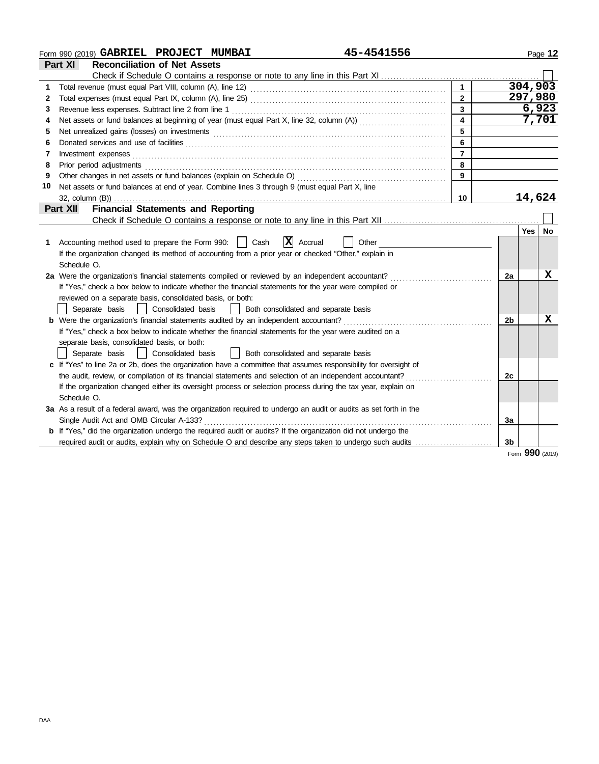|    | 45-4541556<br>Form 990 (2019) GABRIEL PROJECT MUMBAI                                                                  |                         |                |         | Page 12         |
|----|-----------------------------------------------------------------------------------------------------------------------|-------------------------|----------------|---------|-----------------|
|    | <b>Reconciliation of Net Assets</b><br>Part XI                                                                        |                         |                |         |                 |
|    |                                                                                                                       |                         |                |         |                 |
| 1  |                                                                                                                       |                         |                | 304,903 |                 |
| 2  |                                                                                                                       | $\overline{2}$          |                | 297,980 |                 |
| 3  | Revenue less expenses. Subtract line 2 from line 1                                                                    | $\mathbf{3}$            |                |         | 6,923           |
| 4  |                                                                                                                       | $\overline{\mathbf{4}}$ |                |         | 7,701           |
| 5  |                                                                                                                       | 5                       |                |         |                 |
| 6  |                                                                                                                       | 6                       |                |         |                 |
| 7  | Investment expenses                                                                                                   | $\overline{7}$          |                |         |                 |
| 8  | Prior period adjustments                                                                                              | 8                       |                |         |                 |
| 9  |                                                                                                                       | 9                       |                |         |                 |
| 10 | Net assets or fund balances at end of year. Combine lines 3 through 9 (must equal Part X, line                        |                         |                |         |                 |
|    |                                                                                                                       | 10                      |                | 14,624  |                 |
|    | <b>Financial Statements and Reporting</b><br>Part XII                                                                 |                         |                |         |                 |
|    |                                                                                                                       |                         |                |         |                 |
|    |                                                                                                                       |                         |                | Yes I   | <b>No</b>       |
| 1. | $ \mathbf{X} $ Accrual<br>Accounting method used to prepare the Form 990:    <br>Cash<br>Other                        |                         |                |         |                 |
|    | If the organization changed its method of accounting from a prior year or checked "Other," explain in                 |                         |                |         |                 |
|    | Schedule O.                                                                                                           |                         |                |         |                 |
|    | 2a Were the organization's financial statements compiled or reviewed by an independent accountant?                    |                         | 2a             |         | x               |
|    | If "Yes," check a box below to indicate whether the financial statements for the year were compiled or                |                         |                |         |                 |
|    | reviewed on a separate basis, consolidated basis, or both:                                                            |                         |                |         |                 |
|    | Separate basis<br>Consolidated basis<br>Both consolidated and separate basis                                          |                         |                |         |                 |
|    | <b>b</b> Were the organization's financial statements audited by an independent accountant?                           |                         | 2b             |         | x               |
|    | If "Yes," check a box below to indicate whether the financial statements for the year were audited on a               |                         |                |         |                 |
|    | separate basis, consolidated basis, or both:                                                                          |                         |                |         |                 |
|    | Both consolidated and separate basis<br>Separate basis<br>Consolidated basis                                          |                         |                |         |                 |
|    | c If "Yes" to line 2a or 2b, does the organization have a committee that assumes responsibility for oversight of      |                         |                |         |                 |
|    | the audit, review, or compilation of its financial statements and selection of an independent accountant?             |                         | 2c             |         |                 |
|    | If the organization changed either its oversight process or selection process during the tax year, explain on         |                         |                |         |                 |
|    | Schedule O.                                                                                                           |                         |                |         |                 |
|    | 3a As a result of a federal award, was the organization required to undergo an audit or audits as set forth in the    |                         |                |         |                 |
|    | Single Audit Act and OMB Circular A-133?                                                                              |                         | За             |         |                 |
|    | <b>b</b> If "Yes," did the organization undergo the required audit or audits? If the organization did not undergo the |                         |                |         |                 |
|    | required audit or audits, explain why on Schedule O and describe any steps taken to undergo such audits               |                         | 3 <sub>b</sub> |         |                 |
|    |                                                                                                                       |                         |                |         | Form 990 (2019) |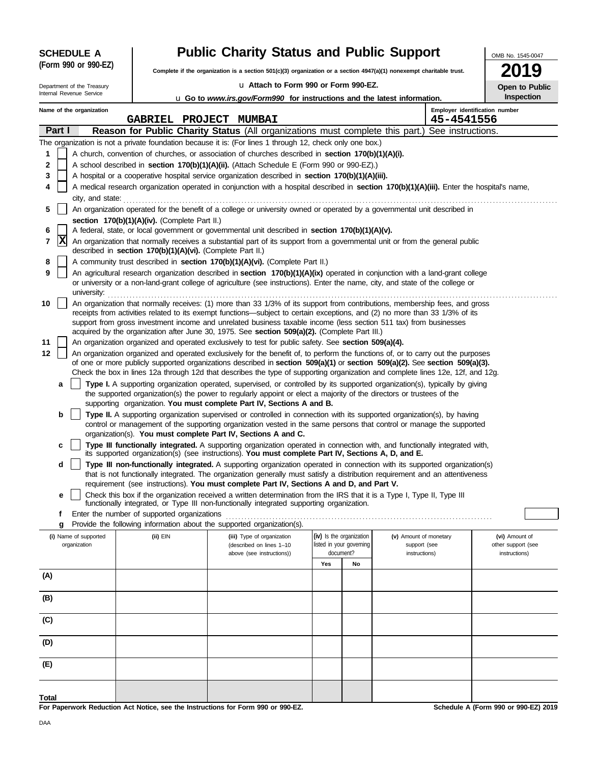| <b>SCHEDULE A</b> |                                       |                                                                                                                      | <b>Public Charity Status and Public Support</b>                                                                                                                                                                                                                                                                                                                               |                   |                                                      |                                        |            | OMB No. 1545-0047                    |
|-------------------|---------------------------------------|----------------------------------------------------------------------------------------------------------------------|-------------------------------------------------------------------------------------------------------------------------------------------------------------------------------------------------------------------------------------------------------------------------------------------------------------------------------------------------------------------------------|-------------------|------------------------------------------------------|----------------------------------------|------------|--------------------------------------|
|                   | (Form 990 or 990-EZ)                  | Complete if the organization is a section 501(c)(3) organization or a section 4947(a)(1) nonexempt charitable trust. | 2019                                                                                                                                                                                                                                                                                                                                                                          |                   |                                                      |                                        |            |                                      |
|                   | Department of the Treasury            |                                                                                                                      | Open to Public                                                                                                                                                                                                                                                                                                                                                                |                   |                                                      |                                        |            |                                      |
|                   | Internal Revenue Service              |                                                                                                                      | u Go to www.irs.gov/Form990 for instructions and the latest information.                                                                                                                                                                                                                                                                                                      | <b>Inspection</b> |                                                      |                                        |            |                                      |
|                   | Name of the organization              | GABRIEL PROJECT MUMBAI                                                                                               |                                                                                                                                                                                                                                                                                                                                                                               |                   |                                                      |                                        | 45-4541556 | Employer identification number       |
| Part I            |                                       |                                                                                                                      | <b>Reason for Public Charity Status</b> (All organizations must complete this part.) See instructions.                                                                                                                                                                                                                                                                        |                   |                                                      |                                        |            |                                      |
|                   |                                       |                                                                                                                      | The organization is not a private foundation because it is: (For lines 1 through 12, check only one box.)                                                                                                                                                                                                                                                                     |                   |                                                      |                                        |            |                                      |
| 1                 |                                       |                                                                                                                      | A church, convention of churches, or association of churches described in section 170(b)(1)(A)(i).                                                                                                                                                                                                                                                                            |                   |                                                      |                                        |            |                                      |
| 2                 |                                       |                                                                                                                      | A school described in section 170(b)(1)(A)(ii). (Attach Schedule E (Form 990 or 990-EZ).)                                                                                                                                                                                                                                                                                     |                   |                                                      |                                        |            |                                      |
| 3                 |                                       |                                                                                                                      | A hospital or a cooperative hospital service organization described in section 170(b)(1)(A)(iii).                                                                                                                                                                                                                                                                             |                   |                                                      |                                        |            |                                      |
| 4                 | city, and state:                      |                                                                                                                      | A medical research organization operated in conjunction with a hospital described in section 170(b)(1)(A)(iii). Enter the hospital's name,                                                                                                                                                                                                                                    |                   |                                                      |                                        |            |                                      |
| 5                 |                                       |                                                                                                                      | An organization operated for the benefit of a college or university owned or operated by a governmental unit described in                                                                                                                                                                                                                                                     |                   |                                                      |                                        |            |                                      |
|                   |                                       | section 170(b)(1)(A)(iv). (Complete Part II.)                                                                        |                                                                                                                                                                                                                                                                                                                                                                               |                   |                                                      |                                        |            |                                      |
| 6                 |                                       |                                                                                                                      | A federal, state, or local government or governmental unit described in section 170(b)(1)(A)(v).                                                                                                                                                                                                                                                                              |                   |                                                      |                                        |            |                                      |
| X<br>7            |                                       | described in section 170(b)(1)(A)(vi). (Complete Part II.)                                                           | An organization that normally receives a substantial part of its support from a governmental unit or from the general public                                                                                                                                                                                                                                                  |                   |                                                      |                                        |            |                                      |
| 8                 |                                       |                                                                                                                      | A community trust described in section 170(b)(1)(A)(vi). (Complete Part II.)                                                                                                                                                                                                                                                                                                  |                   |                                                      |                                        |            |                                      |
| 9                 |                                       |                                                                                                                      | An agricultural research organization described in section 170(b)(1)(A)(ix) operated in conjunction with a land-grant college<br>or university or a non-land-grant college of agriculture (see instructions). Enter the name, city, and state of the college or                                                                                                               |                   |                                                      |                                        |            |                                      |
| 10                |                                       |                                                                                                                      | university: www.communications.com/www.communications.com/www.communications.com/www.communications.com/www.com<br>An organization that normally receives: (1) more than 33 1/3% of its support from contributions, membership fees, and gross<br>receipts from activities related to its exempt functions—subject to certain exceptions, and (2) no more than 33 1/3% of its |                   |                                                      |                                        |            |                                      |
|                   |                                       |                                                                                                                      | support from gross investment income and unrelated business taxable income (less section 511 tax) from businesses<br>acquired by the organization after June 30, 1975. See section 509(a)(2). (Complete Part III.)                                                                                                                                                            |                   |                                                      |                                        |            |                                      |
| 11                |                                       |                                                                                                                      | An organization organized and operated exclusively to test for public safety. See section 509(a)(4).                                                                                                                                                                                                                                                                          |                   |                                                      |                                        |            |                                      |
| 12                |                                       |                                                                                                                      | An organization organized and operated exclusively for the benefit of, to perform the functions of, or to carry out the purposes<br>of one or more publicly supported organizations described in section 509(a)(1) or section 509(a)(2). See section 509(a)(3).                                                                                                               |                   |                                                      |                                        |            |                                      |
| a                 |                                       |                                                                                                                      | Check the box in lines 12a through 12d that describes the type of supporting organization and complete lines 12e, 12f, and 12g.<br>Type I. A supporting organization operated, supervised, or controlled by its supported organization(s), typically by giving                                                                                                                |                   |                                                      |                                        |            |                                      |
|                   |                                       |                                                                                                                      | the supported organization(s) the power to regularly appoint or elect a majority of the directors or trustees of the<br>supporting organization. You must complete Part IV, Sections A and B.                                                                                                                                                                                 |                   |                                                      |                                        |            |                                      |
| b                 |                                       |                                                                                                                      | Type II. A supporting organization supervised or controlled in connection with its supported organization(s), by having<br>control or management of the supporting organization vested in the same persons that control or manage the supported<br>organization(s). You must complete Part IV, Sections A and C.                                                              |                   |                                                      |                                        |            |                                      |
| c                 |                                       |                                                                                                                      | Type III functionally integrated. A supporting organization operated in connection with, and functionally integrated with,<br>its supported organization(s) (see instructions). You must complete Part IV, Sections A, D, and E.                                                                                                                                              |                   |                                                      |                                        |            |                                      |
| d                 |                                       |                                                                                                                      | Type III non-functionally integrated. A supporting organization operated in connection with its supported organization(s)<br>that is not functionally integrated. The organization generally must satisfy a distribution requirement and an attentiveness                                                                                                                     |                   |                                                      |                                        |            |                                      |
|                   |                                       |                                                                                                                      | requirement (see instructions). You must complete Part IV, Sections A and D, and Part V.                                                                                                                                                                                                                                                                                      |                   |                                                      |                                        |            |                                      |
| е                 |                                       |                                                                                                                      | Check this box if the organization received a written determination from the IRS that it is a Type I, Type II, Type III<br>functionally integrated, or Type III non-functionally integrated supporting organization.                                                                                                                                                          |                   |                                                      |                                        |            |                                      |
|                   |                                       | Enter the number of supported organizations                                                                          |                                                                                                                                                                                                                                                                                                                                                                               |                   |                                                      |                                        |            |                                      |
| g                 |                                       |                                                                                                                      | Provide the following information about the supported organization(s).                                                                                                                                                                                                                                                                                                        |                   |                                                      |                                        |            |                                      |
|                   | (i) Name of supported<br>organization | (ii) EIN                                                                                                             | (iii) Type of organization<br>(described on lines 1-10                                                                                                                                                                                                                                                                                                                        |                   | (iv) Is the organization<br>listed in your governing | (v) Amount of monetary<br>support (see |            | (vi) Amount of<br>other support (see |
|                   |                                       |                                                                                                                      | above (see instructions))                                                                                                                                                                                                                                                                                                                                                     |                   | document?                                            | instructions)                          |            | instructions)                        |
| (A)               |                                       |                                                                                                                      |                                                                                                                                                                                                                                                                                                                                                                               | Yes               | No                                                   |                                        |            |                                      |
|                   |                                       |                                                                                                                      |                                                                                                                                                                                                                                                                                                                                                                               |                   |                                                      |                                        |            |                                      |
| (B)               |                                       |                                                                                                                      |                                                                                                                                                                                                                                                                                                                                                                               |                   |                                                      |                                        |            |                                      |
| (C)               |                                       |                                                                                                                      |                                                                                                                                                                                                                                                                                                                                                                               |                   |                                                      |                                        |            |                                      |
| (D)               |                                       |                                                                                                                      |                                                                                                                                                                                                                                                                                                                                                                               |                   |                                                      |                                        |            |                                      |
| (E)               |                                       |                                                                                                                      |                                                                                                                                                                                                                                                                                                                                                                               |                   |                                                      |                                        |            |                                      |
| Total             |                                       |                                                                                                                      |                                                                                                                                                                                                                                                                                                                                                                               |                   |                                                      |                                        |            |                                      |
|                   |                                       |                                                                                                                      | For Paperwork Reduction Act Notice, see the Instructions for Form 990 or 990-EZ.                                                                                                                                                                                                                                                                                              |                   |                                                      |                                        |            | Schedule A (Form 990 or 990-EZ) 2019 |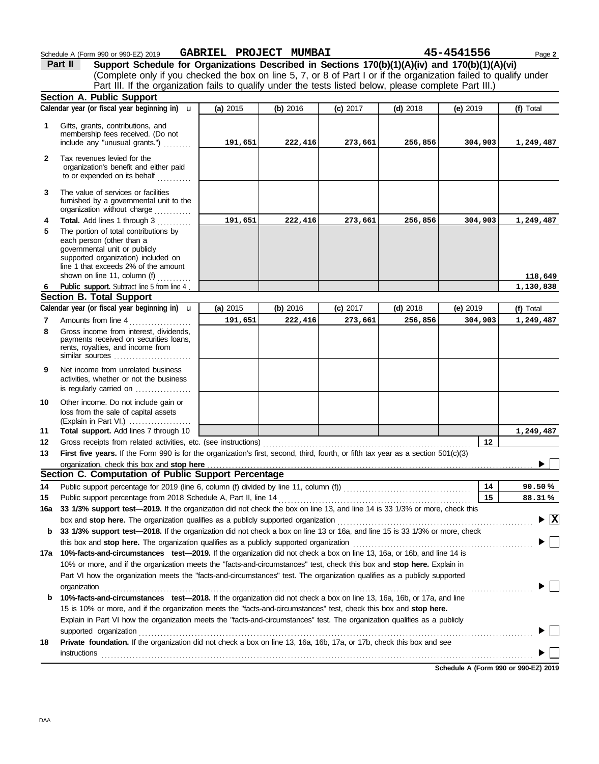|              | Schedule A (Form 990 or 990-EZ) 2019                                                                                                                                                                  | GABRIEL PROJECT MUMBAI |          |            |            | 45-4541556 | Page 2                             |
|--------------|-------------------------------------------------------------------------------------------------------------------------------------------------------------------------------------------------------|------------------------|----------|------------|------------|------------|------------------------------------|
|              | Support Schedule for Organizations Described in Sections 170(b)(1)(A)(iv) and 170(b)(1)(A)(vi)<br>Part II                                                                                             |                        |          |            |            |            |                                    |
|              | (Complete only if you checked the box on line 5, 7, or 8 of Part I or if the organization failed to qualify under                                                                                     |                        |          |            |            |            |                                    |
|              | Part III. If the organization fails to qualify under the tests listed below, please complete Part III.)                                                                                               |                        |          |            |            |            |                                    |
|              | Section A. Public Support                                                                                                                                                                             |                        |          |            |            |            |                                    |
|              | Calendar year (or fiscal year beginning in) $\mathbf u$                                                                                                                                               | (a) 2015               | (b) 2016 | (c) 2017   | $(d)$ 2018 | (e) $2019$ | (f) Total                          |
| 1            | Gifts, grants, contributions, and                                                                                                                                                                     |                        |          |            |            |            |                                    |
|              | membership fees received. (Do not                                                                                                                                                                     |                        |          |            |            |            |                                    |
|              | include any "unusual grants.")                                                                                                                                                                        | 191,651                | 222,416  | 273,661    | 256,856    | 304,903    | 1,249,487                          |
| $\mathbf{2}$ | Tax revenues levied for the                                                                                                                                                                           |                        |          |            |            |            |                                    |
|              | organization's benefit and either paid                                                                                                                                                                |                        |          |            |            |            |                                    |
|              | to or expended on its behalf                                                                                                                                                                          |                        |          |            |            |            |                                    |
| 3            | The value of services or facilities                                                                                                                                                                   |                        |          |            |            |            |                                    |
|              | furnished by a governmental unit to the                                                                                                                                                               |                        |          |            |            |            |                                    |
|              | organization without charge                                                                                                                                                                           |                        |          |            |            |            |                                    |
| 4            | Total. Add lines 1 through 3                                                                                                                                                                          | 191,651                | 222,416  | 273,661    | 256,856    | 304,903    | 1,249,487                          |
| 5            | The portion of total contributions by                                                                                                                                                                 |                        |          |            |            |            |                                    |
|              | each person (other than a<br>governmental unit or publicly                                                                                                                                            |                        |          |            |            |            |                                    |
|              | supported organization) included on                                                                                                                                                                   |                        |          |            |            |            |                                    |
|              | line 1 that exceeds 2% of the amount                                                                                                                                                                  |                        |          |            |            |            |                                    |
|              | shown on line 11, column (f)                                                                                                                                                                          |                        |          |            |            |            | 118,649                            |
| 6            | Public support. Subtract line 5 from line 4.                                                                                                                                                          |                        |          |            |            |            | 1,130,838                          |
|              | <b>Section B. Total Support</b>                                                                                                                                                                       |                        |          |            |            |            |                                    |
|              | Calendar year (or fiscal year beginning in) $\mathbf u$                                                                                                                                               | (a) 2015               | (b) 2016 | $(c)$ 2017 | $(d)$ 2018 | (e) $2019$ | (f) Total                          |
| 7            | Amounts from line 4                                                                                                                                                                                   | 191,651                | 222,416  | 273,661    | 256,856    | 304,903    | 1,249,487                          |
| 8            | Gross income from interest, dividends,<br>payments received on securities loans,                                                                                                                      |                        |          |            |            |            |                                    |
|              | rents, royalties, and income from                                                                                                                                                                     |                        |          |            |            |            |                                    |
|              | similar sources                                                                                                                                                                                       |                        |          |            |            |            |                                    |
| 9            | Net income from unrelated business                                                                                                                                                                    |                        |          |            |            |            |                                    |
|              | activities, whether or not the business                                                                                                                                                               |                        |          |            |            |            |                                    |
|              | is regularly carried on                                                                                                                                                                               |                        |          |            |            |            |                                    |
| 10           | Other income. Do not include gain or                                                                                                                                                                  |                        |          |            |            |            |                                    |
|              | loss from the sale of capital assets                                                                                                                                                                  |                        |          |            |            |            |                                    |
| 11           | (Explain in Part VI.)<br>Total support. Add lines 7 through 10                                                                                                                                        |                        |          |            |            |            |                                    |
| 12           |                                                                                                                                                                                                       |                        |          |            |            | 12         | 1,249,487                          |
| 13           | Gross receipts from related activities, etc. (see instructions)<br>First five years. If the Form 990 is for the organization's first, second, third, fourth, or fifth tax year as a section 501(c)(3) |                        |          |            |            |            |                                    |
|              |                                                                                                                                                                                                       |                        |          |            |            |            |                                    |
|              | Section C. Computation of Public Support Percentage                                                                                                                                                   |                        |          |            |            |            |                                    |
| 14           |                                                                                                                                                                                                       |                        |          |            |            | 14         | 90.50%                             |
| 15           |                                                                                                                                                                                                       |                        |          |            |            | 15         | 88.31%                             |
| 16a          | 33 1/3% support test-2019. If the organization did not check the box on line 13, and line 14 is 33 1/3% or more, check this                                                                           |                        |          |            |            |            |                                    |
|              |                                                                                                                                                                                                       |                        |          |            |            |            | $\blacktriangleright \overline{X}$ |
| b            | 33 1/3% support test-2018. If the organization did not check a box on line 13 or 16a, and line 15 is 33 1/3% or more, check                                                                           |                        |          |            |            |            |                                    |
|              |                                                                                                                                                                                                       |                        |          |            |            |            |                                    |
| 17a          | 10%-facts-and-circumstances test-2019. If the organization did not check a box on line 13, 16a, or 16b, and line 14 is                                                                                |                        |          |            |            |            |                                    |
|              | 10% or more, and if the organization meets the "facts-and-circumstances" test, check this box and stop here. Explain in                                                                               |                        |          |            |            |            |                                    |
|              | Part VI how the organization meets the "facts-and-circumstances" test. The organization qualifies as a publicly supported                                                                             |                        |          |            |            |            |                                    |
|              | organization                                                                                                                                                                                          |                        |          |            |            |            |                                    |
| b            | 10%-facts-and-circumstances test-2018. If the organization did not check a box on line 13, 16a, 16b, or 17a, and line                                                                                 |                        |          |            |            |            |                                    |
|              | 15 is 10% or more, and if the organization meets the "facts-and-circumstances" test, check this box and stop here.                                                                                    |                        |          |            |            |            |                                    |
|              | Explain in Part VI how the organization meets the "facts-and-circumstances" test. The organization qualifies as a publicly                                                                            |                        |          |            |            |            |                                    |
|              | supported organization                                                                                                                                                                                |                        |          |            |            |            |                                    |
| 18           | Private foundation. If the organization did not check a box on line 13, 16a, 16b, 17a, or 17b, check this box and see                                                                                 |                        |          |            |            |            |                                    |
|              | instructions                                                                                                                                                                                          |                        |          |            |            |            |                                    |
|              |                                                                                                                                                                                                       |                        |          |            |            |            |                                    |

**Schedule A (Form 990 or 990-EZ) 2019**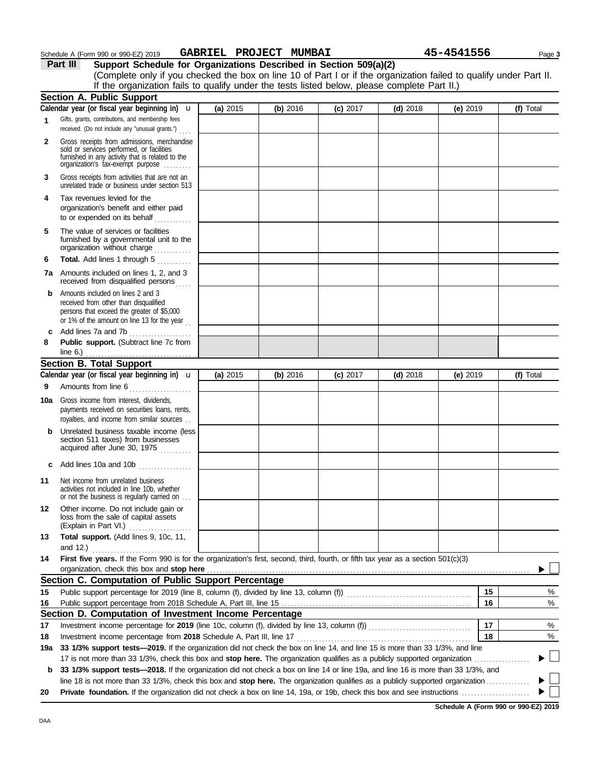#### **Section B. Total Support** unrelated trade or business under section 513 **Part III Support Schedule for Organizations Described in Section 509(a)(2)** (Complete only if you checked the box on line 10 of Part I or if the organization failed to qualify under Part II. **1 2 3 6 8** Gifts, grants, contributions, and membership fees received. (Do not include any "unusual grants.") . . . . **Public support.** (Subtract line 7c from Gross receipts from admissions, merchandise sold or services performed, or facilities furnished in any activity that is related to the Gross receipts from activities that are not an **Total.** Add lines 1 through 5 ............ **Section A. Public Support** organization's tax-exempt purpose ........ **4** Tax revenues levied for the organization's benefit and either paid to or expended on its behalf . . . . . . . . . . . . organization without charge ............. furnished by a governmental unit to the **5** The value of services or facilities **7a** Amounts included on lines 1, 2, and 3 received from disqualified persons **b** Amounts included on lines 2 and 3 received from other than disqualified persons that exceed the greater of \$5,000 or 1% of the amount on line 13 for the year . . **c** Add lines 7a and 7b . . . . . . . . . . . . . . . . . . . . Amounts from line 6 . . . . . . . . . . . . . . . . . . . . **9** royalties, and income from similar sources . . payments received on securities loans, rents, **10a** Gross income from interest, dividends, **(a)** 2015 **(b)** 2016 **(c)** 2017 **(d)** 2018 **(e)** 2019 **(f)** Total  $line 6.)$ Calendar year (or fiscal year beginning in) **u** Calendar year (or fiscal year beginning in) **u** If the organization fails to qualify under the tests listed below, please complete Part II.) **(a)** 2015 **(b)** 2016 **(c)** 2017 **(d)** 2018 **(e)** 2019

|   | <b>a</b> Gross income from interest, dividends,                              |
|---|------------------------------------------------------------------------------|
|   | payments received on securities loans, rents,                                |
|   | royalties, and income from similar sources                                   |
| b | Unrelated business taxable income (less<br>sestion E44 tough from businesses |

| Unrelated business taxable income (less |
|-----------------------------------------|
| section 511 taxes) from businesses      |
| acquired after June 30, 1975            |
|                                         |

| C. | Add lines 10a and 10b                                                                                                             |
|----|-----------------------------------------------------------------------------------------------------------------------------------|
| 11 | Net income from unrelated business<br>activities not included in line 10b, whether<br>or not the business is regularly carried on |

| 12 | Other income. Do not include gain or<br>loss from the sale of capital assets<br>(Explain in Part VI.) |  |  |
|----|-------------------------------------------------------------------------------------------------------|--|--|
| 13 | <b>Total support.</b> (Add lines 9, 10c, 11,                                                          |  |  |
|    | and $12.1$                                                                                            |  |  |

|    | anu $L$ .                                                                                                                          |  |  |  |               |
|----|------------------------------------------------------------------------------------------------------------------------------------|--|--|--|---------------|
| 14 | First five years. If the Form 990 is for the organization's first, second, third, fourth, or fifth tax year as a section 501(c)(3) |  |  |  |               |
|    | organization, check this box and stop here                                                                                         |  |  |  |               |
|    | Section C. Computation of Public Support Percentage                                                                                |  |  |  |               |
|    | 15 Public support percentage for 2019 (line 8, column (f), divided by line 13, column (f))                                         |  |  |  | $\frac{0}{0}$ |

| 1J - | $\Gamma$ ablic support percentage for $2013$ (lifte 0, column (i), divided by lifte 15, column (i))                                        | . . | <b>70</b> |
|------|--------------------------------------------------------------------------------------------------------------------------------------------|-----|-----------|
|      |                                                                                                                                            | 16  | %         |
|      | Section D. Computation of Investment Income Percentage                                                                                     |     |           |
| 17   | Investment income percentage for 2019 (line 10c, column (f), divided by line 13, column (f))                                               |     | %         |
| 18   | Investment income percentage from 2018 Schedule A, Part III, line 17                                                                       | 18  | $\%$      |
|      | 19a 33 1/3% support tests—2019. If the organization did not check the box on line 14, and line 15 is more than 33 1/3%, and line           |     |           |
|      | 17 is not more than 33 1/3%, check this box and stop here. The organization qualifies as a publicly supported organization                 |     |           |
|      | <b>b</b> 33 1/3% support tests—2018. If the organization did not check a box on line 14 or line 19a, and line 16 is more than 33 1/3%, and |     |           |
|      | line 18 is not more than 33 1/3%, check this box and stop here. The organization qualifies as a publicly supported organization            |     |           |

▶

### Schedule A (Form 990 or 990-EZ) 2019 Page **3 GABRIEL PROJECT MUMBAI 45-4541556**

**(f)** Total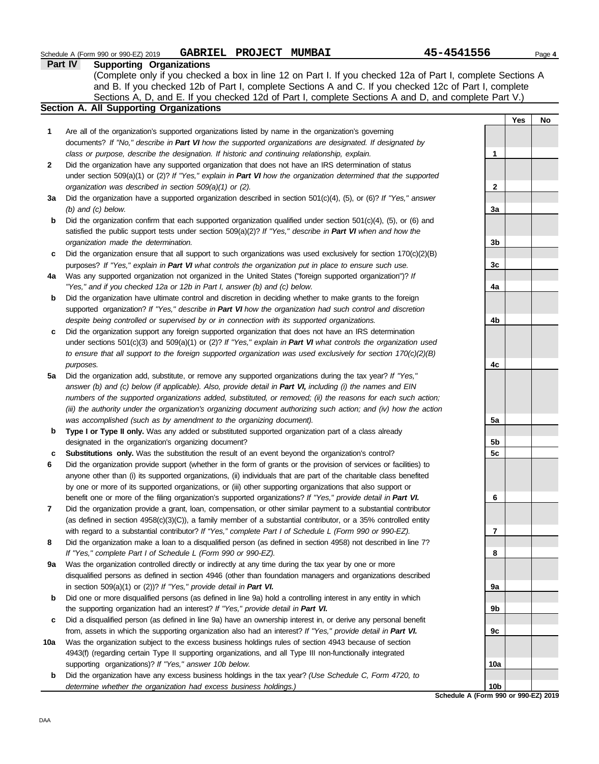|     | Part IV<br><b>Supporting Organizations</b>                                                                                                                                                                               |              |     |    |
|-----|--------------------------------------------------------------------------------------------------------------------------------------------------------------------------------------------------------------------------|--------------|-----|----|
|     | (Complete only if you checked a box in line 12 on Part I. If you checked 12a of Part I, complete Sections A                                                                                                              |              |     |    |
|     | and B. If you checked 12b of Part I, complete Sections A and C. If you checked 12c of Part I, complete                                                                                                                   |              |     |    |
|     | Sections A, D, and E. If you checked 12d of Part I, complete Sections A and D, and complete Part V.)                                                                                                                     |              |     |    |
|     | Section A. All Supporting Organizations                                                                                                                                                                                  |              |     |    |
|     |                                                                                                                                                                                                                          |              | Yes | No |
| 1   | Are all of the organization's supported organizations listed by name in the organization's governing                                                                                                                     |              |     |    |
|     | documents? If "No," describe in Part VI how the supported organizations are designated. If designated by                                                                                                                 |              |     |    |
|     | class or purpose, describe the designation. If historic and continuing relationship, explain.                                                                                                                            | 1            |     |    |
| 2   | Did the organization have any supported organization that does not have an IRS determination of status                                                                                                                   |              |     |    |
|     | under section 509(a)(1) or (2)? If "Yes," explain in Part VI how the organization determined that the supported                                                                                                          |              |     |    |
|     | organization was described in section 509(a)(1) or (2).                                                                                                                                                                  | $\mathbf{2}$ |     |    |
| За  | Did the organization have a supported organization described in section 501(c)(4), (5), or (6)? If "Yes," answer                                                                                                         |              |     |    |
|     | $(b)$ and $(c)$ below.                                                                                                                                                                                                   | 3a           |     |    |
| b   | Did the organization confirm that each supported organization qualified under section $501(c)(4)$ , $(5)$ , or $(6)$ and                                                                                                 |              |     |    |
|     | satisfied the public support tests under section $509(a)(2)$ ? If "Yes," describe in Part VI when and how the                                                                                                            |              |     |    |
|     | organization made the determination.                                                                                                                                                                                     | 3b           |     |    |
| c   | Did the organization ensure that all support to such organizations was used exclusively for section $170(c)(2)(B)$                                                                                                       |              |     |    |
|     | purposes? If "Yes," explain in Part VI what controls the organization put in place to ensure such use.                                                                                                                   | 3c           |     |    |
| 4a  | Was any supported organization not organized in the United States ("foreign supported organization")? If                                                                                                                 |              |     |    |
|     | "Yes," and if you checked 12a or 12b in Part I, answer (b) and (c) below.                                                                                                                                                | 4a           |     |    |
| b   | Did the organization have ultimate control and discretion in deciding whether to make grants to the foreign                                                                                                              |              |     |    |
|     | supported organization? If "Yes," describe in Part VI how the organization had such control and discretion                                                                                                               |              |     |    |
|     | despite being controlled or supervised by or in connection with its supported organizations.                                                                                                                             | 4b           |     |    |
| c   | Did the organization support any foreign supported organization that does not have an IRS determination                                                                                                                  |              |     |    |
|     | under sections $501(c)(3)$ and $509(a)(1)$ or (2)? If "Yes," explain in Part VI what controls the organization used                                                                                                      |              |     |    |
|     | to ensure that all support to the foreign supported organization was used exclusively for section $170(c)(2)(B)$                                                                                                         |              |     |    |
|     | purposes.                                                                                                                                                                                                                | 4c           |     |    |
| 5a  | Did the organization add, substitute, or remove any supported organizations during the tax year? If "Yes,"<br>answer (b) and (c) below (if applicable). Also, provide detail in Part VI, including (i) the names and EIN |              |     |    |
|     | numbers of the supported organizations added, substituted, or removed; (ii) the reasons for each such action;                                                                                                            |              |     |    |
|     | (iii) the authority under the organization's organizing document authorizing such action; and (iv) how the action                                                                                                        |              |     |    |
|     | was accomplished (such as by amendment to the organizing document).                                                                                                                                                      | 5a           |     |    |
| b   | Type I or Type II only. Was any added or substituted supported organization part of a class already                                                                                                                      |              |     |    |
|     | designated in the organization's organizing document?                                                                                                                                                                    | 5b           |     |    |
| c   | Substitutions only. Was the substitution the result of an event beyond the organization's control?                                                                                                                       | 5c           |     |    |
| 6   | Did the organization provide support (whether in the form of grants or the provision of services or facilities) to                                                                                                       |              |     |    |
|     | anyone other than (i) its supported organizations, (ii) individuals that are part of the charitable class benefited                                                                                                      |              |     |    |
|     | by one or more of its supported organizations, or (iii) other supporting organizations that also support or                                                                                                              |              |     |    |
|     | benefit one or more of the filing organization's supported organizations? If "Yes," provide detail in Part VI.                                                                                                           | 6            |     |    |
| 7   | Did the organization provide a grant, loan, compensation, or other similar payment to a substantial contributor                                                                                                          |              |     |    |
|     | (as defined in section $4958(c)(3)(C)$ ), a family member of a substantial contributor, or a 35% controlled entity                                                                                                       |              |     |    |
|     | with regard to a substantial contributor? If "Yes," complete Part I of Schedule L (Form 990 or 990-EZ).                                                                                                                  | 7            |     |    |
| 8   | Did the organization make a loan to a disqualified person (as defined in section 4958) not described in line 7?                                                                                                          |              |     |    |
|     | If "Yes," complete Part I of Schedule L (Form 990 or 990-EZ).                                                                                                                                                            | 8            |     |    |
| 9а  | Was the organization controlled directly or indirectly at any time during the tax year by one or more                                                                                                                    |              |     |    |
|     | disqualified persons as defined in section 4946 (other than foundation managers and organizations described                                                                                                              |              |     |    |
|     | in section $509(a)(1)$ or $(2)$ ? If "Yes," provide detail in Part VI.                                                                                                                                                   | 9а           |     |    |
| b   | Did one or more disqualified persons (as defined in line 9a) hold a controlling interest in any entity in which                                                                                                          |              |     |    |
|     | the supporting organization had an interest? If "Yes," provide detail in Part VI.                                                                                                                                        | 9b           |     |    |
| c   | Did a disqualified person (as defined in line 9a) have an ownership interest in, or derive any personal benefit                                                                                                          |              |     |    |
|     | from, assets in which the supporting organization also had an interest? If "Yes," provide detail in Part VI.                                                                                                             | 9c           |     |    |
| 10a | Was the organization subject to the excess business holdings rules of section 4943 because of section                                                                                                                    |              |     |    |
|     | 4943(f) (regarding certain Type II supporting organizations, and all Type III non-functionally integrated                                                                                                                |              |     |    |
|     | supporting organizations)? If "Yes," answer 10b below.                                                                                                                                                                   | 10a          |     |    |
| b   | Did the organization have any excess business holdings in the tax year? (Use Schedule C, Form 4720, to                                                                                                                   |              |     |    |
|     | determine whether the organization had excess business holdings.)                                                                                                                                                        | 10b          |     |    |

**Schedule A (Form 990 or 990-EZ) 2019**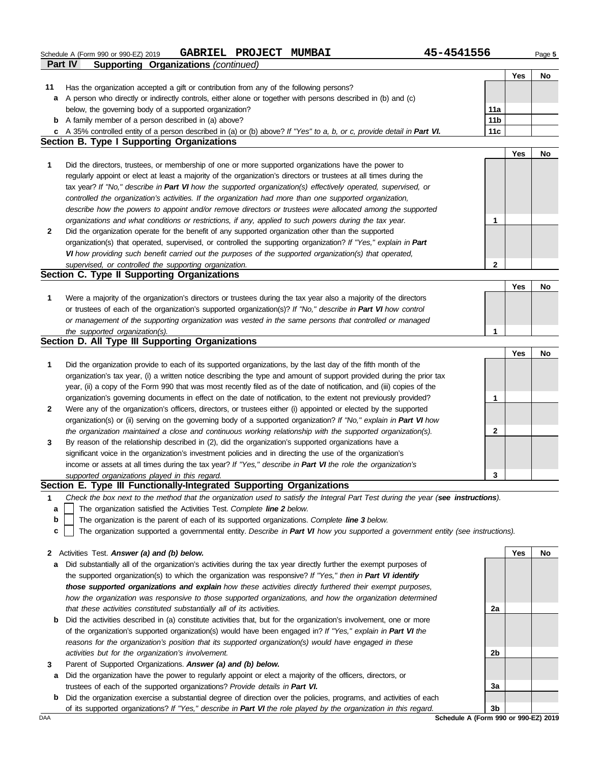**Part IV Supporting Organizations** *(continued)* Schedule A (Form 990 or 990-EZ) 2019 **GABRIEL PROJECT MUMBAI** 45-4541556 Page 5 **Yes No 2 1** *organizations and what conditions or restrictions, if any, applied to such powers during the tax year. describe how the powers to appoint and/or remove directors or trustees were allocated among the supported controlled the organization's activities. If the organization had more than one supported organization,* tax year? *If "No," describe in Part VI how the supported organization(s) effectively operated, supervised, or* regularly appoint or elect at least a majority of the organization's directors or trustees at all times during the **Section B. Type I Supporting Organizations 11** Has the organization accepted a gift or contribution from any of the following persons? **c** A 35% controlled entity of a person described in (a) or (b) above? *If "Yes" to a, b, or c, provide detail in Part VI.* **b** A family member of a person described in (a) above? **a** A person who directly or indirectly controls, either alone or together with persons described in (b) and (c) below, the governing body of a supported organization? **11a 11b 11c** Did the directors, trustees, or membership of one or more supported organizations have the power to Did the organization operate for the benefit of any supported organization other than the supported organization(s) that operated, supervised, or controlled the supporting organization? *If "Yes," explain in Part VI how providing such benefit carried out the purposes of the supported organization(s) that operated, supervised, or controlled the supporting organization.* **Section C. Type II Supporting Organizations** Were a majority of the organization's directors or trustees during the tax year also a majority of the directors or trustees of each of the organization's supported organization(s)? *If "No," describe in Part VI how control* **1** *or management of the supporting organization was vested in the same persons that controlled or managed the supported organization(s).* **Section D. All Type III Supporting Organizations** Did the organization provide to each of its supported organizations, by the last day of the fifth month of the organization's tax year, (i) a written notice describing the type and amount of support provided during the prior tax **1** year, (ii) a copy of the Form 990 that was most recently filed as of the date of notification, and (iii) copies of the organization's governing documents in effect on the date of notification, to the extent not previously provided? **2** Were any of the organization's officers, directors, or trustees either (i) appointed or elected by the supported *the organization maintained a close and continuous working relationship with the supported organization(s).* organization(s) or (ii) serving on the governing body of a supported organization? *If "No," explain in Part VI how supported organizations played in this regard.* income or assets at all times during the tax year? *If "Yes," describe in Part VI the role the organization's* **3** significant voice in the organization's investment policies and in directing the use of the organization's By reason of the relationship described in (2), did the organization's supported organizations have a **Section E. Type III Functionally-Integrated Supporting Organizations 2** Activities Test. *Answer (a) and (b) below.* **1** *Check the box next to the method that the organization used to satisfy the Integral Part Test during the year (see instructions).* The organization satisfied the Activities Test. *Complete line 2 below.* The organization is the parent of each of its supported organizations. *Complete line 3 below.* The organization supported a governmental entity. *Describe in Part VI how you supported a government entity (see instructions).* **a** Did substantially all of the organization's activities during the tax year directly further the exempt purposes of **c b a** the supported organization(s) to which the organization was responsive? *If "Yes," then in Part VI identify those supported organizations and explain how these activities directly furthered their exempt purposes,*  **Yes No 1 2 1 Yes No Yes No 1 2 3 Yes No GABRIEL PROJECT MUMBAI 45-4541556**

- **b** Did the activities described in (a) constitute activities that, but for the organization's involvement, one or more how the organization was responsive to those supported organizations, and how the organization determined *that these activities constituted substantially all of its activities.*
- of the organization's supported organization(s) would have been engaged in? *If "Yes," explain in Part VI the reasons for the organization's position that its supported organization(s) would have engaged in these activities but for the organization's involvement.*
- **3** Parent of Supported Organizations. *Answer (a) and (b) below.*
- **a** Did the organization have the power to regularly appoint or elect a majority of the officers, directors, or trustees of each of the supported organizations? *Provide details in Part VI.*
- **b** Did the organization exercise a substantial degree of direction over the policies, programs, and activities of each of its supported organizations? *If "Yes," describe in Part VI the role played by the organization in this regard.*

**2a 2b 3a 3b**

DAA **Schedule A (Form 990 or 990-EZ) 2019**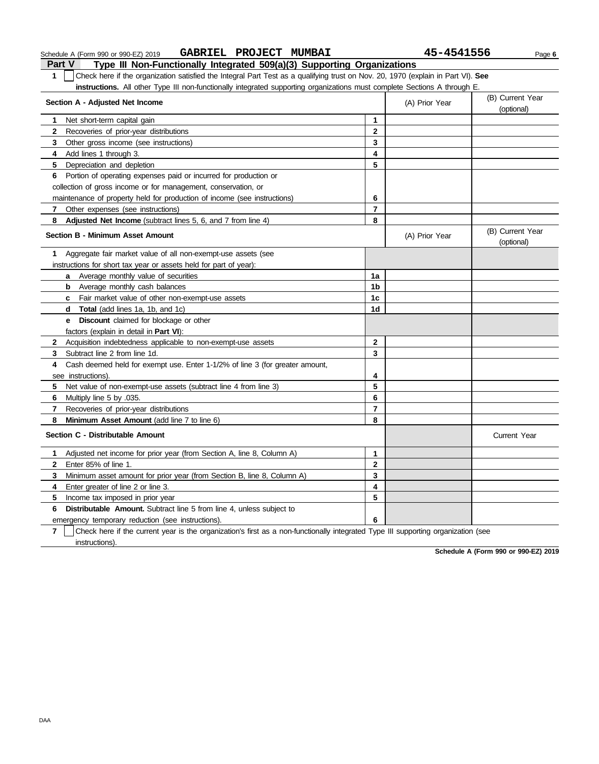#### Schedule A (Form 990 or 990-EZ) 2019 Page **6 GABRIEL PROJECT MUMBAI 45-4541556**

**Part V Type III Non-Functionally Integrated 509(a)(3) Supporting Organizations 1** Check here if the organization satisfied the Integral Part Test as a qualifying trust on Nov. 20, 1970 (explain in Part VI). **See instructions.** All other Type III non-functionally integrated supporting organizations must complete Sections A through E.

| Section A - Adjusted Net Income                                                                                                                     |                         | (A) Prior Year | (B) Current Year<br>(optional) |
|-----------------------------------------------------------------------------------------------------------------------------------------------------|-------------------------|----------------|--------------------------------|
| Net short-term capital gain<br>1.                                                                                                                   | $\mathbf{1}$            |                |                                |
| $\mathbf{2}$<br>Recoveries of prior-year distributions                                                                                              | $\mathbf{2}$            |                |                                |
| 3<br>Other gross income (see instructions)                                                                                                          | 3                       |                |                                |
| 4<br>Add lines 1 through 3.                                                                                                                         | $\overline{\mathbf{4}}$ |                |                                |
| 5<br>Depreciation and depletion                                                                                                                     | 5                       |                |                                |
| Portion of operating expenses paid or incurred for production or<br>6                                                                               |                         |                |                                |
| collection of gross income or for management, conservation, or                                                                                      |                         |                |                                |
| maintenance of property held for production of income (see instructions)                                                                            | 6                       |                |                                |
| $\overline{7}$<br>Other expenses (see instructions)                                                                                                 | $\overline{7}$          |                |                                |
| 8<br><b>Adjusted Net Income</b> (subtract lines 5, 6, and 7 from line 4)                                                                            | 8                       |                |                                |
| <b>Section B - Minimum Asset Amount</b>                                                                                                             |                         | (A) Prior Year | (B) Current Year<br>(optional) |
| Aggregate fair market value of all non-exempt-use assets (see<br>1.                                                                                 |                         |                |                                |
| instructions for short tax year or assets held for part of year):                                                                                   |                         |                |                                |
| Average monthly value of securities<br>a                                                                                                            | 1a                      |                |                                |
| <b>b</b> Average monthly cash balances                                                                                                              | 1 <sub>b</sub>          |                |                                |
| <b>c</b> Fair market value of other non-exempt-use assets                                                                                           | 1 <sub>c</sub>          |                |                                |
| <b>Total</b> (add lines 1a, 1b, and 1c)<br>d                                                                                                        | 1d                      |                |                                |
| <b>Discount</b> claimed for blockage or other<br>е                                                                                                  |                         |                |                                |
| factors (explain in detail in Part VI):                                                                                                             |                         |                |                                |
| $\mathbf{2}$<br>Acquisition indebtedness applicable to non-exempt-use assets                                                                        | $\mathbf{2}$            |                |                                |
| Subtract line 2 from line 1d.<br>3                                                                                                                  | 3                       |                |                                |
| Cash deemed held for exempt use. Enter 1-1/2% of line 3 (for greater amount,<br>4                                                                   |                         |                |                                |
| see instructions).                                                                                                                                  | 4                       |                |                                |
| 5<br>Net value of non-exempt-use assets (subtract line 4 from line 3)                                                                               | 5                       |                |                                |
| Multiply line 5 by .035.<br>6                                                                                                                       | 6                       |                |                                |
| 7<br>Recoveries of prior-year distributions                                                                                                         | $\overline{7}$          |                |                                |
| Minimum Asset Amount (add line 7 to line 6)<br>8                                                                                                    | 8                       |                |                                |
| Section C - Distributable Amount                                                                                                                    |                         |                | <b>Current Year</b>            |
| Adjusted net income for prior year (from Section A, line 8, Column A)<br>1.                                                                         | 1                       |                |                                |
| $\mathbf{2}$<br>Enter 85% of line 1.                                                                                                                | $\mathbf{2}$            |                |                                |
| 3<br>Minimum asset amount for prior year (from Section B, line 8, Column A)                                                                         | 3                       |                |                                |
| Enter greater of line 2 or line 3.<br>4                                                                                                             | 4                       |                |                                |
| Income tax imposed in prior year<br>5                                                                                                               | 5                       |                |                                |
| <b>Distributable Amount.</b> Subtract line 5 from line 4, unless subject to<br>6                                                                    |                         |                |                                |
| emergency temporary reduction (see instructions)                                                                                                    | 6                       |                |                                |
| $\overline{7}$<br>Check here if the current year is the organization's first as a non-functionally integrated Type III supporting organization (see |                         |                |                                |
| instructions).                                                                                                                                      |                         |                |                                |

**Schedule A (Form 990 or 990-EZ) 2019**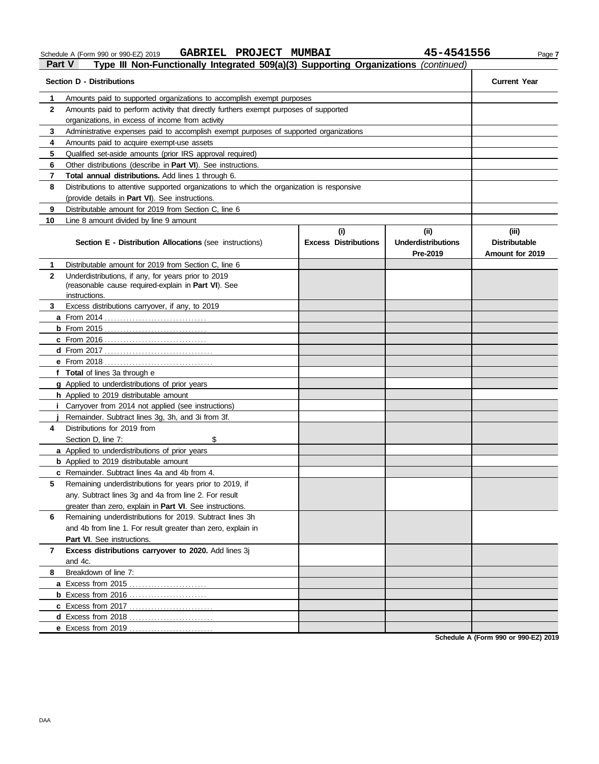Schedule A (Form 990 or 990-EZ) 2019 **GABRIEL PROJECT MUMBAI 4 5-4 54 L 5 56** Page 7 **GABRIEL PROJECT MUMBAI 45-4541556**

#### **Part V Type III Non-Functionally Integrated 509(a)(3) Supporting Organizations** *(continued)*

|              | <b>Section D - Distributions</b>                                                                                            |                                    |                                              | <b>Current Year</b>                              |
|--------------|-----------------------------------------------------------------------------------------------------------------------------|------------------------------------|----------------------------------------------|--------------------------------------------------|
| 1.           | Amounts paid to supported organizations to accomplish exempt purposes                                                       |                                    |                                              |                                                  |
| 2            | Amounts paid to perform activity that directly furthers exempt purposes of supported                                        |                                    |                                              |                                                  |
|              | organizations, in excess of income from activity                                                                            |                                    |                                              |                                                  |
| 3            | Administrative expenses paid to accomplish exempt purposes of supported organizations                                       |                                    |                                              |                                                  |
| 4            | Amounts paid to acquire exempt-use assets                                                                                   |                                    |                                              |                                                  |
| 5            | Qualified set-aside amounts (prior IRS approval required)                                                                   |                                    |                                              |                                                  |
| 6            | Other distributions (describe in Part VI). See instructions.                                                                |                                    |                                              |                                                  |
| 7            | Total annual distributions. Add lines 1 through 6.                                                                          |                                    |                                              |                                                  |
| 8            | Distributions to attentive supported organizations to which the organization is responsive                                  |                                    |                                              |                                                  |
|              | (provide details in Part VI). See instructions.                                                                             |                                    |                                              |                                                  |
| 9            | Distributable amount for 2019 from Section C, line 6                                                                        |                                    |                                              |                                                  |
| 10           | Line 8 amount divided by line 9 amount                                                                                      |                                    |                                              |                                                  |
|              | <b>Section E - Distribution Allocations (see instructions)</b>                                                              | (i)<br><b>Excess Distributions</b> | (i)<br><b>Underdistributions</b><br>Pre-2019 | (iii)<br><b>Distributable</b><br>Amount for 2019 |
| 1            | Distributable amount for 2019 from Section C, line 6                                                                        |                                    |                                              |                                                  |
| $\mathbf{2}$ | Underdistributions, if any, for years prior to 2019<br>(reasonable cause required-explain in Part VI). See<br>instructions. |                                    |                                              |                                                  |
| 3            | Excess distributions carryover, if any, to 2019                                                                             |                                    |                                              |                                                  |
|              |                                                                                                                             |                                    |                                              |                                                  |
|              |                                                                                                                             |                                    |                                              |                                                  |
|              |                                                                                                                             |                                    |                                              |                                                  |
|              |                                                                                                                             |                                    |                                              |                                                  |
|              |                                                                                                                             |                                    |                                              |                                                  |
|              | f Total of lines 3a through e                                                                                               |                                    |                                              |                                                  |
|              | g Applied to underdistributions of prior years                                                                              |                                    |                                              |                                                  |
|              | h Applied to 2019 distributable amount                                                                                      |                                    |                                              |                                                  |
|              | <i>i</i> Carryover from 2014 not applied (see instructions)                                                                 |                                    |                                              |                                                  |
|              | Remainder. Subtract lines 3g, 3h, and 3i from 3f.                                                                           |                                    |                                              |                                                  |
| 4            | Distributions for 2019 from                                                                                                 |                                    |                                              |                                                  |
|              | Section D, line 7:<br>\$                                                                                                    |                                    |                                              |                                                  |
|              | a Applied to underdistributions of prior years                                                                              |                                    |                                              |                                                  |
|              | <b>b</b> Applied to 2019 distributable amount                                                                               |                                    |                                              |                                                  |
|              | c Remainder. Subtract lines 4a and 4b from 4.                                                                               |                                    |                                              |                                                  |
|              | Remaining underdistributions for years prior to 2019, if                                                                    |                                    |                                              |                                                  |
|              | any. Subtract lines 3g and 4a from line 2. For result                                                                       |                                    |                                              |                                                  |
|              | greater than zero, explain in Part VI. See instructions.                                                                    |                                    |                                              |                                                  |
| 6            | Remaining underdistributions for 2019. Subtract lines 3h                                                                    |                                    |                                              |                                                  |
|              | and 4b from line 1. For result greater than zero, explain in                                                                |                                    |                                              |                                                  |
|              | Part VI. See instructions.                                                                                                  |                                    |                                              |                                                  |
| 7            | Excess distributions carryover to 2020. Add lines 3j<br>and 4c.                                                             |                                    |                                              |                                                  |
| 8            | Breakdown of line 7:                                                                                                        |                                    |                                              |                                                  |
|              |                                                                                                                             |                                    |                                              |                                                  |
|              | <b>b</b> Excess from 2016                                                                                                   |                                    |                                              |                                                  |
|              |                                                                                                                             |                                    |                                              |                                                  |
|              |                                                                                                                             |                                    |                                              |                                                  |
|              |                                                                                                                             |                                    |                                              |                                                  |
|              |                                                                                                                             |                                    |                                              |                                                  |

**Schedule A (Form 990 or 990-EZ) 2019**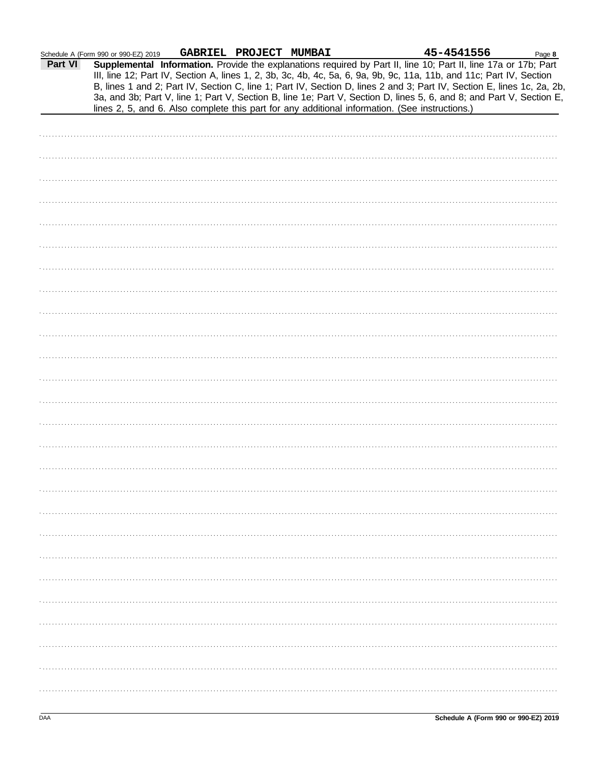| Schedule A (Form 990 or 990-EZ) 2019 |                                                                                                                                                                                                                                         |  | GABRIEL PROJECT MUMBAI |  |  |  | 45-4541556 |  | Page 8                                                                                                                                                                                                                                         |
|--------------------------------------|-----------------------------------------------------------------------------------------------------------------------------------------------------------------------------------------------------------------------------------------|--|------------------------|--|--|--|------------|--|------------------------------------------------------------------------------------------------------------------------------------------------------------------------------------------------------------------------------------------------|
| Part VI                              | Supplemental Information. Provide the explanations required by Part II, line 10; Part II, line 17a or 17b; Part<br>III, line 12; Part IV, Section A, lines 1, 2, 3b, 3c, 4b, 4c, 5a, 6, 9a, 9b, 9c, 11a, 11b, and 11c; Part IV, Section |  |                        |  |  |  |            |  |                                                                                                                                                                                                                                                |
|                                      | lines 2, 5, and 6. Also complete this part for any additional information. (See instructions.)                                                                                                                                          |  |                        |  |  |  |            |  | B, lines 1 and 2; Part IV, Section C, line 1; Part IV, Section D, lines 2 and 3; Part IV, Section E, lines 1c, 2a, 2b,<br>3a, and 3b; Part V, line 1; Part V, Section B, line 1e; Part V, Section D, lines 5, 6, and 8; and Part V, Section E, |
|                                      |                                                                                                                                                                                                                                         |  |                        |  |  |  |            |  |                                                                                                                                                                                                                                                |
|                                      |                                                                                                                                                                                                                                         |  |                        |  |  |  |            |  |                                                                                                                                                                                                                                                |
|                                      |                                                                                                                                                                                                                                         |  |                        |  |  |  |            |  |                                                                                                                                                                                                                                                |
|                                      |                                                                                                                                                                                                                                         |  |                        |  |  |  |            |  |                                                                                                                                                                                                                                                |
|                                      |                                                                                                                                                                                                                                         |  |                        |  |  |  |            |  |                                                                                                                                                                                                                                                |
|                                      |                                                                                                                                                                                                                                         |  |                        |  |  |  |            |  |                                                                                                                                                                                                                                                |
|                                      |                                                                                                                                                                                                                                         |  |                        |  |  |  |            |  |                                                                                                                                                                                                                                                |
|                                      |                                                                                                                                                                                                                                         |  |                        |  |  |  |            |  |                                                                                                                                                                                                                                                |
|                                      |                                                                                                                                                                                                                                         |  |                        |  |  |  |            |  |                                                                                                                                                                                                                                                |
|                                      |                                                                                                                                                                                                                                         |  |                        |  |  |  |            |  |                                                                                                                                                                                                                                                |
|                                      |                                                                                                                                                                                                                                         |  |                        |  |  |  |            |  |                                                                                                                                                                                                                                                |
|                                      |                                                                                                                                                                                                                                         |  |                        |  |  |  |            |  |                                                                                                                                                                                                                                                |
|                                      |                                                                                                                                                                                                                                         |  |                        |  |  |  |            |  |                                                                                                                                                                                                                                                |
|                                      |                                                                                                                                                                                                                                         |  |                        |  |  |  |            |  |                                                                                                                                                                                                                                                |
|                                      |                                                                                                                                                                                                                                         |  |                        |  |  |  |            |  |                                                                                                                                                                                                                                                |
|                                      |                                                                                                                                                                                                                                         |  |                        |  |  |  |            |  |                                                                                                                                                                                                                                                |
|                                      |                                                                                                                                                                                                                                         |  |                        |  |  |  |            |  |                                                                                                                                                                                                                                                |
|                                      |                                                                                                                                                                                                                                         |  |                        |  |  |  |            |  |                                                                                                                                                                                                                                                |
|                                      |                                                                                                                                                                                                                                         |  |                        |  |  |  |            |  |                                                                                                                                                                                                                                                |
|                                      |                                                                                                                                                                                                                                         |  |                        |  |  |  |            |  |                                                                                                                                                                                                                                                |
|                                      |                                                                                                                                                                                                                                         |  |                        |  |  |  |            |  |                                                                                                                                                                                                                                                |
|                                      |                                                                                                                                                                                                                                         |  |                        |  |  |  |            |  |                                                                                                                                                                                                                                                |
|                                      |                                                                                                                                                                                                                                         |  |                        |  |  |  |            |  |                                                                                                                                                                                                                                                |
|                                      |                                                                                                                                                                                                                                         |  |                        |  |  |  |            |  |                                                                                                                                                                                                                                                |
|                                      |                                                                                                                                                                                                                                         |  |                        |  |  |  |            |  |                                                                                                                                                                                                                                                |
|                                      |                                                                                                                                                                                                                                         |  |                        |  |  |  |            |  |                                                                                                                                                                                                                                                |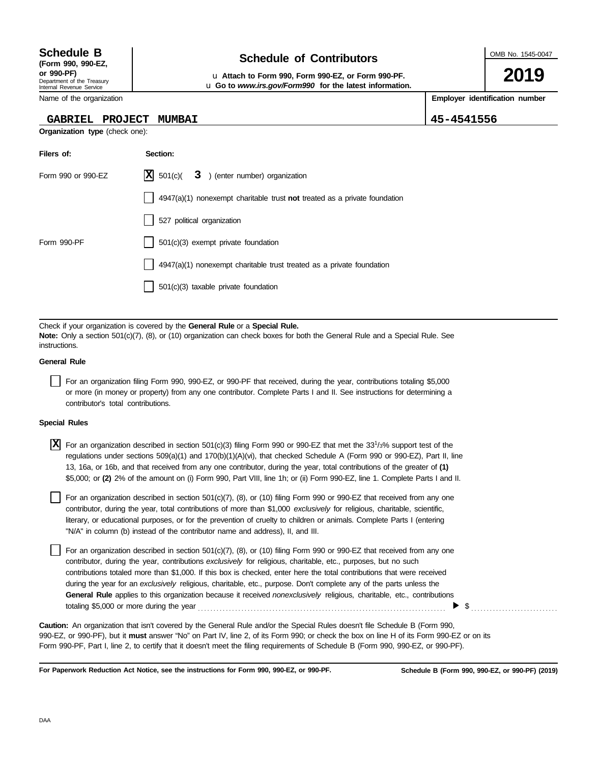# **(Form 990, 990-EZ,**

Department of the Treasury Internal Revenue Service

## **Schedule of Contributors Schedule B**

**or 990-PF)** u **Attach to Form 990, Form 990-EZ, or Form 990-PF.** u **Go to** *www.irs.gov/Form990* **for the latest information.** **2019**

| Name of the organization       |                                    |                                                                                                                                                                                                                                                                                                                                                                                                                                                                                                                         | Employer identification number |
|--------------------------------|------------------------------------|-------------------------------------------------------------------------------------------------------------------------------------------------------------------------------------------------------------------------------------------------------------------------------------------------------------------------------------------------------------------------------------------------------------------------------------------------------------------------------------------------------------------------|--------------------------------|
| <b>GABRIEL</b>                 | <b>PROJECT</b>                     | <b>MUMBAI</b>                                                                                                                                                                                                                                                                                                                                                                                                                                                                                                           | 45-4541556                     |
| Organization type (check one): |                                    |                                                                                                                                                                                                                                                                                                                                                                                                                                                                                                                         |                                |
| Filers of:                     |                                    | Section:                                                                                                                                                                                                                                                                                                                                                                                                                                                                                                                |                                |
| Form 990 or 990-EZ             |                                    | $ \mathbf{X} $ 501(c)(<br>) (enter number) organization<br>3                                                                                                                                                                                                                                                                                                                                                                                                                                                            |                                |
|                                |                                    | 4947(a)(1) nonexempt charitable trust not treated as a private foundation                                                                                                                                                                                                                                                                                                                                                                                                                                               |                                |
|                                |                                    | 527 political organization                                                                                                                                                                                                                                                                                                                                                                                                                                                                                              |                                |
| Form 990-PF                    |                                    | 501(c)(3) exempt private foundation                                                                                                                                                                                                                                                                                                                                                                                                                                                                                     |                                |
|                                |                                    | 4947(a)(1) nonexempt charitable trust treated as a private foundation                                                                                                                                                                                                                                                                                                                                                                                                                                                   |                                |
|                                |                                    | 501(c)(3) taxable private foundation                                                                                                                                                                                                                                                                                                                                                                                                                                                                                    |                                |
|                                |                                    |                                                                                                                                                                                                                                                                                                                                                                                                                                                                                                                         |                                |
| instructions.                  |                                    | Check if your organization is covered by the General Rule or a Special Rule.<br>Note: Only a section 501(c)(7), (8), or (10) organization can check boxes for both the General Rule and a Special Rule. See                                                                                                                                                                                                                                                                                                             |                                |
| <b>General Rule</b>            |                                    |                                                                                                                                                                                                                                                                                                                                                                                                                                                                                                                         |                                |
|                                | contributor's total contributions. | For an organization filing Form 990, 990-EZ, or 990-PF that received, during the year, contributions totaling \$5,000<br>or more (in money or property) from any one contributor. Complete Parts I and II. See instructions for determining a                                                                                                                                                                                                                                                                           |                                |
| <b>Special Rules</b>           |                                    |                                                                                                                                                                                                                                                                                                                                                                                                                                                                                                                         |                                |
| X                              |                                    | For an organization described in section $501(c)(3)$ filing Form 990 or 990-EZ that met the 33 <sup>1</sup> /3% support test of the<br>regulations under sections 509(a)(1) and 170(b)(1)(A)(vi), that checked Schedule A (Form 990 or 990-EZ), Part II, line<br>13, 16a, or 16b, and that received from any one contributor, during the year, total contributions of the greater of (1)<br>\$5,000; or (2) 2% of the amount on (i) Form 990, Part VIII, line 1h; or (ii) Form 990-EZ, line 1. Complete Parts I and II. |                                |
|                                |                                    | For an organization described in section 501(c)(7), (8), or (10) filing Form 990 or 990-EZ that received from any one<br>contributor, during the year, total contributions of more than \$1,000 exclusively for religious, charitable, scientific,                                                                                                                                                                                                                                                                      |                                |

literary, or educational purposes, or for the prevention of cruelty to children or animals. Complete Parts I (entering "N/A" in column (b) instead of the contributor name and address), II, and III.

For an organization described in section 501(c)(7), (8), or (10) filing Form 990 or 990-EZ that received from any one contributor, during the year, contributions *exclusively* for religious, charitable, etc., purposes, but no such contributions totaled more than \$1,000. If this box is checked, enter here the total contributions that were received during the year for an *exclusively* religious, charitable, etc., purpose. Don't complete any of the parts unless the **General Rule** applies to this organization because it received *nonexclusively* religious, charitable, etc., contributions totaling \$5,000 or more during the year . . . . . . . . . . . . . . . . . . . . . . . . . . . . . . . . . . . . . . . . . . . . . . . . . . . . . . . . . . . . . . . . . . . . . . . . . . . . . . . .  $\triangleright$  \$

990-EZ, or 990-PF), but it **must** answer "No" on Part IV, line 2, of its Form 990; or check the box on line H of its Form 990-EZ or on its Form 990-PF, Part I, line 2, to certify that it doesn't meet the filing requirements of Schedule B (Form 990, 990-EZ, or 990-PF). **Caution:** An organization that isn't covered by the General Rule and/or the Special Rules doesn't file Schedule B (Form 990,

**For Paperwork Reduction Act Notice, see the instructions for Form 990, 990-EZ, or 990-PF.**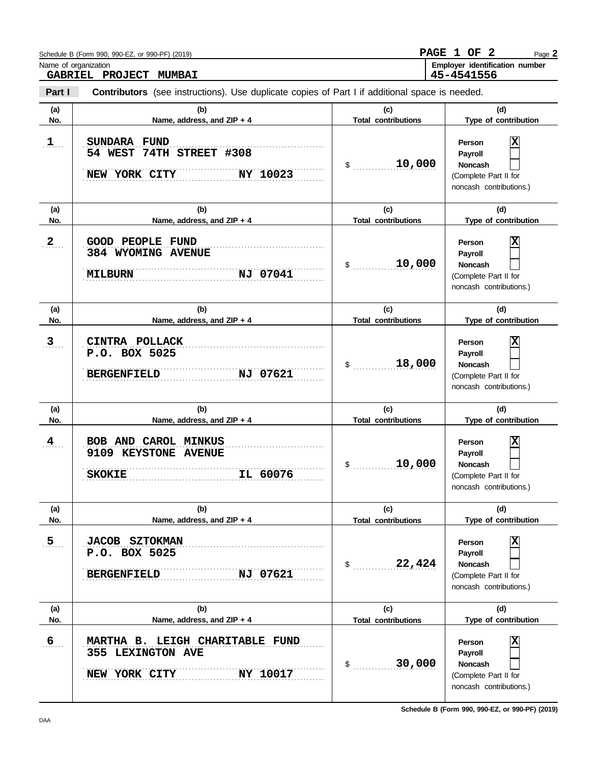|                        | Schedule B (Form 990, 990-EZ, or 990-PF) (2019)                                                            |                                   | $\mathbf{2}$<br>PAGE 1 OF<br>Page 2                                                          |
|------------------------|------------------------------------------------------------------------------------------------------------|-----------------------------------|----------------------------------------------------------------------------------------------|
|                        | Name of organization<br>GABRIEL PROJECT MUMBAI                                                             |                                   | Employer identification number<br>45-4541556                                                 |
| Part I                 | <b>Contributors</b> (see instructions). Use duplicate copies of Part I if additional space is needed.      |                                   |                                                                                              |
| (a)<br>No.             | (b)<br>Name, address, and ZIP + 4                                                                          | (c)<br><b>Total contributions</b> | (d)<br>Type of contribution                                                                  |
| $1 \hspace{-1.0mm}1$ . | SUNDARA FUND<br>54 WEST<br>74TH STREET #308<br>NY 10023<br>NEW YORK CITY                                   | 10,000<br>\$                      | X<br>Person<br>Payroll<br><b>Noncash</b><br>(Complete Part II for<br>noncash contributions.) |
| (a)<br>No.             | (b)<br>Name, address, and ZIP + 4                                                                          | (c)<br><b>Total contributions</b> | (d)<br>Type of contribution                                                                  |
| 2                      | <b>GOOD PEOPLE FUND</b><br>384 WYOMING AVENUE<br>NJ 07041<br><b>MILBURN</b>                                | 10,000<br>\$                      | X<br>Person<br>Payroll<br><b>Noncash</b><br>(Complete Part II for<br>noncash contributions.) |
| (a)<br>No.             | (b)<br>Name, address, and ZIP + 4                                                                          | (c)<br><b>Total contributions</b> | (d)<br>Type of contribution                                                                  |
| 3 <sub>1</sub>         | <b>CINTRA POLLACK</b><br>P.O. BOX 5025<br>NJ 07621<br><b>BERGENFIELD</b>                                   | 18,000<br>\$                      | X<br>Person<br>Payroll<br><b>Noncash</b><br>(Complete Part II for<br>noncash contributions.) |
| (a)<br>No.             | (b)<br>Name, address, and ZIP + 4                                                                          | (c)<br><b>Total contributions</b> | (d)<br>Type of contribution                                                                  |
| $\frac{4}{1}$          | AND CAROL<br><b>MINKUS</b><br>BOB<br><b>KEYSTONE</b><br>9109<br><b>AVENUE</b><br>IL 60076<br><b>SKOKIE</b> | 10,000                            | X<br>Person<br><b>Payroll</b><br>Noncash<br>(Complete Part II for<br>noncash contributions.) |
| (a)<br>No.             | (b)<br>Name, address, and ZIP + 4                                                                          | (c)<br><b>Total contributions</b> | (d)<br>Type of contribution                                                                  |
| 5 <sub>1</sub>         | <b>JACOB SZTOKMAN</b><br>P.O. BOX 5025<br><b>BERGENFIELD</b><br>NJ 07621                                   | 22,424<br>$\$\quad$               | X<br>Person<br>Payroll<br><b>Noncash</b><br>(Complete Part II for<br>noncash contributions.) |
| (a)<br>No.             | (b)<br>Name, address, and ZIP + 4                                                                          | (c)<br><b>Total contributions</b> | (d)<br>Type of contribution                                                                  |
| $6 \frac{6}{3}$        | MARTHA B. LEIGH CHARITABLE FUND<br>355 LEXINGTON AVE<br>NEW YORK CITY<br>NY 10017                          | 30,000<br>$\frac{1}{2}$           | X<br>Person<br>Payroll<br><b>Noncash</b><br>(Complete Part II for<br>noncash contributions.) |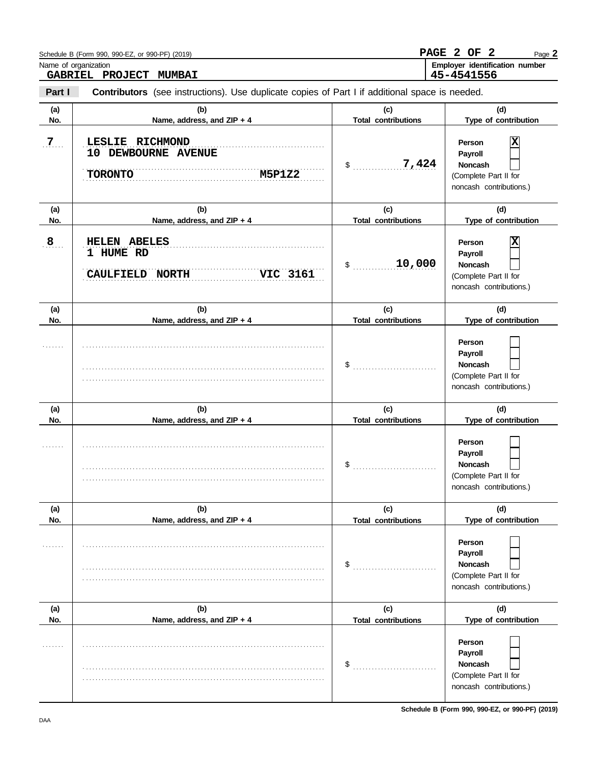| Name of organization | Schedule B (Form 990, 990-EZ, or 990-PF) (2019)<br>GABRIEL PROJECT MUMBAI                             |                                   | PAGE 2 OF 2<br>Page 2<br>Employer identification number<br>45-4541556                        |
|----------------------|-------------------------------------------------------------------------------------------------------|-----------------------------------|----------------------------------------------------------------------------------------------|
| Part I               | <b>Contributors</b> (see instructions). Use duplicate copies of Part I if additional space is needed. |                                   |                                                                                              |
| (a)<br>No.           | (b)<br>Name, address, and ZIP + 4                                                                     | (c)<br><b>Total contributions</b> | (d)<br>Type of contribution                                                                  |
| 7 <sub>1</sub>       | LESLIE RICHMOND<br>10 DEWBOURNE AVENUE<br>M5P1Z2<br>TORONTO                                           | 7,424<br>\$                       | X<br>Person<br>Payroll<br><b>Noncash</b><br>(Complete Part II for<br>noncash contributions.) |
| (a)<br>No.           | (b)<br>Name, address, and ZIP + 4                                                                     | (c)<br><b>Total contributions</b> | (d)<br>Type of contribution                                                                  |
| $\overline{8}$ .     | <b>HELEN ABELES</b><br>1 HUME RD<br><b>CAULFIELD NORTH</b><br><b>VIC 3161</b>                         | 10,000<br>\$                      | X<br>Person<br>Payroll<br><b>Noncash</b><br>(Complete Part II for<br>noncash contributions.) |
| (a)<br>No.           | (b)<br>Name, address, and ZIP + 4                                                                     | (c)<br><b>Total contributions</b> | (d)<br>Type of contribution                                                                  |
|                      |                                                                                                       | \$                                | Person<br>Payroll<br><b>Noncash</b><br>(Complete Part II for<br>noncash contributions.)      |
| (a)<br>No.           | (b)<br>Name, address, and ZIP + 4                                                                     | (c)<br><b>Total contributions</b> | (d)<br>Type of contribution                                                                  |
|                      |                                                                                                       | \$                                | Person<br>Payroll<br>Noncash<br>(Complete Part II for<br>noncash contributions.)             |
| (a)<br>No.           | (b)<br>Name, address, and ZIP + 4                                                                     | (c)<br><b>Total contributions</b> | (d)<br>Type of contribution                                                                  |
| .                    |                                                                                                       | \$                                | Person<br>Payroll<br>Noncash<br>(Complete Part II for<br>noncash contributions.)             |
| (a)<br>No.           | (b)<br>Name, address, and ZIP + 4                                                                     | (c)<br><b>Total contributions</b> | (d)<br>Type of contribution                                                                  |
| .                    |                                                                                                       | \$                                | Person<br>Payroll<br>Noncash<br>(Complete Part II for<br>noncash contributions.)             |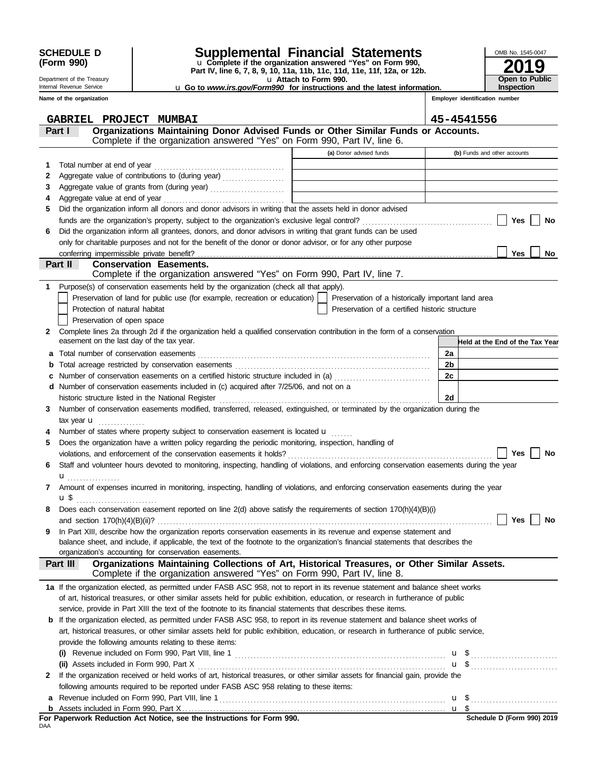| <b>SCHEDULE D</b> |  |
|-------------------|--|
| (Form 990)        |  |

Department of the Treasury Internal Revenue Service

## **SCHEDULE D Supplemental Financial Statements**

u **Attach to Form 990. Part IV, line 6, 7, 8, 9, 10, 11a, 11b, 11c, 11d, 11e, 11f, 12a, or 12b.** u **Complete if the organization answered "Yes" on Form 990,** u **Go to** *www.irs.gov/Form990* **for instructions and the latest information.**

| OMB No. 1545-0047     |
|-----------------------|
| 2019                  |
|                       |
| <b>Open to Public</b> |
| <b>Inspection</b>     |

| Employer identification number |  |
|--------------------------------|--|
|                                |  |

|              | GABRIEL PROJECT MUMBAI                                                                                                                                                 |                | 45-4541556                      |
|--------------|------------------------------------------------------------------------------------------------------------------------------------------------------------------------|----------------|---------------------------------|
|              | Organizations Maintaining Donor Advised Funds or Other Similar Funds or Accounts.<br>Part I                                                                            |                |                                 |
|              | Complete if the organization answered "Yes" on Form 990, Part IV, line 6.                                                                                              |                |                                 |
|              | (a) Donor advised funds                                                                                                                                                |                | (b) Funds and other accounts    |
| 1            |                                                                                                                                                                        |                |                                 |
| 2            | Aggregate value of contributions to (during year)<br><u> 1990 - Johann Barbara, martin a</u>                                                                           |                |                                 |
| 3            |                                                                                                                                                                        |                |                                 |
| 4            | Aggregate value at end of year                                                                                                                                         |                |                                 |
| 5            | Did the organization inform all donors and donor advisors in writing that the assets held in donor advised                                                             |                |                                 |
|              |                                                                                                                                                                        |                | Yes<br><b>No</b>                |
| 6            | Did the organization inform all grantees, donors, and donor advisors in writing that grant funds can be used                                                           |                |                                 |
|              | only for charitable purposes and not for the benefit of the donor or donor advisor, or for any other purpose                                                           |                |                                 |
|              |                                                                                                                                                                        |                | <b>Yes</b><br><b>No</b>         |
|              | Part II<br><b>Conservation Easements.</b>                                                                                                                              |                |                                 |
|              | Complete if the organization answered "Yes" on Form 990, Part IV, line 7.                                                                                              |                |                                 |
| 1            | Purpose(s) of conservation easements held by the organization (check all that apply).                                                                                  |                |                                 |
|              | Preservation of land for public use (for example, recreation or education)<br>Preservation of a historically important land area                                       |                |                                 |
|              | Protection of natural habitat<br>Preservation of a certified historic structure                                                                                        |                |                                 |
|              | Preservation of open space                                                                                                                                             |                |                                 |
| 2            | Complete lines 2a through 2d if the organization held a qualified conservation contribution in the form of a conservation<br>easement on the last day of the tax year. |                | Held at the End of the Tax Year |
|              | Total number of conservation easements                                                                                                                                 | 2a             |                                 |
| a<br>b       |                                                                                                                                                                        | 2 <sub>b</sub> |                                 |
| с            |                                                                                                                                                                        | 2c             |                                 |
| d            | Number of conservation easements included in (c) acquired after 7/25/06, and not on a                                                                                  |                |                                 |
|              | historic structure listed in the National Register                                                                                                                     | 2d             |                                 |
| 3            | Number of conservation easements modified, transferred, released, extinguished, or terminated by the organization during the                                           |                |                                 |
|              | tax year <b>u</b>                                                                                                                                                      |                |                                 |
|              | Number of states where property subject to conservation easement is located $\mathbf u$                                                                                |                |                                 |
| 5            | Does the organization have a written policy regarding the periodic monitoring, inspection, handling of                                                                 |                |                                 |
|              | violations, and enforcement of the conservation easements it holds?                                                                                                    |                | Yes<br>No                       |
| 6            | Staff and volunteer hours devoted to monitoring, inspecting, handling of violations, and enforcing conservation easements during the year                              |                |                                 |
|              | <u>u</u>                                                                                                                                                               |                |                                 |
| 7            | Amount of expenses incurred in monitoring, inspecting, handling of violations, and enforcing conservation easements during the year                                    |                |                                 |
|              | ս \$                                                                                                                                                                   |                |                                 |
| 8            | Does each conservation easement reported on line 2(d) above satisfy the requirements of section 170(h)(4)(B)(i)                                                        |                |                                 |
|              |                                                                                                                                                                        |                | <b>Yes</b><br>No                |
|              | In Part XIII, describe how the organization reports conservation easements in its revenue and expense statement and                                                    |                |                                 |
|              | balance sheet, and include, if applicable, the text of the footnote to the organization's financial statements that describes the                                      |                |                                 |
|              | organization's accounting for conservation easements.                                                                                                                  |                |                                 |
|              | Organizations Maintaining Collections of Art, Historical Treasures, or Other Similar Assets.<br>Part III                                                               |                |                                 |
|              | Complete if the organization answered "Yes" on Form 990, Part IV, line 8.                                                                                              |                |                                 |
|              | 1a If the organization elected, as permitted under FASB ASC 958, not to report in its revenue statement and balance sheet works                                        |                |                                 |
|              | of art, historical treasures, or other similar assets held for public exhibition, education, or research in furtherance of public                                      |                |                                 |
|              | service, provide in Part XIII the text of the footnote to its financial statements that describes these items.                                                         |                |                                 |
|              | <b>b</b> If the organization elected, as permitted under FASB ASC 958, to report in its revenue statement and balance sheet works of                                   |                |                                 |
|              | art, historical treasures, or other similar assets held for public exhibition, education, or research in furtherance of public service,                                |                |                                 |
|              | provide the following amounts relating to these items:                                                                                                                 |                |                                 |
|              |                                                                                                                                                                        |                |                                 |
|              | (ii) Assets included in Form 990, Part X                                                                                                                               |                | $\mathbf{u}$ \$                 |
| $\mathbf{2}$ | If the organization received or held works of art, historical treasures, or other similar assets for financial gain, provide the                                       |                |                                 |
|              | following amounts required to be reported under FASB ASC 958 relating to these items:                                                                                  |                |                                 |
| a            |                                                                                                                                                                        |                |                                 |
|              |                                                                                                                                                                        |                |                                 |
|              | For Paperwork Reduction Act Notice, see the Instructions for Form 990.                                                                                                 |                | Schedule D (Form 990) 2019      |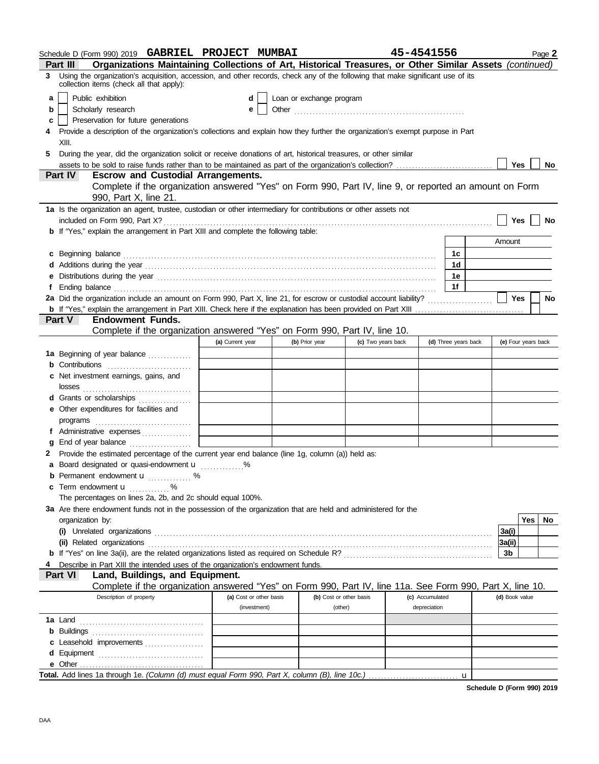| Organizations Maintaining Collections of Art, Historical Treasures, or Other Similar Assets (continued)<br>Part III<br>Using the organization's acquisition, accession, and other records, check any of the following that make significant use of its<br>3<br>collection items (check all that apply):<br>Public exhibition<br>Loan or exchange program<br>d<br>a<br>Scholarly research<br>b<br>e<br>Preservation for future generations<br>c<br>Provide a description of the organization's collections and explain how they further the organization's exempt purpose in Part<br>XIII.<br>During the year, did the organization solicit or receive donations of art, historical treasures, or other similar<br>5.<br>Yes<br>Part IV<br><b>Escrow and Custodial Arrangements.</b><br>Complete if the organization answered "Yes" on Form 990, Part IV, line 9, or reported an amount on Form<br>990, Part X, line 21.<br>1a Is the organization an agent, trustee, custodian or other intermediary for contributions or other assets not<br><b>Yes</b><br>b If "Yes," explain the arrangement in Part XIII and complete the following table:<br>Amount<br>c Beginning balance expressions and the contract of the contract of the contract of the contract of the contract of the contract of the contract of the contract of the contract of the contract of the contract of the contra<br>1c<br>1d<br>1e<br>Distributions during the year <i>[11]</i> [2013] [2013] [2013] [2014] [2014] [2014] [2014] [2014] [2014] [2014] [2014] [2014] [2014] [2014] [2014] [2014] [2014] [2014] [2014] [2014] [2014] [2014] [2014] [2014] [2014] [2014] [20<br>1f<br>f<br>Yes<br>2a Did the organization include an amount on Form 990, Part X, line 21, for escrow or custodial account liability?<br><b>No</b><br><b>Endowment Funds.</b><br><b>Part V</b><br>Complete if the organization answered "Yes" on Form 990, Part IV, line 10.<br>(d) Three years back<br>(e) Four years back<br>(a) Current year<br>(c) Two years back<br>(b) Prior year<br>1a Beginning of year balance<br><b>b</b> Contributions <b>contributions</b><br>c Net investment earnings, gains, and<br>d Grants or scholarships | Schedule D (Form 990) 2019 <b>GABRIEL PROJECT MUMBAI</b> |  | 45-4541556 |  | Page 2 |
|---------------------------------------------------------------------------------------------------------------------------------------------------------------------------------------------------------------------------------------------------------------------------------------------------------------------------------------------------------------------------------------------------------------------------------------------------------------------------------------------------------------------------------------------------------------------------------------------------------------------------------------------------------------------------------------------------------------------------------------------------------------------------------------------------------------------------------------------------------------------------------------------------------------------------------------------------------------------------------------------------------------------------------------------------------------------------------------------------------------------------------------------------------------------------------------------------------------------------------------------------------------------------------------------------------------------------------------------------------------------------------------------------------------------------------------------------------------------------------------------------------------------------------------------------------------------------------------------------------------------------------------------------------------------------------------------------------------------------------------------------------------------------------------------------------------------------------------------------------------------------------------------------------------------------------------------------------------------------------------------------------------------------------------------------------------------------------------------------------------------------------------------------------------------------------------------------|----------------------------------------------------------|--|------------|--|--------|
|                                                                                                                                                                                                                                                                                                                                                                                                                                                                                                                                                                                                                                                                                                                                                                                                                                                                                                                                                                                                                                                                                                                                                                                                                                                                                                                                                                                                                                                                                                                                                                                                                                                                                                                                                                                                                                                                                                                                                                                                                                                                                                                                                                                                   |                                                          |  |            |  |        |
|                                                                                                                                                                                                                                                                                                                                                                                                                                                                                                                                                                                                                                                                                                                                                                                                                                                                                                                                                                                                                                                                                                                                                                                                                                                                                                                                                                                                                                                                                                                                                                                                                                                                                                                                                                                                                                                                                                                                                                                                                                                                                                                                                                                                   |                                                          |  |            |  |        |
|                                                                                                                                                                                                                                                                                                                                                                                                                                                                                                                                                                                                                                                                                                                                                                                                                                                                                                                                                                                                                                                                                                                                                                                                                                                                                                                                                                                                                                                                                                                                                                                                                                                                                                                                                                                                                                                                                                                                                                                                                                                                                                                                                                                                   |                                                          |  |            |  |        |
|                                                                                                                                                                                                                                                                                                                                                                                                                                                                                                                                                                                                                                                                                                                                                                                                                                                                                                                                                                                                                                                                                                                                                                                                                                                                                                                                                                                                                                                                                                                                                                                                                                                                                                                                                                                                                                                                                                                                                                                                                                                                                                                                                                                                   |                                                          |  |            |  |        |
|                                                                                                                                                                                                                                                                                                                                                                                                                                                                                                                                                                                                                                                                                                                                                                                                                                                                                                                                                                                                                                                                                                                                                                                                                                                                                                                                                                                                                                                                                                                                                                                                                                                                                                                                                                                                                                                                                                                                                                                                                                                                                                                                                                                                   |                                                          |  |            |  |        |
|                                                                                                                                                                                                                                                                                                                                                                                                                                                                                                                                                                                                                                                                                                                                                                                                                                                                                                                                                                                                                                                                                                                                                                                                                                                                                                                                                                                                                                                                                                                                                                                                                                                                                                                                                                                                                                                                                                                                                                                                                                                                                                                                                                                                   |                                                          |  |            |  |        |
|                                                                                                                                                                                                                                                                                                                                                                                                                                                                                                                                                                                                                                                                                                                                                                                                                                                                                                                                                                                                                                                                                                                                                                                                                                                                                                                                                                                                                                                                                                                                                                                                                                                                                                                                                                                                                                                                                                                                                                                                                                                                                                                                                                                                   |                                                          |  |            |  |        |
|                                                                                                                                                                                                                                                                                                                                                                                                                                                                                                                                                                                                                                                                                                                                                                                                                                                                                                                                                                                                                                                                                                                                                                                                                                                                                                                                                                                                                                                                                                                                                                                                                                                                                                                                                                                                                                                                                                                                                                                                                                                                                                                                                                                                   |                                                          |  |            |  |        |
|                                                                                                                                                                                                                                                                                                                                                                                                                                                                                                                                                                                                                                                                                                                                                                                                                                                                                                                                                                                                                                                                                                                                                                                                                                                                                                                                                                                                                                                                                                                                                                                                                                                                                                                                                                                                                                                                                                                                                                                                                                                                                                                                                                                                   |                                                          |  |            |  | No     |
|                                                                                                                                                                                                                                                                                                                                                                                                                                                                                                                                                                                                                                                                                                                                                                                                                                                                                                                                                                                                                                                                                                                                                                                                                                                                                                                                                                                                                                                                                                                                                                                                                                                                                                                                                                                                                                                                                                                                                                                                                                                                                                                                                                                                   |                                                          |  |            |  |        |
|                                                                                                                                                                                                                                                                                                                                                                                                                                                                                                                                                                                                                                                                                                                                                                                                                                                                                                                                                                                                                                                                                                                                                                                                                                                                                                                                                                                                                                                                                                                                                                                                                                                                                                                                                                                                                                                                                                                                                                                                                                                                                                                                                                                                   |                                                          |  |            |  |        |
|                                                                                                                                                                                                                                                                                                                                                                                                                                                                                                                                                                                                                                                                                                                                                                                                                                                                                                                                                                                                                                                                                                                                                                                                                                                                                                                                                                                                                                                                                                                                                                                                                                                                                                                                                                                                                                                                                                                                                                                                                                                                                                                                                                                                   |                                                          |  |            |  |        |
|                                                                                                                                                                                                                                                                                                                                                                                                                                                                                                                                                                                                                                                                                                                                                                                                                                                                                                                                                                                                                                                                                                                                                                                                                                                                                                                                                                                                                                                                                                                                                                                                                                                                                                                                                                                                                                                                                                                                                                                                                                                                                                                                                                                                   |                                                          |  |            |  | No     |
|                                                                                                                                                                                                                                                                                                                                                                                                                                                                                                                                                                                                                                                                                                                                                                                                                                                                                                                                                                                                                                                                                                                                                                                                                                                                                                                                                                                                                                                                                                                                                                                                                                                                                                                                                                                                                                                                                                                                                                                                                                                                                                                                                                                                   |                                                          |  |            |  |        |
|                                                                                                                                                                                                                                                                                                                                                                                                                                                                                                                                                                                                                                                                                                                                                                                                                                                                                                                                                                                                                                                                                                                                                                                                                                                                                                                                                                                                                                                                                                                                                                                                                                                                                                                                                                                                                                                                                                                                                                                                                                                                                                                                                                                                   |                                                          |  |            |  |        |
|                                                                                                                                                                                                                                                                                                                                                                                                                                                                                                                                                                                                                                                                                                                                                                                                                                                                                                                                                                                                                                                                                                                                                                                                                                                                                                                                                                                                                                                                                                                                                                                                                                                                                                                                                                                                                                                                                                                                                                                                                                                                                                                                                                                                   |                                                          |  |            |  |        |
|                                                                                                                                                                                                                                                                                                                                                                                                                                                                                                                                                                                                                                                                                                                                                                                                                                                                                                                                                                                                                                                                                                                                                                                                                                                                                                                                                                                                                                                                                                                                                                                                                                                                                                                                                                                                                                                                                                                                                                                                                                                                                                                                                                                                   |                                                          |  |            |  |        |
|                                                                                                                                                                                                                                                                                                                                                                                                                                                                                                                                                                                                                                                                                                                                                                                                                                                                                                                                                                                                                                                                                                                                                                                                                                                                                                                                                                                                                                                                                                                                                                                                                                                                                                                                                                                                                                                                                                                                                                                                                                                                                                                                                                                                   |                                                          |  |            |  |        |
|                                                                                                                                                                                                                                                                                                                                                                                                                                                                                                                                                                                                                                                                                                                                                                                                                                                                                                                                                                                                                                                                                                                                                                                                                                                                                                                                                                                                                                                                                                                                                                                                                                                                                                                                                                                                                                                                                                                                                                                                                                                                                                                                                                                                   |                                                          |  |            |  |        |
|                                                                                                                                                                                                                                                                                                                                                                                                                                                                                                                                                                                                                                                                                                                                                                                                                                                                                                                                                                                                                                                                                                                                                                                                                                                                                                                                                                                                                                                                                                                                                                                                                                                                                                                                                                                                                                                                                                                                                                                                                                                                                                                                                                                                   |                                                          |  |            |  |        |
|                                                                                                                                                                                                                                                                                                                                                                                                                                                                                                                                                                                                                                                                                                                                                                                                                                                                                                                                                                                                                                                                                                                                                                                                                                                                                                                                                                                                                                                                                                                                                                                                                                                                                                                                                                                                                                                                                                                                                                                                                                                                                                                                                                                                   |                                                          |  |            |  |        |
|                                                                                                                                                                                                                                                                                                                                                                                                                                                                                                                                                                                                                                                                                                                                                                                                                                                                                                                                                                                                                                                                                                                                                                                                                                                                                                                                                                                                                                                                                                                                                                                                                                                                                                                                                                                                                                                                                                                                                                                                                                                                                                                                                                                                   |                                                          |  |            |  |        |
|                                                                                                                                                                                                                                                                                                                                                                                                                                                                                                                                                                                                                                                                                                                                                                                                                                                                                                                                                                                                                                                                                                                                                                                                                                                                                                                                                                                                                                                                                                                                                                                                                                                                                                                                                                                                                                                                                                                                                                                                                                                                                                                                                                                                   |                                                          |  |            |  |        |
|                                                                                                                                                                                                                                                                                                                                                                                                                                                                                                                                                                                                                                                                                                                                                                                                                                                                                                                                                                                                                                                                                                                                                                                                                                                                                                                                                                                                                                                                                                                                                                                                                                                                                                                                                                                                                                                                                                                                                                                                                                                                                                                                                                                                   |                                                          |  |            |  |        |
|                                                                                                                                                                                                                                                                                                                                                                                                                                                                                                                                                                                                                                                                                                                                                                                                                                                                                                                                                                                                                                                                                                                                                                                                                                                                                                                                                                                                                                                                                                                                                                                                                                                                                                                                                                                                                                                                                                                                                                                                                                                                                                                                                                                                   |                                                          |  |            |  |        |
|                                                                                                                                                                                                                                                                                                                                                                                                                                                                                                                                                                                                                                                                                                                                                                                                                                                                                                                                                                                                                                                                                                                                                                                                                                                                                                                                                                                                                                                                                                                                                                                                                                                                                                                                                                                                                                                                                                                                                                                                                                                                                                                                                                                                   |                                                          |  |            |  |        |
|                                                                                                                                                                                                                                                                                                                                                                                                                                                                                                                                                                                                                                                                                                                                                                                                                                                                                                                                                                                                                                                                                                                                                                                                                                                                                                                                                                                                                                                                                                                                                                                                                                                                                                                                                                                                                                                                                                                                                                                                                                                                                                                                                                                                   |                                                          |  |            |  |        |
|                                                                                                                                                                                                                                                                                                                                                                                                                                                                                                                                                                                                                                                                                                                                                                                                                                                                                                                                                                                                                                                                                                                                                                                                                                                                                                                                                                                                                                                                                                                                                                                                                                                                                                                                                                                                                                                                                                                                                                                                                                                                                                                                                                                                   |                                                          |  |            |  |        |
| e Other expenditures for facilities and                                                                                                                                                                                                                                                                                                                                                                                                                                                                                                                                                                                                                                                                                                                                                                                                                                                                                                                                                                                                                                                                                                                                                                                                                                                                                                                                                                                                                                                                                                                                                                                                                                                                                                                                                                                                                                                                                                                                                                                                                                                                                                                                                           |                                                          |  |            |  |        |
|                                                                                                                                                                                                                                                                                                                                                                                                                                                                                                                                                                                                                                                                                                                                                                                                                                                                                                                                                                                                                                                                                                                                                                                                                                                                                                                                                                                                                                                                                                                                                                                                                                                                                                                                                                                                                                                                                                                                                                                                                                                                                                                                                                                                   |                                                          |  |            |  |        |
| f Administrative expenses                                                                                                                                                                                                                                                                                                                                                                                                                                                                                                                                                                                                                                                                                                                                                                                                                                                                                                                                                                                                                                                                                                                                                                                                                                                                                                                                                                                                                                                                                                                                                                                                                                                                                                                                                                                                                                                                                                                                                                                                                                                                                                                                                                         |                                                          |  |            |  |        |
|                                                                                                                                                                                                                                                                                                                                                                                                                                                                                                                                                                                                                                                                                                                                                                                                                                                                                                                                                                                                                                                                                                                                                                                                                                                                                                                                                                                                                                                                                                                                                                                                                                                                                                                                                                                                                                                                                                                                                                                                                                                                                                                                                                                                   |                                                          |  |            |  |        |
| Provide the estimated percentage of the current year end balance (line 1g, column (a)) held as:<br>2                                                                                                                                                                                                                                                                                                                                                                                                                                                                                                                                                                                                                                                                                                                                                                                                                                                                                                                                                                                                                                                                                                                                                                                                                                                                                                                                                                                                                                                                                                                                                                                                                                                                                                                                                                                                                                                                                                                                                                                                                                                                                              |                                                          |  |            |  |        |
| a Board designated or quasi-endowment <b>u</b> %                                                                                                                                                                                                                                                                                                                                                                                                                                                                                                                                                                                                                                                                                                                                                                                                                                                                                                                                                                                                                                                                                                                                                                                                                                                                                                                                                                                                                                                                                                                                                                                                                                                                                                                                                                                                                                                                                                                                                                                                                                                                                                                                                  |                                                          |  |            |  |        |
| <b>b</b> Permanent endowment $\mathbf{u}$ %                                                                                                                                                                                                                                                                                                                                                                                                                                                                                                                                                                                                                                                                                                                                                                                                                                                                                                                                                                                                                                                                                                                                                                                                                                                                                                                                                                                                                                                                                                                                                                                                                                                                                                                                                                                                                                                                                                                                                                                                                                                                                                                                                       |                                                          |  |            |  |        |
| c Term endowment <b>u</b> %<br>The percentages on lines 2a, 2b, and 2c should equal 100%.                                                                                                                                                                                                                                                                                                                                                                                                                                                                                                                                                                                                                                                                                                                                                                                                                                                                                                                                                                                                                                                                                                                                                                                                                                                                                                                                                                                                                                                                                                                                                                                                                                                                                                                                                                                                                                                                                                                                                                                                                                                                                                         |                                                          |  |            |  |        |
| 3a Are there endowment funds not in the possession of the organization that are held and administered for the                                                                                                                                                                                                                                                                                                                                                                                                                                                                                                                                                                                                                                                                                                                                                                                                                                                                                                                                                                                                                                                                                                                                                                                                                                                                                                                                                                                                                                                                                                                                                                                                                                                                                                                                                                                                                                                                                                                                                                                                                                                                                     |                                                          |  |            |  |        |
| Yes<br>organization by:                                                                                                                                                                                                                                                                                                                                                                                                                                                                                                                                                                                                                                                                                                                                                                                                                                                                                                                                                                                                                                                                                                                                                                                                                                                                                                                                                                                                                                                                                                                                                                                                                                                                                                                                                                                                                                                                                                                                                                                                                                                                                                                                                                           |                                                          |  |            |  | No     |
| 3a(i)                                                                                                                                                                                                                                                                                                                                                                                                                                                                                                                                                                                                                                                                                                                                                                                                                                                                                                                                                                                                                                                                                                                                                                                                                                                                                                                                                                                                                                                                                                                                                                                                                                                                                                                                                                                                                                                                                                                                                                                                                                                                                                                                                                                             |                                                          |  |            |  |        |
| 3a(ii)                                                                                                                                                                                                                                                                                                                                                                                                                                                                                                                                                                                                                                                                                                                                                                                                                                                                                                                                                                                                                                                                                                                                                                                                                                                                                                                                                                                                                                                                                                                                                                                                                                                                                                                                                                                                                                                                                                                                                                                                                                                                                                                                                                                            |                                                          |  |            |  |        |
| 3b                                                                                                                                                                                                                                                                                                                                                                                                                                                                                                                                                                                                                                                                                                                                                                                                                                                                                                                                                                                                                                                                                                                                                                                                                                                                                                                                                                                                                                                                                                                                                                                                                                                                                                                                                                                                                                                                                                                                                                                                                                                                                                                                                                                                |                                                          |  |            |  |        |
| Describe in Part XIII the intended uses of the organization's endowment funds.                                                                                                                                                                                                                                                                                                                                                                                                                                                                                                                                                                                                                                                                                                                                                                                                                                                                                                                                                                                                                                                                                                                                                                                                                                                                                                                                                                                                                                                                                                                                                                                                                                                                                                                                                                                                                                                                                                                                                                                                                                                                                                                    |                                                          |  |            |  |        |
| Land, Buildings, and Equipment.<br><b>Part VI</b>                                                                                                                                                                                                                                                                                                                                                                                                                                                                                                                                                                                                                                                                                                                                                                                                                                                                                                                                                                                                                                                                                                                                                                                                                                                                                                                                                                                                                                                                                                                                                                                                                                                                                                                                                                                                                                                                                                                                                                                                                                                                                                                                                 |                                                          |  |            |  |        |
| Complete if the organization answered "Yes" on Form 990, Part IV, line 11a. See Form 990, Part X, line 10.                                                                                                                                                                                                                                                                                                                                                                                                                                                                                                                                                                                                                                                                                                                                                                                                                                                                                                                                                                                                                                                                                                                                                                                                                                                                                                                                                                                                                                                                                                                                                                                                                                                                                                                                                                                                                                                                                                                                                                                                                                                                                        |                                                          |  |            |  |        |
| Description of property<br>(a) Cost or other basis<br>(b) Cost or other basis<br>(c) Accumulated<br>(d) Book value                                                                                                                                                                                                                                                                                                                                                                                                                                                                                                                                                                                                                                                                                                                                                                                                                                                                                                                                                                                                                                                                                                                                                                                                                                                                                                                                                                                                                                                                                                                                                                                                                                                                                                                                                                                                                                                                                                                                                                                                                                                                                |                                                          |  |            |  |        |
| (investment)<br>depreciation<br>(other)                                                                                                                                                                                                                                                                                                                                                                                                                                                                                                                                                                                                                                                                                                                                                                                                                                                                                                                                                                                                                                                                                                                                                                                                                                                                                                                                                                                                                                                                                                                                                                                                                                                                                                                                                                                                                                                                                                                                                                                                                                                                                                                                                           |                                                          |  |            |  |        |
|                                                                                                                                                                                                                                                                                                                                                                                                                                                                                                                                                                                                                                                                                                                                                                                                                                                                                                                                                                                                                                                                                                                                                                                                                                                                                                                                                                                                                                                                                                                                                                                                                                                                                                                                                                                                                                                                                                                                                                                                                                                                                                                                                                                                   |                                                          |  |            |  |        |
|                                                                                                                                                                                                                                                                                                                                                                                                                                                                                                                                                                                                                                                                                                                                                                                                                                                                                                                                                                                                                                                                                                                                                                                                                                                                                                                                                                                                                                                                                                                                                                                                                                                                                                                                                                                                                                                                                                                                                                                                                                                                                                                                                                                                   |                                                          |  |            |  |        |
| c Leasehold improvements                                                                                                                                                                                                                                                                                                                                                                                                                                                                                                                                                                                                                                                                                                                                                                                                                                                                                                                                                                                                                                                                                                                                                                                                                                                                                                                                                                                                                                                                                                                                                                                                                                                                                                                                                                                                                                                                                                                                                                                                                                                                                                                                                                          |                                                          |  |            |  |        |
| d Equipment                                                                                                                                                                                                                                                                                                                                                                                                                                                                                                                                                                                                                                                                                                                                                                                                                                                                                                                                                                                                                                                                                                                                                                                                                                                                                                                                                                                                                                                                                                                                                                                                                                                                                                                                                                                                                                                                                                                                                                                                                                                                                                                                                                                       |                                                          |  |            |  |        |
| u                                                                                                                                                                                                                                                                                                                                                                                                                                                                                                                                                                                                                                                                                                                                                                                                                                                                                                                                                                                                                                                                                                                                                                                                                                                                                                                                                                                                                                                                                                                                                                                                                                                                                                                                                                                                                                                                                                                                                                                                                                                                                                                                                                                                 |                                                          |  |            |  |        |

**Schedule D (Form 990) 2019**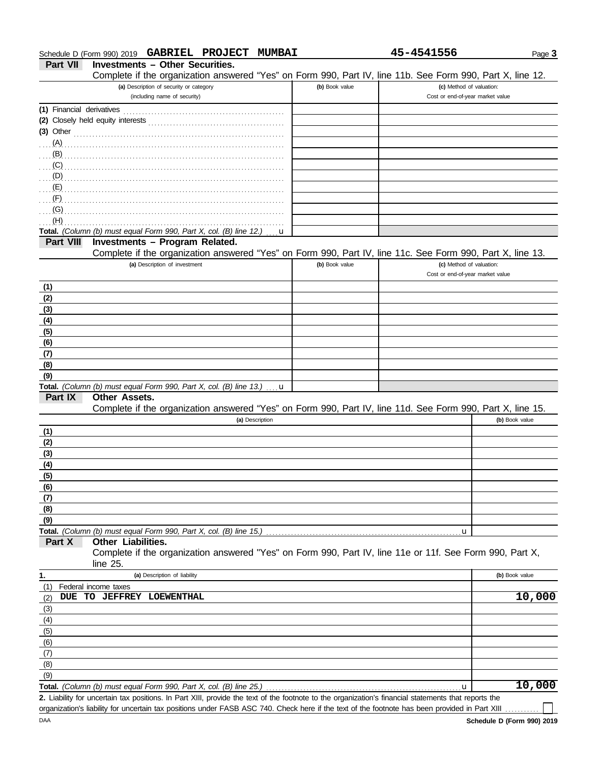| Schedule D (Form 990) 2019 <b>GABRIEL PROJECT</b> |  | <b>MUMBAI</b> | -4541556/ | Page 3 |
|---------------------------------------------------|--|---------------|-----------|--------|
|                                                   |  |               |           |        |

**Part VII Investments – Other Securities.**

not Goodmoot<br>nanization answered "Yes" on Form 990, Part IV, line 11b. See Form 990, Part X, line 12.

| Complete in the organization answered west on Form 990, Part by, line with See Form 990, Part A, line TZ.  |                |                                                              |
|------------------------------------------------------------------------------------------------------------|----------------|--------------------------------------------------------------|
| (a) Description of security or category<br>(including name of security)                                    | (b) Book value | (c) Method of valuation:<br>Cost or end-of-year market value |
| (1) Financial derivatives                                                                                  |                |                                                              |
|                                                                                                            |                |                                                              |
| (3) Other                                                                                                  |                |                                                              |
|                                                                                                            |                |                                                              |
| (A)                                                                                                        |                |                                                              |
| (B)                                                                                                        |                |                                                              |
| (C)                                                                                                        |                |                                                              |
| (D)                                                                                                        |                |                                                              |
| (E)                                                                                                        |                |                                                              |
| (F)                                                                                                        |                |                                                              |
| (G)                                                                                                        |                |                                                              |
| (H)<br>Total. (Column (b) must equal Form 990, Part X, col. (B) line 12.)                                  |                |                                                              |
| <b>u</b><br>Investments - Program Related.<br><b>Part VIII</b>                                             |                |                                                              |
| Complete if the organization answered "Yes" on Form 990, Part IV, line 11c. See Form 990, Part X, line 13. |                |                                                              |
| (a) Description of investment                                                                              | (b) Book value | (c) Method of valuation:                                     |
|                                                                                                            |                | Cost or end-of-year market value                             |
|                                                                                                            |                |                                                              |
| (1)                                                                                                        |                |                                                              |
| (2)<br>(3)                                                                                                 |                |                                                              |
| (4)                                                                                                        |                |                                                              |
| (5)                                                                                                        |                |                                                              |
| (6)                                                                                                        |                |                                                              |
| (7)                                                                                                        |                |                                                              |
| (8)                                                                                                        |                |                                                              |
| (9)                                                                                                        |                |                                                              |
| <b>Total.</b> (Column (b) must equal Form 990, Part X, col. (B) line 13.) $\ldots$ <b>u</b>                |                |                                                              |
| Part IX<br>Other Assets.                                                                                   |                |                                                              |
| Complete if the organization answered "Yes" on Form 990, Part IV, line 11d. See Form 990, Part X, line 15. |                |                                                              |
| (a) Description                                                                                            |                | (b) Book value                                               |
| (1)                                                                                                        |                |                                                              |
| (2)                                                                                                        |                |                                                              |
| (3)                                                                                                        |                |                                                              |
| (4)                                                                                                        |                |                                                              |
|                                                                                                            |                |                                                              |
| (5)<br>(6)                                                                                                 |                |                                                              |
| (7)                                                                                                        |                |                                                              |
| (8)                                                                                                        |                |                                                              |
| (9)                                                                                                        |                |                                                              |
| Total. (Column (b) must equal Form 990, Part X, col. (B) line 15.)                                         |                | u                                                            |
| Part X<br>Other Liabilities.                                                                               |                |                                                              |
| Complete if the organization answered "Yes" on Form 990, Part IV, line 11e or 11f. See Form 990, Part X,   |                |                                                              |
| line 25.                                                                                                   |                |                                                              |
| (a) Description of liability<br>1.                                                                         |                | (b) Book value                                               |
| Federal income taxes<br>(1)                                                                                |                |                                                              |
| DUE TO JEFFREY LOEWENTHAL<br>(2)                                                                           |                | 10,000                                                       |
| (3)                                                                                                        |                |                                                              |
| (4)                                                                                                        |                |                                                              |
| (5)                                                                                                        |                |                                                              |
|                                                                                                            |                |                                                              |
|                                                                                                            |                |                                                              |
| (6)                                                                                                        |                |                                                              |
| (7)                                                                                                        |                |                                                              |
| (8)                                                                                                        |                |                                                              |
| (9)<br>Total. (Column (b) must equal Form 990, Part X, col. (B) line 25.)                                  |                | 10,000<br>u                                                  |

organization's liability for uncertain tax positions under FASB ASC 740. Check here if the text of the footnote has been provided in Part XIII .........

 $\Box$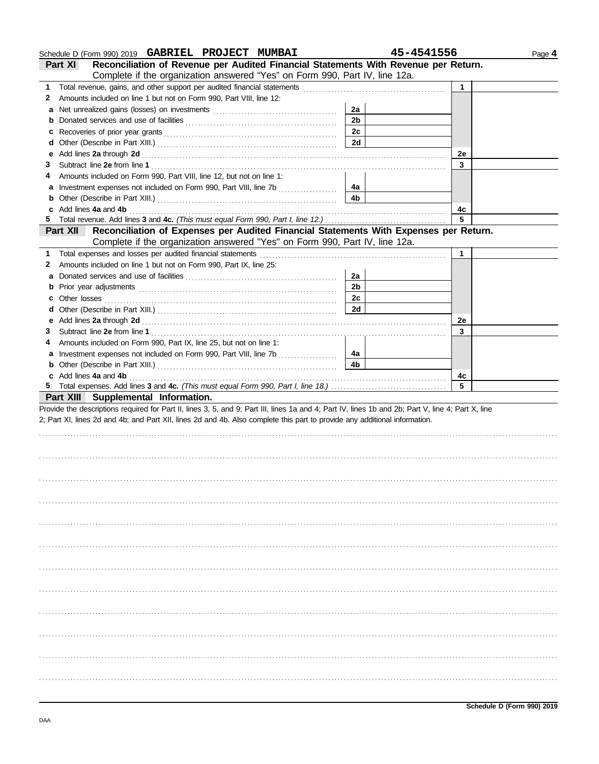|              | Schedule D (Form 990) 2019 GABRIEL PROJECT MUMBAI                                                                                                  | 45-4541556     |              | Page 4 |
|--------------|----------------------------------------------------------------------------------------------------------------------------------------------------|----------------|--------------|--------|
|              | Reconciliation of Revenue per Audited Financial Statements With Revenue per Return.<br><b>Part XI</b>                                              |                |              |        |
|              | Complete if the organization answered "Yes" on Form 990, Part IV, line 12a.                                                                        |                |              |        |
| 1            |                                                                                                                                                    |                | $\mathbf 1$  |        |
| $\mathbf{2}$ | Amounts included on line 1 but not on Form 990, Part VIII, line 12:                                                                                |                |              |        |
| a            |                                                                                                                                                    | 2a             |              |        |
| b            |                                                                                                                                                    | 2 <sub>b</sub> |              |        |
| c            |                                                                                                                                                    | 2c             |              |        |
| d            |                                                                                                                                                    | 2d             |              |        |
| е            |                                                                                                                                                    |                | 2e           |        |
| 3            |                                                                                                                                                    |                | 3            |        |
| 4            | Amounts included on Form 990, Part VIII, line 12, but not on line 1:                                                                               |                |              |        |
| a            | Investment expenses not included on Form 990, Part VIII, line 7b                                                                                   | 4a             |              |        |
| b            |                                                                                                                                                    | 4b             |              |        |
|              | Add lines 4a and 4b                                                                                                                                |                | 4c           |        |
| 5            |                                                                                                                                                    |                | 5            |        |
|              | Reconciliation of Expenses per Audited Financial Statements With Expenses per Return.<br>Part XII                                                  |                |              |        |
|              | Complete if the organization answered "Yes" on Form 990, Part IV, line 12a.                                                                        |                |              |        |
| 1            | Total expenses and losses per audited financial statements                                                                                         |                | $\mathbf{1}$ |        |
| 2            | Amounts included on line 1 but not on Form 990, Part IX, line 25:                                                                                  |                |              |        |
| a            |                                                                                                                                                    | 2a             |              |        |
| b            |                                                                                                                                                    | 2 <sub>b</sub> |              |        |
| c            | Other losses                                                                                                                                       | 2c             |              |        |
| d            |                                                                                                                                                    | 2d             |              |        |
| е            |                                                                                                                                                    |                | 2e           |        |
| 3            |                                                                                                                                                    |                | 3            |        |
| 4            | Amounts included on Form 990, Part IX, line 25, but not on line 1:                                                                                 |                |              |        |
| a            |                                                                                                                                                    | 4a             |              |        |
| b            |                                                                                                                                                    | 4b             |              |        |
|              |                                                                                                                                                    |                |              |        |
|              |                                                                                                                                                    |                |              |        |
|              | c Add lines 4a and 4b                                                                                                                              |                | 4с<br>5      |        |
|              |                                                                                                                                                    |                |              |        |
|              | Part XIII Supplemental Information.                                                                                                                |                |              |        |
|              | Provide the descriptions required for Part II, lines 3, 5, and 9; Part III, lines 1a and 4; Part IV, lines 1b and 2b; Part V, line 4; Part X, line |                |              |        |
|              | 2; Part XI, lines 2d and 4b; and Part XII, lines 2d and 4b. Also complete this part to provide any additional information.                         |                |              |        |
|              |                                                                                                                                                    |                |              |        |
|              |                                                                                                                                                    |                |              |        |
|              |                                                                                                                                                    |                |              |        |
|              |                                                                                                                                                    |                |              |        |
|              |                                                                                                                                                    |                |              |        |
|              |                                                                                                                                                    |                |              |        |
|              |                                                                                                                                                    |                |              |        |
|              |                                                                                                                                                    |                |              |        |
|              |                                                                                                                                                    |                |              |        |
|              |                                                                                                                                                    |                |              |        |
|              |                                                                                                                                                    |                |              |        |
|              |                                                                                                                                                    |                |              |        |
|              |                                                                                                                                                    |                |              |        |
|              |                                                                                                                                                    |                |              |        |
|              |                                                                                                                                                    |                |              |        |
|              |                                                                                                                                                    |                |              |        |
|              |                                                                                                                                                    |                |              |        |
|              |                                                                                                                                                    |                |              |        |
|              |                                                                                                                                                    |                |              |        |
|              |                                                                                                                                                    |                |              |        |
|              |                                                                                                                                                    |                |              |        |
|              |                                                                                                                                                    |                |              |        |
|              |                                                                                                                                                    |                |              |        |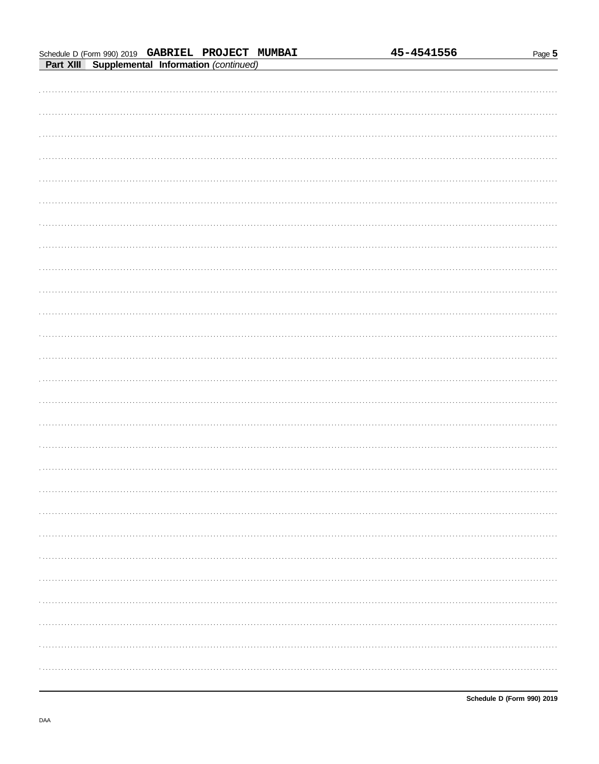|  |  |                                                                                                     |  | 45-4541556 | Page 5 |
|--|--|-----------------------------------------------------------------------------------------------------|--|------------|--------|
|  |  | Schedule D (Form 990) 2019 GABRIEL PROJECT MUMBAI<br>Part XIII Supplemental Information (continued) |  |            |        |
|  |  |                                                                                                     |  |            |        |
|  |  |                                                                                                     |  |            |        |
|  |  |                                                                                                     |  |            |        |
|  |  |                                                                                                     |  |            |        |
|  |  |                                                                                                     |  |            |        |
|  |  |                                                                                                     |  |            |        |
|  |  |                                                                                                     |  |            |        |
|  |  |                                                                                                     |  |            |        |
|  |  |                                                                                                     |  |            |        |
|  |  |                                                                                                     |  |            |        |
|  |  |                                                                                                     |  |            |        |
|  |  |                                                                                                     |  |            |        |
|  |  |                                                                                                     |  |            |        |
|  |  |                                                                                                     |  |            |        |
|  |  |                                                                                                     |  |            |        |
|  |  |                                                                                                     |  |            |        |
|  |  |                                                                                                     |  |            |        |
|  |  |                                                                                                     |  |            |        |
|  |  |                                                                                                     |  |            |        |
|  |  |                                                                                                     |  |            |        |
|  |  |                                                                                                     |  |            |        |
|  |  |                                                                                                     |  |            |        |
|  |  |                                                                                                     |  |            |        |
|  |  |                                                                                                     |  |            |        |
|  |  |                                                                                                     |  |            |        |
|  |  |                                                                                                     |  |            |        |
|  |  |                                                                                                     |  |            |        |
|  |  |                                                                                                     |  |            |        |
|  |  |                                                                                                     |  |            |        |
|  |  |                                                                                                     |  |            |        |
|  |  |                                                                                                     |  |            |        |
|  |  |                                                                                                     |  |            |        |
|  |  |                                                                                                     |  |            |        |
|  |  |                                                                                                     |  |            |        |
|  |  |                                                                                                     |  |            |        |
|  |  |                                                                                                     |  |            |        |
|  |  |                                                                                                     |  |            |        |
|  |  |                                                                                                     |  |            |        |
|  |  |                                                                                                     |  |            |        |
|  |  |                                                                                                     |  |            |        |
|  |  |                                                                                                     |  |            |        |
|  |  |                                                                                                     |  |            |        |
|  |  |                                                                                                     |  |            |        |
|  |  |                                                                                                     |  |            |        |
|  |  |                                                                                                     |  |            |        |
|  |  |                                                                                                     |  |            |        |
|  |  |                                                                                                     |  |            |        |
|  |  |                                                                                                     |  |            |        |
|  |  |                                                                                                     |  |            |        |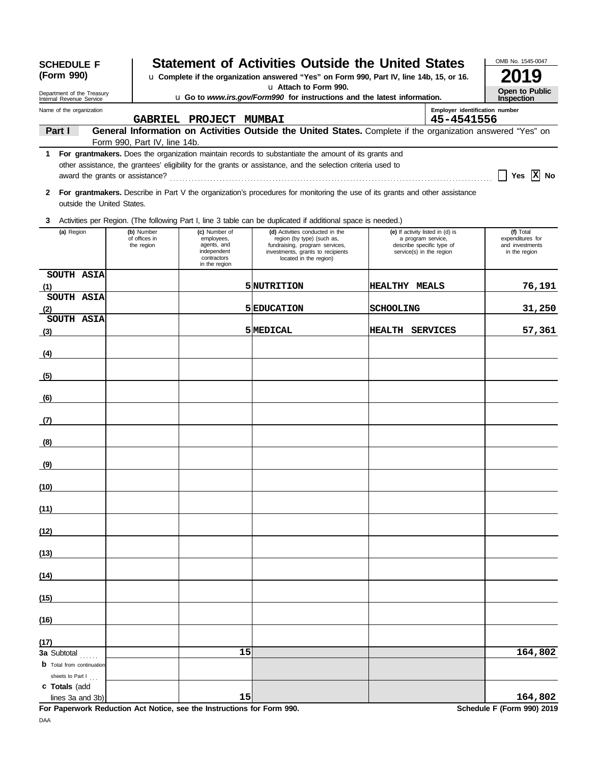| <b>SCHEDULE F</b>                                               |                                           |                                                                                           |    | <b>Statement of Activities Outside the United States</b>                                                                                                                                                               |                                                                                                                 |                                              | OMB No. 1545-0047                                                 |
|-----------------------------------------------------------------|-------------------------------------------|-------------------------------------------------------------------------------------------|----|------------------------------------------------------------------------------------------------------------------------------------------------------------------------------------------------------------------------|-----------------------------------------------------------------------------------------------------------------|----------------------------------------------|-------------------------------------------------------------------|
| (Form 990)                                                      |                                           |                                                                                           |    | u Complete if the organization answered "Yes" on Form 990, Part IV, line 14b, 15, or 16.                                                                                                                               |                                                                                                                 |                                              | I9                                                                |
| Department of the Treasury<br>Internal Revenue Service          |                                           |                                                                                           |    | u Attach to Form 990.<br>u Go to www.irs.gov/Form990 for instructions and the latest information.                                                                                                                      |                                                                                                                 |                                              | <b>Open to Public</b><br><b>Inspection</b>                        |
| Name of the organization                                        |                                           |                                                                                           |    |                                                                                                                                                                                                                        |                                                                                                                 | Employer identification number<br>45-4541556 |                                                                   |
| Part I                                                          |                                           | GABRIEL PROJECT MUMBAI                                                                    |    | General Information on Activities Outside the United States. Complete if the organization answered "Yes" on                                                                                                            |                                                                                                                 |                                              |                                                                   |
|                                                                 | Form 990, Part IV, line 14b.              |                                                                                           |    |                                                                                                                                                                                                                        |                                                                                                                 |                                              |                                                                   |
| award the grants or assistance?                                 |                                           |                                                                                           |    | 1 For grantmakers. Does the organization maintain records to substantiate the amount of its grants and<br>other assistance, the grantees' eligibility for the grants or assistance, and the selection criteria used to |                                                                                                                 |                                              | Yes $ X $ No                                                      |
| outside the United States.                                      |                                           |                                                                                           |    | 2 For grantmakers. Describe in Part V the organization's procedures for monitoring the use of its grants and other assistance                                                                                          |                                                                                                                 |                                              |                                                                   |
| 3                                                               |                                           |                                                                                           |    | Activities per Region. (The following Part I, line 3 table can be duplicated if additional space is needed.)                                                                                                           |                                                                                                                 |                                              |                                                                   |
| (a) Region                                                      | (b) Number<br>of offices in<br>the region | (c) Number of<br>employees,<br>agents, and<br>independent<br>contractors<br>in the region |    | (d) Activities conducted in the<br>region (by type) (such as,<br>fundraising, program services,<br>investments, grants to recipients<br>located in the region)                                                         | (e) If activity listed in (d) is<br>a program service,<br>describe specific type of<br>service(s) in the region |                                              | (f) Total<br>expenditures for<br>and investments<br>in the region |
| SOUTH ASIA<br>(1)                                               |                                           |                                                                                           |    | 5 NUTRITION                                                                                                                                                                                                            | <b>HEALTHY MEALS</b>                                                                                            |                                              | 76,191                                                            |
| SOUTH ASIA<br>(2)                                               |                                           |                                                                                           |    | 5 EDUCATION                                                                                                                                                                                                            | SCHOOLING                                                                                                       |                                              | 31,250                                                            |
| SOUTH ASIA<br>(3)                                               |                                           |                                                                                           |    | <b>5 MEDICAL</b>                                                                                                                                                                                                       | <b>HEALTH SERVICES</b>                                                                                          |                                              | 57,361                                                            |
| (4)                                                             |                                           |                                                                                           |    |                                                                                                                                                                                                                        |                                                                                                                 |                                              |                                                                   |
| (5)                                                             |                                           |                                                                                           |    |                                                                                                                                                                                                                        |                                                                                                                 |                                              |                                                                   |
| (6)                                                             |                                           |                                                                                           |    |                                                                                                                                                                                                                        |                                                                                                                 |                                              |                                                                   |
| (7)                                                             |                                           |                                                                                           |    |                                                                                                                                                                                                                        |                                                                                                                 |                                              |                                                                   |
| (8)                                                             |                                           |                                                                                           |    |                                                                                                                                                                                                                        |                                                                                                                 |                                              |                                                                   |
| (9)                                                             |                                           |                                                                                           |    |                                                                                                                                                                                                                        |                                                                                                                 |                                              |                                                                   |
| (10)                                                            |                                           |                                                                                           |    |                                                                                                                                                                                                                        |                                                                                                                 |                                              |                                                                   |
| (11)                                                            |                                           |                                                                                           |    |                                                                                                                                                                                                                        |                                                                                                                 |                                              |                                                                   |
| (12)                                                            |                                           |                                                                                           |    |                                                                                                                                                                                                                        |                                                                                                                 |                                              |                                                                   |
| (13)                                                            |                                           |                                                                                           |    |                                                                                                                                                                                                                        |                                                                                                                 |                                              |                                                                   |
| (14)                                                            |                                           |                                                                                           |    |                                                                                                                                                                                                                        |                                                                                                                 |                                              |                                                                   |
| (15)                                                            |                                           |                                                                                           |    |                                                                                                                                                                                                                        |                                                                                                                 |                                              |                                                                   |
| (16)                                                            |                                           |                                                                                           |    |                                                                                                                                                                                                                        |                                                                                                                 |                                              |                                                                   |
| (17)<br>3a Subtotal                                             |                                           |                                                                                           | 15 |                                                                                                                                                                                                                        |                                                                                                                 |                                              | 164,802                                                           |
| <b>b</b> Total from continuation<br>sheets to Part $I_{\ldots}$ |                                           |                                                                                           |    |                                                                                                                                                                                                                        |                                                                                                                 |                                              |                                                                   |
| c Totals (add<br>lines 3a and 3b)                               |                                           |                                                                                           | 15 |                                                                                                                                                                                                                        |                                                                                                                 |                                              | 164,802                                                           |
|                                                                 |                                           |                                                                                           |    |                                                                                                                                                                                                                        |                                                                                                                 |                                              |                                                                   |

**For Paperwork Reduction Act Notice, see the Instructions for Form 990. Schedule F (Form 990) 2019** DAA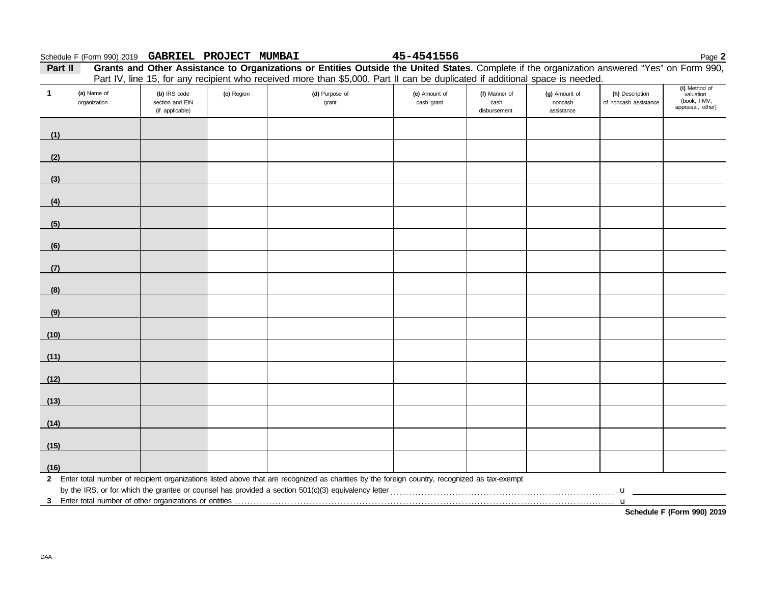### Schedule F (Form 990) 2019 Page **2 GABRIEL PROJECT MUMBAI 45-4541556**

**Part II Grants and Other Assistance to Organizations or Entities Outside the United States.** Complete if the organization answered "Yes" on Form 990, Part IV, line 15, for any recipient who received more than \$5,000. Part II can be duplicated if additional space is needed.

| -1           | (a) Name of<br>organization | $\sim$ , $\sim$ , $\sim$ , $\sim$ , $\sim$<br>(b) IRS code<br>section and EIN<br>(if applicable) | (c) Region | (d) Purpose of<br>grant                                                                                                                        | (e) Amount of<br>cash grant | (f) Manner of<br>cash<br>disbursement | ~~~~<br>(g) Amount of<br>noncash<br>assistance | (h) Description<br>of noncash assistance | (i) Method of<br>valuation<br>(book, FMV,<br>appraisal, other) |
|--------------|-----------------------------|--------------------------------------------------------------------------------------------------|------------|------------------------------------------------------------------------------------------------------------------------------------------------|-----------------------------|---------------------------------------|------------------------------------------------|------------------------------------------|----------------------------------------------------------------|
| (1)          |                             |                                                                                                  |            |                                                                                                                                                |                             |                                       |                                                |                                          |                                                                |
| (2)          |                             |                                                                                                  |            |                                                                                                                                                |                             |                                       |                                                |                                          |                                                                |
| (3)          |                             |                                                                                                  |            |                                                                                                                                                |                             |                                       |                                                |                                          |                                                                |
| (4)          |                             |                                                                                                  |            |                                                                                                                                                |                             |                                       |                                                |                                          |                                                                |
| (5)          |                             |                                                                                                  |            |                                                                                                                                                |                             |                                       |                                                |                                          |                                                                |
| (6)          |                             |                                                                                                  |            |                                                                                                                                                |                             |                                       |                                                |                                          |                                                                |
| (7)          |                             |                                                                                                  |            |                                                                                                                                                |                             |                                       |                                                |                                          |                                                                |
| (8)          |                             |                                                                                                  |            |                                                                                                                                                |                             |                                       |                                                |                                          |                                                                |
| (9)          |                             |                                                                                                  |            |                                                                                                                                                |                             |                                       |                                                |                                          |                                                                |
| (10)         |                             |                                                                                                  |            |                                                                                                                                                |                             |                                       |                                                |                                          |                                                                |
| (11)         |                             |                                                                                                  |            |                                                                                                                                                |                             |                                       |                                                |                                          |                                                                |
| (12)         |                             |                                                                                                  |            |                                                                                                                                                |                             |                                       |                                                |                                          |                                                                |
| (13)         |                             |                                                                                                  |            |                                                                                                                                                |                             |                                       |                                                |                                          |                                                                |
| (14)         |                             |                                                                                                  |            |                                                                                                                                                |                             |                                       |                                                |                                          |                                                                |
| (15)         |                             |                                                                                                  |            |                                                                                                                                                |                             |                                       |                                                |                                          |                                                                |
| (16)         |                             |                                                                                                  |            |                                                                                                                                                |                             |                                       |                                                |                                          |                                                                |
|              |                             |                                                                                                  |            | 2 Enter total number of recipient organizations listed above that are recognized as charities by the foreign country, recognized as tax-exempt |                             |                                       |                                                |                                          |                                                                |
| $\mathbf{3}$ |                             |                                                                                                  |            |                                                                                                                                                |                             |                                       |                                                |                                          | Schedule F (Form 990) 2019                                     |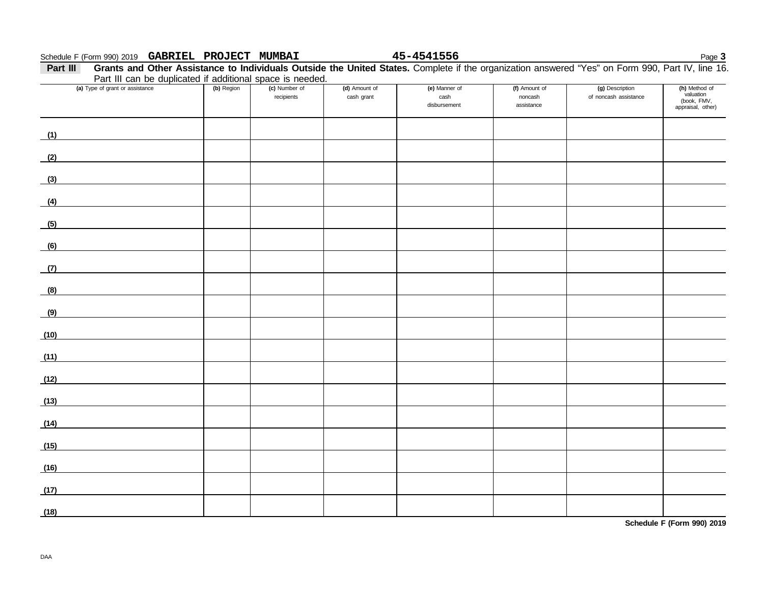#### Schedule F (Form 990) 2019 Page **3 GABRIEL PROJECT MUMBAI 45-4541556**

**Part III Grants and Other Assistance to Individuals Outside the United States.** Complete if the organization answered "Yes" on Form 990, Part IV, line 16. Part III can be duplicated if additional space is needed.

|      | Part in can be duplicated if additional space is needed.                                                             |            |                             |                             |                                       |                                        |                                          |                                                                |
|------|----------------------------------------------------------------------------------------------------------------------|------------|-----------------------------|-----------------------------|---------------------------------------|----------------------------------------|------------------------------------------|----------------------------------------------------------------|
|      | (a) Type of grant or assistance                                                                                      | (b) Region | (c) Number of<br>recipients | (d) Amount of<br>cash grant | (e) Manner of<br>cash<br>disbursement | (f) Amount of<br>noncash<br>assistance | (g) Description<br>of noncash assistance | (h) Method of<br>valuation<br>(book, FMV,<br>appraisal, other) |
|      | (1)                                                                                                                  |            |                             |                             |                                       |                                        |                                          |                                                                |
| (2)  | <u> 1980 - Andrea Station Barbara, amerikan per</u>                                                                  |            |                             |                             |                                       |                                        |                                          |                                                                |
| (3)  | <u> 1980 - Johann Barbara, martxa al</u>                                                                             |            |                             |                             |                                       |                                        |                                          |                                                                |
| (4)  | <u> 1980 - Johann Barbara, martxa a</u>                                                                              |            |                             |                             |                                       |                                        |                                          |                                                                |
| (5)  |                                                                                                                      |            |                             |                             |                                       |                                        |                                          |                                                                |
| (6)  |                                                                                                                      |            |                             |                             |                                       |                                        |                                          |                                                                |
| (7)  |                                                                                                                      |            |                             |                             |                                       |                                        |                                          |                                                                |
| (8)  |                                                                                                                      |            |                             |                             |                                       |                                        |                                          |                                                                |
| (9)  | <u> 1989 - Jan Barbarat, prima politik politik (</u>                                                                 |            |                             |                             |                                       |                                        |                                          |                                                                |
| (10) | <u> 1989 - Jan Barbara Barat, prima popular popular popular popular popular popular popular popular popular popu</u> |            |                             |                             |                                       |                                        |                                          |                                                                |
| (11) |                                                                                                                      |            |                             |                             |                                       |                                        |                                          |                                                                |
|      | (12)                                                                                                                 |            |                             |                             |                                       |                                        |                                          |                                                                |
| (13) |                                                                                                                      |            |                             |                             |                                       |                                        |                                          |                                                                |
| (14) |                                                                                                                      |            |                             |                             |                                       |                                        |                                          |                                                                |
| (15) |                                                                                                                      |            |                             |                             |                                       |                                        |                                          |                                                                |
| (16) |                                                                                                                      |            |                             |                             |                                       |                                        |                                          |                                                                |
| (17) |                                                                                                                      |            |                             |                             |                                       |                                        |                                          |                                                                |
| (18) |                                                                                                                      |            |                             |                             |                                       |                                        |                                          |                                                                |

**Schedule F (Form 990) 2019**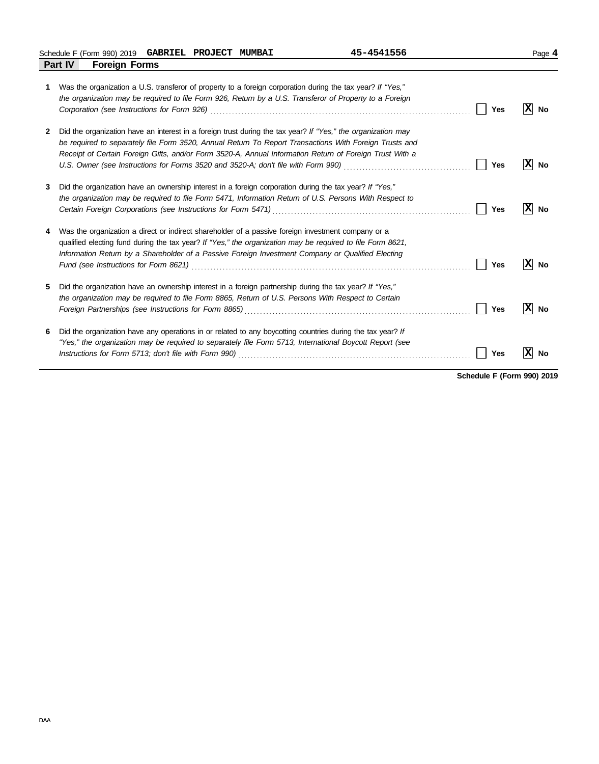Schedule F (Form 990) 2019 GABRIEL PROJECT MUMBAI **45-4541556 13-4541556** Page 4 **Part IV Foreign Forms**

|   | Was the organization a U.S. transferor of property to a foreign corporation during the tax year? If "Yes,"<br>the organization may be required to file Form 926, Return by a U.S. Transferor of Property to a Foreign<br>Corporation (see Instructions for Form 926) Material Corporation (See Instruction of See Instructions for Form 926)                                                                                                        | Yes | ΙX<br>No |
|---|-----------------------------------------------------------------------------------------------------------------------------------------------------------------------------------------------------------------------------------------------------------------------------------------------------------------------------------------------------------------------------------------------------------------------------------------------------|-----|----------|
| 2 | Did the organization have an interest in a foreign trust during the tax year? If "Yes," the organization may<br>be required to separately file Form 3520, Annual Return To Report Transactions With Foreign Trusts and<br>Receipt of Certain Foreign Gifts, and/or Form 3520-A, Annual Information Return of Foreign Trust With a                                                                                                                   | Yes | ΙX<br>No |
| 3 | Did the organization have an ownership interest in a foreign corporation during the tax year? If "Yes,"<br>the organization may be required to file Form 5471, Information Return of U.S. Persons With Respect to<br>Certain Foreign Corporations (see Instructions for Form 5471) [[20] Contain content content content content content content content content content content content content content content content content content content co | Yes | ΙX<br>No |
|   | Was the organization a direct or indirect shareholder of a passive foreign investment company or a<br>qualified electing fund during the tax year? If "Yes," the organization may be required to file Form 8621.<br>Information Return by a Shareholder of a Passive Foreign Investment Company or Qualified Electing                                                                                                                               | Yes | No       |
| 5 | Did the organization have an ownership interest in a foreign partnership during the tax year? If "Yes,"<br>the organization may be required to file Form 8865, Return of U.S. Persons With Respect to Certain<br>Foreign Partnerships (see Instructions for Form 8865) [[20] Content Content Content Content Content Content Content Content Content Content Content Content Content Content Content Content Content Content Content Content Co     | Yes | X <br>No |
| 6 | Did the organization have any operations in or related to any boycotting countries during the tax year? If<br>"Yes," the organization may be required to separately file Form 5713, International Boycott Report (see                                                                                                                                                                                                                               | Yes | No       |

**Schedule F (Form 990) 2019**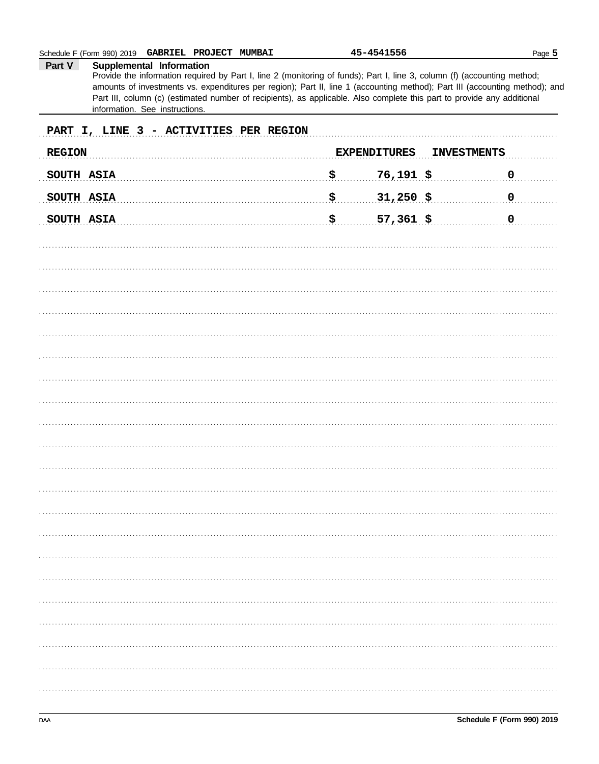| Part V        | Schedule F (Form 990) 2019 GABRIEL PROJECT MUMBAI<br>Supplemental Information<br>Provide the information required by Part I, line 2 (monitoring of funds); Part I, line 3, column (f) (accounting method;<br>amounts of investments vs. expenditures per region); Part II, line 1 (accounting method); Part III (accounting method); and<br>Part III, column (c) (estimated number of recipients), as applicable. Also complete this part to provide any additional<br>information. See instructions. |              | 45-4541556          |                    | Page 5         |
|---------------|-------------------------------------------------------------------------------------------------------------------------------------------------------------------------------------------------------------------------------------------------------------------------------------------------------------------------------------------------------------------------------------------------------------------------------------------------------------------------------------------------------|--------------|---------------------|--------------------|----------------|
|               | PART I, LINE 3 -<br><b>ACTIVITIES PER REGION</b>                                                                                                                                                                                                                                                                                                                                                                                                                                                      |              |                     |                    |                |
| <b>REGION</b> |                                                                                                                                                                                                                                                                                                                                                                                                                                                                                                       |              | <b>EXPENDITURES</b> | <b>INVESTMENTS</b> |                |
| SOUTH ASIA    |                                                                                                                                                                                                                                                                                                                                                                                                                                                                                                       | \$.          | $76,191$ \$         |                    | $\overline{0}$ |
| SOUTH ASIA    |                                                                                                                                                                                                                                                                                                                                                                                                                                                                                                       | ₿.           | $31,250$ \$         |                    | $\overline{0}$ |
| SOUTH ASIA    |                                                                                                                                                                                                                                                                                                                                                                                                                                                                                                       | $\mathsf{S}$ | $57,361$ \$         |                    | $\mathbf 0$    |
|               |                                                                                                                                                                                                                                                                                                                                                                                                                                                                                                       |              |                     |                    |                |
|               |                                                                                                                                                                                                                                                                                                                                                                                                                                                                                                       |              |                     |                    |                |
| .             |                                                                                                                                                                                                                                                                                                                                                                                                                                                                                                       |              |                     |                    |                |
|               |                                                                                                                                                                                                                                                                                                                                                                                                                                                                                                       |              |                     |                    |                |
|               |                                                                                                                                                                                                                                                                                                                                                                                                                                                                                                       |              |                     |                    |                |
|               |                                                                                                                                                                                                                                                                                                                                                                                                                                                                                                       |              |                     |                    |                |
|               |                                                                                                                                                                                                                                                                                                                                                                                                                                                                                                       |              |                     |                    |                |
|               |                                                                                                                                                                                                                                                                                                                                                                                                                                                                                                       |              |                     |                    |                |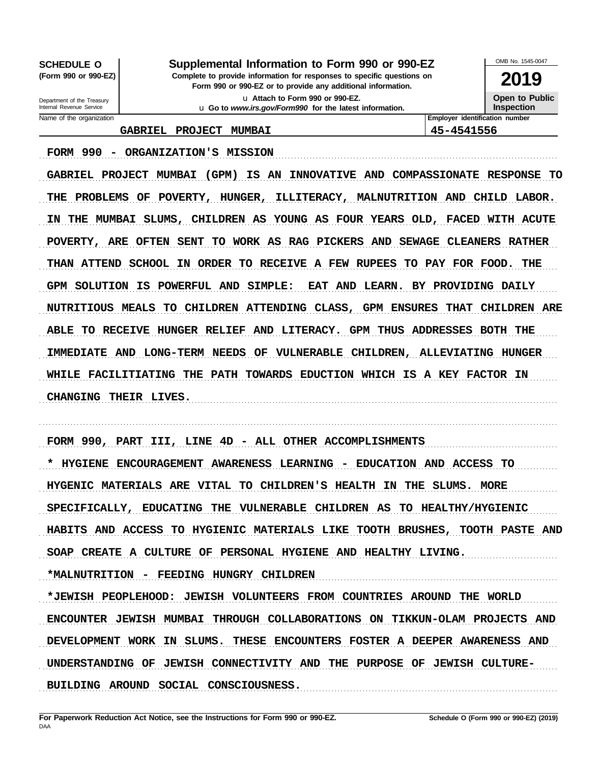**SCHEDULE O** (Form 990 or 990-EZ)

Department of the Treasury Internal Revenue Service Name of the organization Supplemental Information to Form 990 or 990-EZ

Complete to provide information for responses to specific questions on Form 990 or 990-EZ or to provide any additional information.

u Attach to Form 990 or 990-EZ. u Go to www.irs.gov/Form990 for the latest information.

2019 Open to Public **Inspection** 

OMB No. 1545-0047

**Employer identification number** 

45-4541556

FORM 990 - ORGANIZATION'S MISSION

GABRIEL PROJECT MUMBAI

GABRIEL PROJECT MUMBAI (GPM) IS AN INNOVATIVE AND COMPASSIONATE RESPONSE TO THE PROBLEMS OF POVERTY, HUNGER, ILLITERACY, MALNUTRITION AND CHILD LABOR. IN THE MUMBAI SLUMS, CHILDREN AS YOUNG AS FOUR YEARS OLD, FACED WITH ACUTE POVERTY, ARE OFTEN SENT TO WORK AS RAG PICKERS AND SEWAGE CLEANERS RATHER THAN ATTEND SCHOOL IN ORDER TO RECEIVE A FEW RUPEES TO PAY FOR FOOD. THE GPM SOLUTION IS POWERFUL AND SIMPLE: EAT AND LEARN. BY PROVIDING DAILY NUTRITIOUS MEALS TO CHILDREN ATTENDING CLASS, GPM ENSURES THAT CHILDREN ARE ABLE TO RECEIVE HUNGER RELIEF AND LITERACY. GPM THUS ADDRESSES BOTH THE IMMEDIATE AND LONG-TERM NEEDS OF VULNERABLE CHILDREN, ALLEVIATING HUNGER WHILE FACILITIATING THE PATH TOWARDS EDUCTION WHICH IS A KEY FACTOR IN CHANGING THEIR LIVES.

FORM 990, PART III, LINE 4D - ALL OTHER ACCOMPLISHMENTS

\* HYGIENE ENCOURAGEMENT AWARENESS LEARNING - EDUCATION AND ACCESS TO

HYGENIC MATERIALS ARE VITAL TO CHILDREN'S HEALTH IN THE SLUMS. MORE

SPECIFICALLY, EDUCATING THE VULNERABLE CHILDREN AS TO HEALTHY/HYGIENIC

HABITS AND ACCESS TO HYGIENIC MATERIALS LIKE TOOTH BRUSHES, TOOTH PASTE AND SOAP CREATE A CULTURE OF PERSONAL HYGIENE AND HEALTHY LIVING.

\*MALNUTRITION - FEEDING HUNGRY CHILDREN

\*JEWISH PEOPLEHOOD: JEWISH VOLUNTEERS FROM COUNTRIES AROUND THE WORLD ENCOUNTER JEWISH MUMBAI THROUGH COLLABORATIONS ON TIKKUN-OLAM PROJECTS AND DEVELOPMENT WORK IN SLUMS. THESE ENCOUNTERS FOSTER A DEEPER AWARENESS AND UNDERSTANDING OF JEWISH CONNECTIVITY AND THE PURPOSE OF JEWISH CULTURE-BUILDING AROUND SOCIAL CONSCIOUSNESS.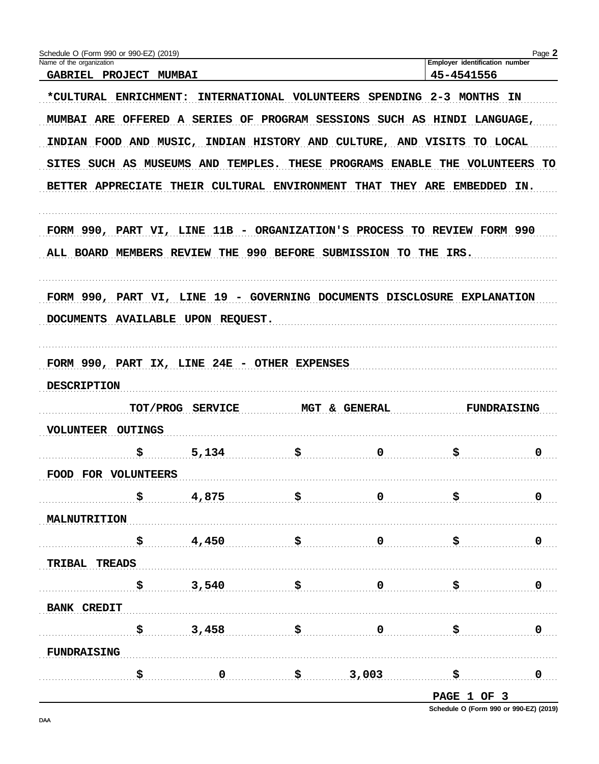| Schedule O (Form 990 or 990-EZ) (2019)<br>Name of the organization      |                                                                                                                                                                                                                                                                                                                                                                                                             |                                                                         |                                              | Employer identification number | Page 2                     |
|-------------------------------------------------------------------------|-------------------------------------------------------------------------------------------------------------------------------------------------------------------------------------------------------------------------------------------------------------------------------------------------------------------------------------------------------------------------------------------------------------|-------------------------------------------------------------------------|----------------------------------------------|--------------------------------|----------------------------|
| GABRIEL PROJECT MUMBAI                                                  |                                                                                                                                                                                                                                                                                                                                                                                                             |                                                                         |                                              | 45-4541556                     |                            |
| *CULTURAL ENRICHMENT:                                                   |                                                                                                                                                                                                                                                                                                                                                                                                             |                                                                         | INTERNATIONAL VOLUNTEERS SPENDING 2-3 MONTHS |                                | IN                         |
| MUMBAI ARE OFFERED A SERIES OF PROGRAM SESSIONS SUCH AS HINDI LANGUAGE, |                                                                                                                                                                                                                                                                                                                                                                                                             |                                                                         |                                              |                                |                            |
| INDIAN FOOD AND MUSIC, INDIAN HISTORY AND CULTURE, AND VISITS TO LOCAL  |                                                                                                                                                                                                                                                                                                                                                                                                             |                                                                         |                                              |                                |                            |
| SITES SUCH AS MUSEUMS AND TEMPLES. THESE PROGRAMS ENABLE                |                                                                                                                                                                                                                                                                                                                                                                                                             |                                                                         |                                              | THE                            | <b>VOLUNTEERS TO</b>       |
| BETTER APPRECIATE THEIR CULTURAL ENVIRONMENT THAT THEY ARE EMBEDDED IN. |                                                                                                                                                                                                                                                                                                                                                                                                             |                                                                         |                                              |                                |                            |
| FORM 990, PART VI, LINE 11B - ORGANIZATION'S PROCESS TO REVIEW FORM 990 |                                                                                                                                                                                                                                                                                                                                                                                                             |                                                                         |                                              |                                |                            |
| ALL BOARD MEMBERS REVIEW THE 990 BEFORE SUBMISSION TO THE IRS.          |                                                                                                                                                                                                                                                                                                                                                                                                             |                                                                         |                                              |                                |                            |
| FORM 990, PART VI, LINE 19 - GOVERNING DOCUMENTS DISCLOSURE EXPLANATION |                                                                                                                                                                                                                                                                                                                                                                                                             |                                                                         |                                              |                                |                            |
| DOCUMENTS AVAILABLE UPON REQUEST.                                       |                                                                                                                                                                                                                                                                                                                                                                                                             |                                                                         |                                              |                                |                            |
|                                                                         |                                                                                                                                                                                                                                                                                                                                                                                                             |                                                                         |                                              |                                |                            |
| FORM 990, PART IX, LINE 24E - OTHER EXPENSES                            |                                                                                                                                                                                                                                                                                                                                                                                                             |                                                                         |                                              |                                |                            |
| <b>DESCRIPTION</b>                                                      |                                                                                                                                                                                                                                                                                                                                                                                                             |                                                                         |                                              |                                |                            |
|                                                                         | TOT/PROG SERVICE                                                                                                                                                                                                                                                                                                                                                                                            | MGT & GENERAL                                                           |                                              |                                | <b>FUNDRAISING</b>         |
| VOLUNTEER OUTINGS                                                       |                                                                                                                                                                                                                                                                                                                                                                                                             |                                                                         |                                              |                                |                            |
|                                                                         | \$,134                                                                                                                                                                                                                                                                                                                                                                                                      | $\boldsymbol{\mathsf{S}}$ . The components of $\boldsymbol{\mathsf{S}}$ | 0                                            |                                | 0                          |
| FOOD FOR VOLUNTEERS                                                     |                                                                                                                                                                                                                                                                                                                                                                                                             |                                                                         |                                              |                                |                            |
|                                                                         | $\begin{array}{ccccccc}\n\boldsymbol{\zeta} & & & 4,875 & & & \boldsymbol{\zeta} & & & 0 & & & \boldsymbol{\zeta}\n\end{array}$                                                                                                                                                                                                                                                                             |                                                                         |                                              |                                | $\overline{\mathbf{0}}$    |
| <b>MALNUTRITION</b>                                                     |                                                                                                                                                                                                                                                                                                                                                                                                             |                                                                         |                                              |                                |                            |
|                                                                         | $\begin{array}{ccccccc}\n\boldsymbol{\zeta} & \boldsymbol{4.450} & \boldsymbol{\zeta} & \boldsymbol{0} & \boldsymbol{\zeta}\n\end{array}$                                                                                                                                                                                                                                                                   |                                                                         |                                              |                                | $\overline{\phantom{a}}$ 0 |
| TRIBAL TREADS                                                           |                                                                                                                                                                                                                                                                                                                                                                                                             |                                                                         |                                              |                                |                            |
|                                                                         | $\begin{array}{ccccccc}\n\boldsymbol{\mathsf{S}} & & & 3\,,540 & & & \boldsymbol{\mathsf{S}} & & & 0 & & & \boldsymbol{\mathsf{S}}\n\end{array}$                                                                                                                                                                                                                                                            |                                                                         |                                              |                                | $\sim$ 0                   |
| <b>BANK CREDIT</b>                                                      |                                                                                                                                                                                                                                                                                                                                                                                                             |                                                                         |                                              |                                |                            |
|                                                                         | $\begin{array}{ccccccc}\n\boldsymbol{\mathsf{S}} & & & 3\,,458 & & & \boldsymbol{\mathsf{S}} & & & 0 & & & \boldsymbol{\mathsf{S}}\n\end{array}$                                                                                                                                                                                                                                                            |                                                                         |                                              |                                | $\overline{\phantom{a}}$ 0 |
| <b>FUNDRAISING</b>                                                      |                                                                                                                                                                                                                                                                                                                                                                                                             |                                                                         |                                              |                                |                            |
|                                                                         | $\begin{array}{ccccccc}\n\boldsymbol{\mathsf{\dot{S}}} & \hspace{1.5cm} & \hspace{1.5cm} & \hspace{1.5cm} & \hspace{1.5cm} & \hspace{1.5cm} & \hspace{1.5cm} & \hspace{1.5cm} & \hspace{1.5cm} & \hspace{1.5cm} & \hspace{1.5cm} & \hspace{1.5cm} & \hspace{1.5cm} & \hspace{1.5cm} & \hspace{1.5cm} & \hspace{1.5cm} & \hspace{1.5cm} & \hspace{1.5cm} & \hspace{1.5cm} & \hspace{1.5cm} & \hspace{1.5cm}$ |                                                                         |                                              |                                |                            |
|                                                                         |                                                                                                                                                                                                                                                                                                                                                                                                             |                                                                         |                                              | PAGE 1 OF 3                    |                            |

Schedule O (Form 990 or 990-EZ) (2019)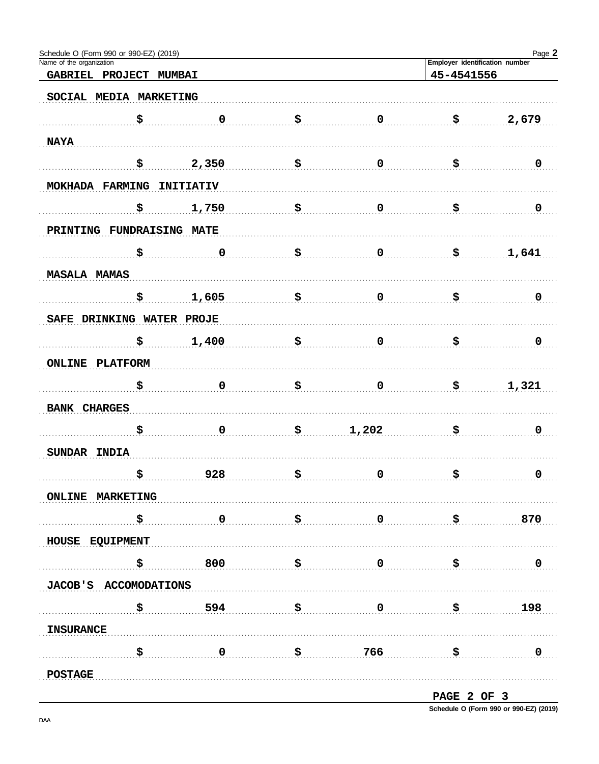| Schedule O (Form 990 or 990-EZ) (2019)<br>Name of the organization |                                                                                                                                     |                           |                                                                      | Employer identification number | Page 2                  |
|--------------------------------------------------------------------|-------------------------------------------------------------------------------------------------------------------------------------|---------------------------|----------------------------------------------------------------------|--------------------------------|-------------------------|
| GABRIEL PROJECT MUMBAI                                             |                                                                                                                                     |                           |                                                                      | 45-4541556                     |                         |
| SOCIAL MEDIA MARKETING                                             |                                                                                                                                     |                           |                                                                      |                                |                         |
| \$                                                                 | $\mathbf 0$                                                                                                                         | $\boldsymbol{\mathsf{S}}$ | $\mathbf 0$                                                          | \$.                            | 2,679                   |
|                                                                    |                                                                                                                                     |                           |                                                                      |                                |                         |
| <b>NAYA</b>                                                        |                                                                                                                                     |                           |                                                                      |                                |                         |
| \$                                                                 | 2,350                                                                                                                               | \$                        | $\mathbf 0$                                                          | \$                             | $\mathbf 0$             |
| MOKHADA FARMING INITIATIV                                          |                                                                                                                                     |                           |                                                                      |                                |                         |
| \$                                                                 | 1,750                                                                                                                               | \$                        | $\mathbf 0$                                                          | \$                             | $\mathbf 0$             |
| PRINTING FUNDRAISING MATE                                          |                                                                                                                                     |                           |                                                                      |                                |                         |
| \$                                                                 | $\boldsymbol{0}$                                                                                                                    | \$                        | $\mathbf 0$                                                          | \$                             | 1,641                   |
| <b>MASALA MAMAS</b>                                                |                                                                                                                                     |                           |                                                                      |                                |                         |
|                                                                    |                                                                                                                                     |                           |                                                                      |                                |                         |
| \$                                                                 | 1,605                                                                                                                               | \$                        | $\mathbf 0$                                                          | \$                             | $\mathbf 0$             |
| SAFE DRINKING WATER PROJE                                          |                                                                                                                                     |                           |                                                                      |                                |                         |
| \$                                                                 | 1,400                                                                                                                               | \$                        | $\mathbf 0$                                                          | \$                             | $\mathbf 0$             |
| <b>ONLINE PLATFORM</b>                                             |                                                                                                                                     |                           |                                                                      |                                |                         |
| \$                                                                 | 0                                                                                                                                   | \$                        | $\mathbf 0$                                                          | \$                             | 1,321                   |
| <b>BANK CHARGES</b>                                                |                                                                                                                                     |                           |                                                                      |                                |                         |
| \$                                                                 | $\mathbf 0$                                                                                                                         | \$                        | 1,202                                                                | \$                             | $\mathbf 0$             |
|                                                                    |                                                                                                                                     |                           |                                                                      |                                |                         |
| SUNDAR INDIA                                                       |                                                                                                                                     |                           |                                                                      |                                |                         |
| \$                                                                 | 928                                                                                                                                 |                           | $\begin{matrix} 5 \end{matrix}$ 0 $\begin{matrix} 6 \end{matrix}$ 5  |                                | $\mathbf 0$             |
| ONLINE MARKETING                                                   |                                                                                                                                     |                           |                                                                      |                                |                         |
| $\ddot{\bm{S}}$ , and $\bm{S}$                                     |                                                                                                                                     |                           | $\frac{1}{5}$ 870                                                    |                                |                         |
| HOUSE EQUIPMENT                                                    |                                                                                                                                     |                           |                                                                      |                                |                         |
| $\sim$ \$ 300 \$ 0 \$ 5                                            |                                                                                                                                     |                           |                                                                      |                                | $\overline{\mathbf{0}}$ |
| JACOB'S ACCOMODATIONS                                              |                                                                                                                                     |                           |                                                                      |                                |                         |
|                                                                    |                                                                                                                                     |                           |                                                                      |                                |                         |
|                                                                    | $\begin{array}{ccccccc} \texttt{\$} & & & \texttt{594} & & \texttt{\$} & & \texttt{0} & & \texttt{\$} & & \texttt{198} \end{array}$ |                           |                                                                      |                                |                         |
| <b>INSURANCE</b>                                                   |                                                                                                                                     |                           |                                                                      |                                |                         |
| 5                                                                  |                                                                                                                                     |                           | $\begin{array}{ccc} 0 & \texttt{\$} & 766 & \texttt{\$} \end{array}$ |                                | $\mathbf 0$             |
| <b>POSTAGE</b>                                                     |                                                                                                                                     |                           |                                                                      |                                |                         |
|                                                                    |                                                                                                                                     |                           |                                                                      | PAGE 2 OF 3                    |                         |

Schedule O (Form 990 or 990-EZ) (2019)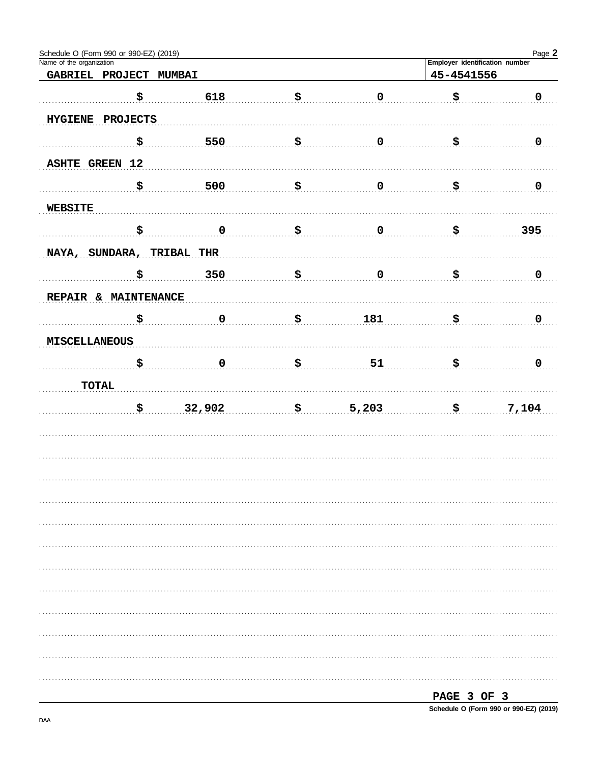| Schedule O (Form 990 or 990-EZ) (2019)<br>Name of the organization |                               |     |             |                                | Page 2         |
|--------------------------------------------------------------------|-------------------------------|-----|-------------|--------------------------------|----------------|
|                                                                    |                               |     |             | Employer identification number |                |
| GABRIEL PROJECT MUMBAI                                             |                               |     |             | 45-4541556                     |                |
|                                                                    | \$<br>618                     | \$. | $\mathbf 0$ | \$                             | $\overline{0}$ |
| HYGIENE PROJECTS                                                   |                               |     |             |                                |                |
|                                                                    | \$<br>550                     | \$  | $\mathbf 0$ | \$                             | $\overline{0}$ |
| <b>ASHTE GREEN 12</b>                                              |                               |     |             |                                |                |
|                                                                    | \$<br>500                     | \$  | $\mathbf 0$ | \$                             | $\overline{0}$ |
| <b>WEBSITE</b>                                                     |                               |     |             |                                |                |
|                                                                    | \$<br>$\overline{\mathbf{0}}$ | \$  | $\mathbf 0$ | \$                             | 395            |
| NAYA, SUNDARA, TRIBAL THR                                          |                               |     |             |                                |                |
|                                                                    | \$<br>350                     | \$  | $\pmb{0}$   | \$                             | $\mathbf 0$    |
| REPAIR & MAINTENANCE                                               |                               |     |             |                                |                |
|                                                                    | \$<br>$\pmb{0}$               | \$  | 181         | \$                             | $\mathbf 0$    |
| <b>MISCELLANEOUS</b>                                               |                               |     |             |                                |                |
|                                                                    | \$<br>$\pmb{0}$               | \$  | 51          | \$                             | $\mathbf 0$    |
| <b>TOTAL</b>                                                       |                               |     |             |                                |                |
|                                                                    | \$<br>32,902                  | \$  | 5,203       | \$                             | 7,104          |
|                                                                    |                               |     |             |                                |                |
|                                                                    |                               |     |             |                                |                |
|                                                                    |                               |     |             |                                |                |
|                                                                    |                               |     |             |                                |                |
|                                                                    |                               |     |             |                                |                |
|                                                                    |                               |     |             |                                |                |
|                                                                    |                               |     |             |                                |                |
|                                                                    |                               |     |             |                                |                |
|                                                                    |                               |     |             |                                |                |
|                                                                    |                               |     |             |                                |                |
|                                                                    |                               |     |             |                                |                |
|                                                                    |                               |     |             |                                |                |
|                                                                    |                               |     |             | PAGE 3 OF 3                    |                |

Schedule O (Form 990 or 990-EZ) (2019)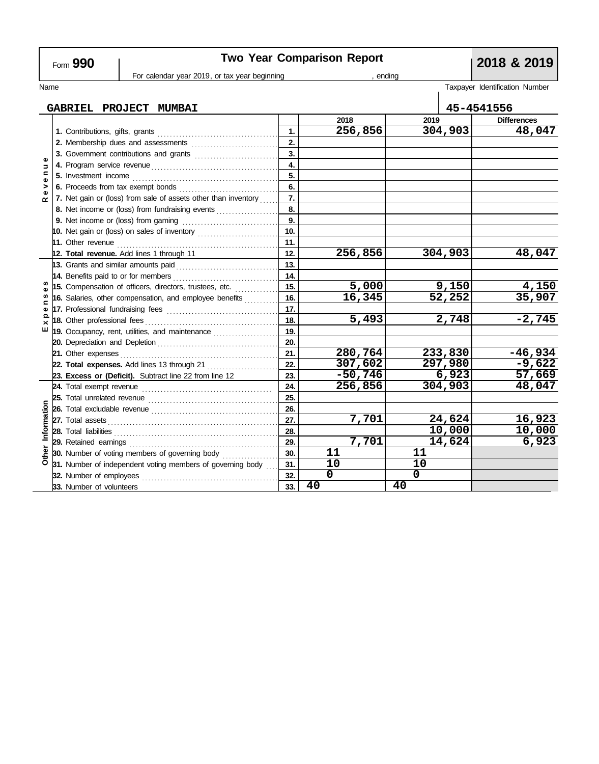Form **990**

# **Two Year Comparison Report**<br> **Partic Proper peginning**<br> **Partic Proper Partic Proper Proper Partic Proper Proper Proper Proper Proper Proper Proper Proper Proper Proper Proper Proper Proper Proper Proper Proper Proper Pro**

|                               | For calendar year 2019, or tax year beginning                                                        |     | , ending            |         |                                |
|-------------------------------|------------------------------------------------------------------------------------------------------|-----|---------------------|---------|--------------------------------|
| Name                          |                                                                                                      |     |                     |         | Taxpayer Identification Number |
|                               | GABRIEL PROJECT MUMBAI                                                                               |     |                     |         | 45-4541556                     |
|                               |                                                                                                      |     | 2018                | 2019    | <b>Differences</b>             |
|                               | 1. Contributions, gifts, grants                                                                      | 1.  | 256,856             | 304,903 | 48,047                         |
|                               | 2. Membership dues and assessments                                                                   | 2.  |                     |         |                                |
|                               | 3. Government contributions and grants                                                               | 3.  |                     |         |                                |
| Φ<br>$\overline{\phantom{a}}$ |                                                                                                      | 4.  |                     |         |                                |
| $\mathbf{C}$                  | 5. Investment income                                                                                 | 5.  |                     |         |                                |
| Φ<br>>                        | 6. Proceeds from tax exempt bonds                                                                    | 6.  |                     |         |                                |
| Φ<br>œ                        | 7. Net gain or (loss) from sale of assets other than inventory                                       | 7.  |                     |         |                                |
|                               | 8. Net income or (loss) from fundraising events                                                      | 8.  |                     |         |                                |
|                               | 9. Net income or (loss) from gaming                                                                  | 9.  |                     |         |                                |
|                               | 10. Net gain or (loss) on sales of inventory [1, 1, 1, 1, 1, 1, 1, 1, 1, 1, 1, 1                     | 10. |                     |         |                                |
|                               | <b>11.</b> Other revenue <i></i>                                                                     | 11. |                     |         |                                |
|                               | 12. Total revenue. Add lines 1 through 11                                                            | 12. | 256,856             | 304,903 | 48,047                         |
|                               | 13. Grants and similar amounts paid <i>contained and series</i> and strategies                       | 13. |                     |         |                                |
|                               |                                                                                                      | 14. |                     |         |                                |
| n<br>ω                        | 15. Compensation of officers, directors, trustees, etc.                                              | 15. | 5,000               | 9,150   | 4,150                          |
| n<br>⊆                        | 16. Salaries, other compensation, and employee benefits                                              | 16. | 16,345              | 52,252  | 35,907                         |
| Φ                             |                                                                                                      | 17. |                     |         |                                |
| ×                             |                                                                                                      | 18. | 5,493               | 2,748   | $-2,745$                       |
| ш                             | 19. Occupancy, rent, utilities, and maintenance <i>minimizorony</i>                                  | 19. |                     |         |                                |
|                               |                                                                                                      | 20. |                     |         |                                |
|                               | 21. Other expenses                                                                                   | 21. | 280,764             | 233,830 | $-46,934$                      |
|                               | 22. Total expenses. Add lines 13 through 21                                                          | 22. | 307,602             | 297,980 | $-9,622$                       |
|                               | 23. Excess or (Deficit). Subtract line 22 from line 12                                               | 23. | $-50,746$           | 6,923   | 57,669                         |
|                               | 24. Total exempt revenue                                                                             | 24. | 256,856             | 304,903 | 48,047                         |
|                               |                                                                                                      | 25. |                     |         |                                |
|                               |                                                                                                      | 26. |                     |         |                                |
|                               | 27. Total assets <b>construction</b> assets <b>construction 27.</b> Total assets <b>construction</b> | 27. | $\overline{7}$ ,701 | 24,624  | 16,923                         |
| Information                   | 28. Total liabilities                                                                                | 28. |                     | 10,000  | 10,000                         |
|                               | 29. Retained earnings                                                                                | 29. | 7,701               | 14,624  | 6,923                          |
| Other                         | 30. Number of voting members of governing body                                                       | 30. | 11                  | 11      |                                |
|                               | 31. Number of independent voting members of governing body                                           | 31. | 10                  | 10      |                                |
|                               | 32. Number of employees                                                                              | 32. | 0                   | 0       |                                |
|                               | 33. Number of volunteers                                                                             | 33. | 40                  | 40      |                                |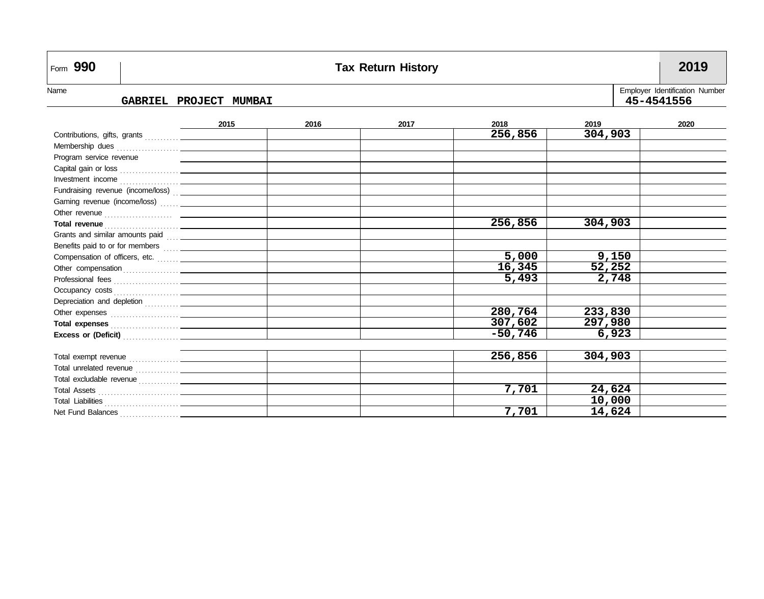| Form 990                |                                                        |                        |      | <b>Tax Return History</b> |           |         | 2019                                         |
|-------------------------|--------------------------------------------------------|------------------------|------|---------------------------|-----------|---------|----------------------------------------------|
| Name                    |                                                        | GABRIEL PROJECT MUMBAI |      |                           |           |         | Employer Identification Number<br>45-4541556 |
|                         |                                                        | 2015                   | 2016 | 2017                      | 2018      | 2019    | 2020                                         |
|                         |                                                        |                        |      |                           | 256,856   | 304,903 |                                              |
|                         |                                                        |                        |      |                           |           |         |                                              |
| Program service revenue |                                                        |                        |      |                           |           |         |                                              |
|                         |                                                        |                        |      |                           |           |         |                                              |
|                         |                                                        |                        |      |                           |           |         |                                              |
|                         |                                                        |                        |      |                           |           |         |                                              |
|                         | Gaming revenue (income/loss)  _________                |                        |      |                           |           |         |                                              |
|                         |                                                        |                        |      |                           |           |         |                                              |
|                         |                                                        |                        |      |                           | 256,856   | 304,903 |                                              |
|                         |                                                        |                        |      |                           |           |         |                                              |
|                         |                                                        |                        |      |                           |           |         |                                              |
|                         |                                                        |                        |      |                           | 5,000     | 9,150   |                                              |
|                         |                                                        |                        |      |                           | 16,345    | 52,252  |                                              |
|                         |                                                        |                        |      |                           | 5,493     | 2,748   |                                              |
|                         |                                                        |                        |      |                           |           |         |                                              |
|                         |                                                        |                        |      |                           |           |         |                                              |
|                         |                                                        |                        |      |                           | 280,764   | 233,830 |                                              |
|                         | Total expenses Manual Communication and Communications |                        |      |                           | 307,602   | 297,980 |                                              |
|                         | Excess or (Deficit) <b>Excess</b> or (Deficit)         |                        |      |                           | $-50,746$ | 6,923   |                                              |
|                         |                                                        |                        |      |                           |           |         |                                              |
|                         |                                                        |                        |      |                           | 256,856   | 304,903 |                                              |
|                         |                                                        |                        |      |                           |           |         |                                              |
|                         |                                                        |                        |      |                           |           |         |                                              |
|                         |                                                        |                        |      |                           | 7,701     | 24,624  |                                              |
|                         |                                                        |                        |      |                           |           | 10,000  |                                              |
|                         |                                                        |                        |      |                           | 7,701     | 14,624  |                                              |